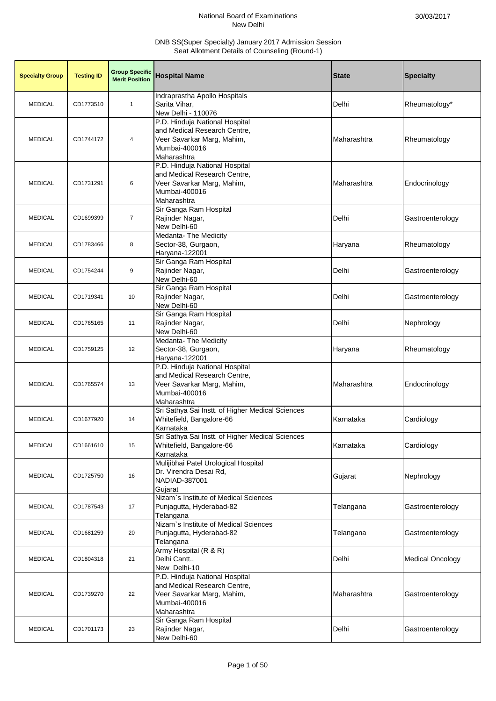| <b>Specialty Group</b> | <b>Testing ID</b> | <b>Group Specific</b><br><b>Merit Position</b> | <b>Hospital Name</b>                                                                                                         | <b>State</b> | <b>Specialty</b>        |
|------------------------|-------------------|------------------------------------------------|------------------------------------------------------------------------------------------------------------------------------|--------------|-------------------------|
| <b>MEDICAL</b>         | CD1773510         | $\mathbf{1}$                                   | Indraprastha Apollo Hospitals<br>Sarita Vihar,<br>New Delhi - 110076                                                         | Delhi        | Rheumatology*           |
| <b>MEDICAL</b>         | CD1744172         | 4                                              | P.D. Hinduja National Hospital<br>and Medical Research Centre,<br>Veer Savarkar Marg, Mahim,<br>Mumbai-400016<br>Maharashtra | Maharashtra  | Rheumatology            |
| <b>MEDICAL</b>         | CD1731291         | 6                                              | P.D. Hinduja National Hospital<br>and Medical Research Centre,<br>Veer Savarkar Marg, Mahim,<br>Mumbai-400016<br>Maharashtra | Maharashtra  | Endocrinology           |
| <b>MEDICAL</b>         | CD1699399         | $\overline{7}$                                 | Sir Ganga Ram Hospital<br>Rajinder Nagar,<br>New Delhi-60                                                                    | Delhi        | Gastroenterology        |
| <b>MEDICAL</b>         | CD1783466         | 8                                              | Medanta- The Medicity<br>Sector-38, Gurgaon,<br>Haryana-122001                                                               | Haryana      | Rheumatology            |
| <b>MEDICAL</b>         | CD1754244         | 9                                              | Sir Ganga Ram Hospital<br>Rajinder Nagar,<br>New Delhi-60                                                                    | Delhi        | Gastroenterology        |
| <b>MEDICAL</b>         | CD1719341         | 10                                             | Sir Ganga Ram Hospital<br>Rajinder Nagar,<br>New Delhi-60                                                                    | Delhi        | Gastroenterology        |
| <b>MEDICAL</b>         | CD1765165         | 11                                             | Sir Ganga Ram Hospital<br>Rajinder Nagar,<br>New Delhi-60                                                                    | Delhi        | Nephrology              |
| <b>MEDICAL</b>         | CD1759125         | 12                                             | Medanta- The Medicity<br>Sector-38, Gurgaon,<br>Haryana-122001                                                               | Haryana      | Rheumatology            |
| <b>MEDICAL</b>         | CD1765574         | 13                                             | P.D. Hinduja National Hospital<br>and Medical Research Centre,<br>Veer Savarkar Marg, Mahim,<br>Mumbai-400016<br>Maharashtra | Maharashtra  | Endocrinology           |
| <b>MEDICAL</b>         | CD1677920         | 14                                             | Sri Sathya Sai Instt. of Higher Medical Sciences<br>Whitefield, Bangalore-66<br>Karnataka                                    | Karnataka    | Cardiology              |
| <b>MEDICAL</b>         | CD1661610         | 15                                             | Sri Sathya Sai Instt. of Higher Medical Sciences<br>Whitefield, Bangalore-66<br>Karnataka                                    | Karnataka    | Cardiology              |
| <b>MEDICAL</b>         | CD1725750         | 16                                             | Mulijibhai Patel Urological Hospital<br>Dr. Virendra Desai Rd,<br>NADIAD-387001<br>Gujarat                                   | Gujarat      | Nephrology              |
| <b>MEDICAL</b>         | CD1787543         | 17                                             | Nizam's Institute of Medical Sciences<br>Punjagutta, Hyderabad-82<br>Telangana                                               | Telangana    | Gastroenterology        |
| <b>MEDICAL</b>         | CD1681259         | 20                                             | Nizam's Institute of Medical Sciences<br>Punjagutta, Hyderabad-82<br>Telangana                                               | Telangana    | Gastroenterology        |
| <b>MEDICAL</b>         | CD1804318         | 21                                             | Army Hospital (R & R)<br>Delhi Cantt.,<br>New Delhi-10                                                                       | Delhi        | <b>Medical Oncology</b> |
| <b>MEDICAL</b>         | CD1739270         | 22                                             | P.D. Hinduja National Hospital<br>and Medical Research Centre,<br>Veer Savarkar Marg, Mahim,<br>Mumbai-400016<br>Maharashtra | Maharashtra  | Gastroenterology        |
| <b>MEDICAL</b>         | CD1701173         | 23                                             | Sir Ganga Ram Hospital<br>Rajinder Nagar,<br>New Delhi-60                                                                    | Delhi        | Gastroenterology        |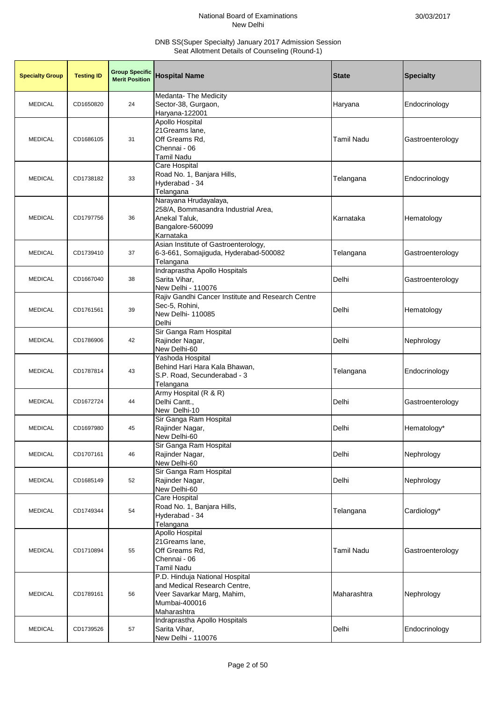| <b>Specialty Group</b> | <b>Testing ID</b> | <b>Group Specific</b><br><b>Merit Position</b> | <b>Hospital Name</b>                                                                                                         | <b>State</b>      | <b>Specialty</b> |
|------------------------|-------------------|------------------------------------------------|------------------------------------------------------------------------------------------------------------------------------|-------------------|------------------|
| <b>MEDICAL</b>         | CD1650820         | 24                                             | Medanta- The Medicity<br>Sector-38, Gurgaon,<br>Haryana-122001                                                               | Haryana           | Endocrinology    |
| <b>MEDICAL</b>         | CD1686105         | 31                                             | Apollo Hospital<br>21Greams lane,<br>Off Greams Rd,<br>Chennai - 06<br><b>Tamil Nadu</b>                                     | <b>Tamil Nadu</b> | Gastroenterology |
| <b>MEDICAL</b>         | CD1738182         | 33                                             | Care Hospital<br>Road No. 1, Banjara Hills,<br>Hyderabad - 34<br>Telangana                                                   | Telangana         | Endocrinology    |
| <b>MEDICAL</b>         | CD1797756         | 36                                             | Narayana Hrudayalaya,<br>258/A, Bommasandra Industrial Area,<br>Anekal Taluk,<br>Bangalore-560099<br>Karnataka               | Karnataka         | Hematology       |
| <b>MEDICAL</b>         | CD1739410         | 37                                             | Asian Institute of Gastroenterology,<br>6-3-661, Somajiguda, Hyderabad-500082<br>Telangana                                   | Telangana         | Gastroenterology |
| <b>MEDICAL</b>         | CD1667040         | 38                                             | Indraprastha Apollo Hospitals<br>Sarita Vihar,<br>New Delhi - 110076                                                         | Delhi             | Gastroenterology |
| <b>MEDICAL</b>         | CD1761561         | 39                                             | Rajiv Gandhi Cancer Institute and Research Centre<br>Sec-5, Rohini,<br>New Delhi-110085<br>Delhi                             | Delhi             | Hematology       |
| <b>MEDICAL</b>         | CD1786906         | 42                                             | Sir Ganga Ram Hospital<br>Rajinder Nagar,<br>New Delhi-60                                                                    | Delhi             | Nephrology       |
| <b>MEDICAL</b>         | CD1787814         | 43                                             | Yashoda Hospital<br>Behind Hari Hara Kala Bhawan,<br>S.P. Road, Secunderabad - 3<br>Telangana                                | Telangana         | Endocrinology    |
| <b>MEDICAL</b>         | CD1672724         | 44                                             | Army Hospital (R & R)<br>Delhi Cantt.,<br>New Delhi-10                                                                       | Delhi             | Gastroenterology |
| <b>MEDICAL</b>         | CD1697980         | 45                                             | Sir Ganga Ram Hospital<br>Rajinder Nagar,<br>New Delhi-60                                                                    | Delhi             | Hematology*      |
| <b>MEDICAL</b>         | CD1707161         | 46                                             | Sir Ganga Ram Hospital<br>Rajinder Nagar,<br>New Delhi-60                                                                    | Delhi             | Nephrology       |
| <b>MEDICAL</b>         | CD1685149         | 52                                             | Sir Ganga Ram Hospital<br>Rajinder Nagar,<br>New Delhi-60                                                                    | Delhi             | Nephrology       |
| <b>MEDICAL</b>         | CD1749344         | 54                                             | Care Hospital<br>Road No. 1, Banjara Hills,<br>Hyderabad - 34<br>Telangana                                                   | Telangana         | Cardiology*      |
| <b>MEDICAL</b>         | CD1710894         | 55                                             | Apollo Hospital<br>21Greams lane,<br>Off Greams Rd,<br>Chennai - 06<br><b>Tamil Nadu</b>                                     | <b>Tamil Nadu</b> | Gastroenterology |
| <b>MEDICAL</b>         | CD1789161         | 56                                             | P.D. Hinduja National Hospital<br>and Medical Research Centre,<br>Veer Savarkar Marg, Mahim,<br>Mumbai-400016<br>Maharashtra | Maharashtra       | Nephrology       |
| <b>MEDICAL</b>         | CD1739526         | 57                                             | Indraprastha Apollo Hospitals<br>Sarita Vihar,<br>New Delhi - 110076                                                         | Delhi             | Endocrinology    |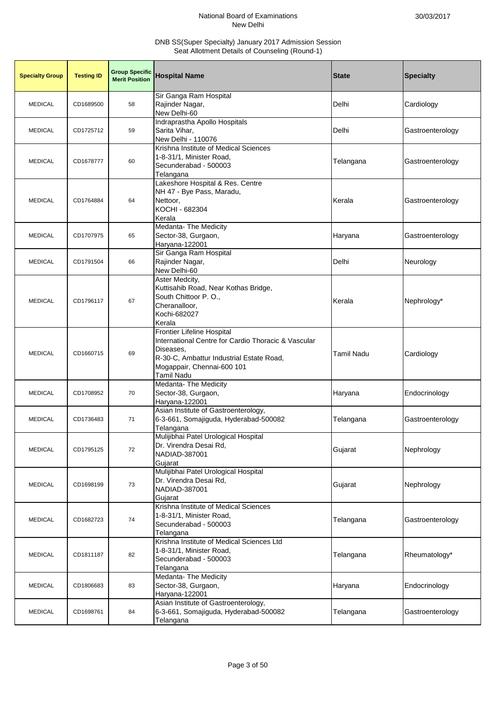| <b>Specialty Group</b> | <b>Testing ID</b> | <b>Group Specific</b><br><b>Merit Position</b> | <b>Hospital Name</b>                                                                                                                                                                          | <b>State</b> | <b>Specialty</b> |
|------------------------|-------------------|------------------------------------------------|-----------------------------------------------------------------------------------------------------------------------------------------------------------------------------------------------|--------------|------------------|
| <b>MEDICAL</b>         | CD1689500         | 58                                             | Sir Ganga Ram Hospital<br>Rajinder Nagar,<br>New Delhi-60                                                                                                                                     | Delhi        | Cardiology       |
| <b>MEDICAL</b>         | CD1725712         | 59                                             | Indraprastha Apollo Hospitals<br>Sarita Vihar,<br>New Delhi - 110076                                                                                                                          | Delhi        | Gastroenterology |
| <b>MEDICAL</b>         | CD1678777         | 60                                             | Krishna Institute of Medical Sciences<br>1-8-31/1, Minister Road,<br>Secunderabad - 500003<br>Telangana                                                                                       | Telangana    | Gastroenterology |
| <b>MEDICAL</b>         | CD1764884         | 64                                             | Lakeshore Hospital & Res. Centre<br>NH 47 - Bye Pass, Maradu,<br>Nettoor,<br>KOCHI - 682304<br>Kerala                                                                                         | Kerala       | Gastroenterology |
| <b>MEDICAL</b>         | CD1707975         | 65                                             | Medanta- The Medicity<br>Sector-38, Gurgaon,<br>Haryana-122001                                                                                                                                | Haryana      | Gastroenterology |
| <b>MEDICAL</b>         | CD1791504         | 66                                             | Sir Ganga Ram Hospital<br>Rajinder Nagar,<br>New Delhi-60                                                                                                                                     | Delhi        | Neurology        |
| <b>MEDICAL</b>         | CD1796117         | 67                                             | Aster Medcity,<br>Kuttisahib Road, Near Kothas Bridge,<br>South Chittoor P.O.,<br>Cheranalloor,<br>Kochi-682027<br>Kerala                                                                     | Kerala       | Nephrology*      |
| <b>MEDICAL</b>         | CD1660715         | 69                                             | <b>Frontier Lifeline Hospital</b><br>International Centre for Cardio Thoracic & Vascular<br>Diseases,<br>R-30-C, Ambattur Industrial Estate Road,<br>Mogappair, Chennai-600 101<br>Tamil Nadu | Tamil Nadu   | Cardiology       |
| <b>MEDICAL</b>         | CD1708952         | 70                                             | <b>Medanta-The Medicity</b><br>Sector-38, Gurgaon,<br>Haryana-122001                                                                                                                          | Haryana      | Endocrinology    |
| <b>MEDICAL</b>         | CD1736483         | 71                                             | Asian Institute of Gastroenterology,<br>6-3-661, Somajiguda, Hyderabad-500082<br>Telangana                                                                                                    | Telangana    | Gastroenterology |
| <b>MEDICAL</b>         | CD1795125         | 72                                             | Mulijibhai Patel Urological Hospital<br>Dr. Virendra Desai Rd,<br>NADIAD-387001<br>Gujarat                                                                                                    | Gujarat      | Nephrology       |
| <b>MEDICAL</b>         | CD1698199         | 73                                             | Mulijibhai Patel Urological Hospital<br>Dr. Virendra Desai Rd.<br>NADIAD-387001<br>Gujarat                                                                                                    | Gujarat      | Nephrology       |
| <b>MEDICAL</b>         | CD1682723         | 74                                             | Krishna Institute of Medical Sciences<br>1-8-31/1, Minister Road,<br>Secunderabad - 500003<br>Telangana                                                                                       | Telangana    | Gastroenterology |
| <b>MEDICAL</b>         | CD1811187         | 82                                             | Krishna Institute of Medical Sciences Ltd<br>1-8-31/1, Minister Road,<br>Secunderabad - 500003<br>Telangana                                                                                   | Telangana    | Rheumatology*    |
| <b>MEDICAL</b>         | CD1806683         | 83                                             | Medanta- The Medicity<br>Sector-38, Gurgaon,<br>Haryana-122001                                                                                                                                | Haryana      | Endocrinology    |
| <b>MEDICAL</b>         | CD1698761         | 84                                             | Asian Institute of Gastroenterology,<br>6-3-661, Somajiguda, Hyderabad-500082<br>Telangana                                                                                                    | Telangana    | Gastroenterology |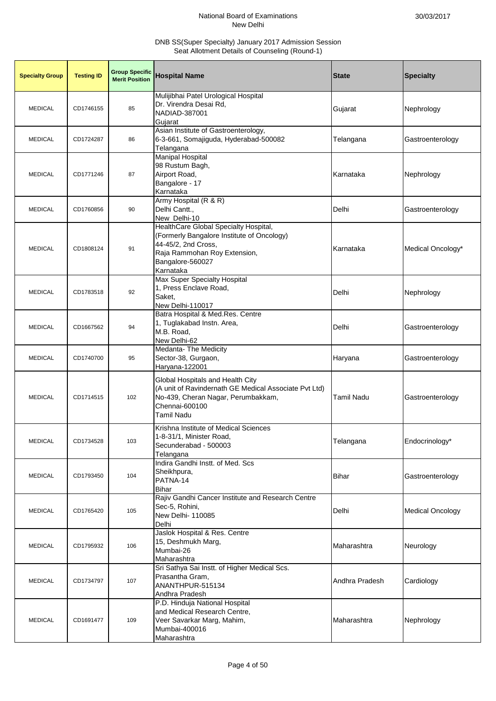| <b>Specialty Group</b> | <b>Testing ID</b> | <b>Group Specific</b><br><b>Merit Position</b> | <b>Hospital Name</b>                                                                                                                                                        | <b>State</b>   | <b>Specialty</b>        |
|------------------------|-------------------|------------------------------------------------|-----------------------------------------------------------------------------------------------------------------------------------------------------------------------------|----------------|-------------------------|
| <b>MEDICAL</b>         | CD1746155         | 85                                             | Mulijibhai Patel Urological Hospital<br>Dr. Virendra Desai Rd,<br>NADIAD-387001<br>Gujarat                                                                                  | Gujarat        | Nephrology              |
| <b>MEDICAL</b>         | CD1724287         | 86                                             | Asian Institute of Gastroenterology,<br>6-3-661, Somajiguda, Hyderabad-500082<br>Telangana                                                                                  | Telangana      | Gastroenterology        |
| <b>MEDICAL</b>         | CD1771246         | 87                                             | <b>Manipal Hospital</b><br>98 Rustum Bagh,<br>Airport Road,<br>Bangalore - 17<br>Karnataka                                                                                  | Karnataka      | Nephrology              |
| <b>MEDICAL</b>         | CD1760856         | 90                                             | Army Hospital (R & R)<br>Delhi Cantt.,<br>New Delhi-10                                                                                                                      | Delhi          | Gastroenterology        |
| <b>MEDICAL</b>         | CD1808124         | 91                                             | HealthCare Global Specialty Hospital,<br>(Formerly Bangalore Institute of Oncology)<br>44-45/2, 2nd Cross,<br>Raja Rammohan Roy Extension,<br>Bangalore-560027<br>Karnataka | Karnataka      | Medical Oncology*       |
| <b>MEDICAL</b>         | CD1783518         | 92                                             | Max Super Specialty Hospital<br>1, Press Enclave Road,<br>Saket,<br>New Delhi-110017                                                                                        | Delhi          | Nephrology              |
| <b>MEDICAL</b>         | CD1667562         | 94                                             | Batra Hospital & Med.Res. Centre<br>1, Tuglakabad Instn. Area,<br>M.B. Road,<br>New Delhi-62                                                                                | Delhi          | Gastroenterology        |
| <b>MEDICAL</b>         | CD1740700         | 95                                             | Medanta- The Medicity<br>Sector-38, Gurgaon,<br>Haryana-122001                                                                                                              | Haryana        | Gastroenterology        |
| <b>MEDICAL</b>         | CD1714515         | 102                                            | Global Hospitals and Health City<br>(A unit of Ravindernath GE Medical Associate Pvt Ltd)<br>No-439, Cheran Nagar, Perumbakkam,<br>Chennai-600100<br>Tamil Nadu             | Tamil Nadu     | Gastroenterology        |
| <b>MEDICAL</b>         | CD1734528         | 103                                            | Krishna Institute of Medical Sciences<br>1-8-31/1, Minister Road,<br>Secunderabad - 500003<br>Telangana                                                                     | Telangana      | Endocrinology*          |
| <b>MEDICAL</b>         | CD1793450         | 104                                            | Indira Gandhi Instt. of Med. Scs<br>Sheikhpura,<br>PATNA-14<br><b>Bihar</b>                                                                                                 | Bihar          | Gastroenterology        |
| <b>MEDICAL</b>         | CD1765420         | 105                                            | Rajiv Gandhi Cancer Institute and Research Centre<br>Sec-5, Rohini,<br>New Delhi- 110085<br>Delhi                                                                           | Delhi          | <b>Medical Oncology</b> |
| <b>MEDICAL</b>         | CD1795932         | 106                                            | Jaslok Hospital & Res. Centre<br>15, Deshmukh Marg,<br>Mumbai-26<br>Maharashtra                                                                                             | Maharashtra    | Neurology               |
| <b>MEDICAL</b>         | CD1734797         | 107                                            | Sri Sathya Sai Instt. of Higher Medical Scs.<br>Prasantha Gram,<br>ANANTHPUR-515134<br>Andhra Pradesh                                                                       | Andhra Pradesh | Cardiology              |
| <b>MEDICAL</b>         | CD1691477         | 109                                            | P.D. Hinduja National Hospital<br>and Medical Research Centre,<br>Veer Savarkar Marg, Mahim,<br>Mumbai-400016<br>Maharashtra                                                | Maharashtra    | Nephrology              |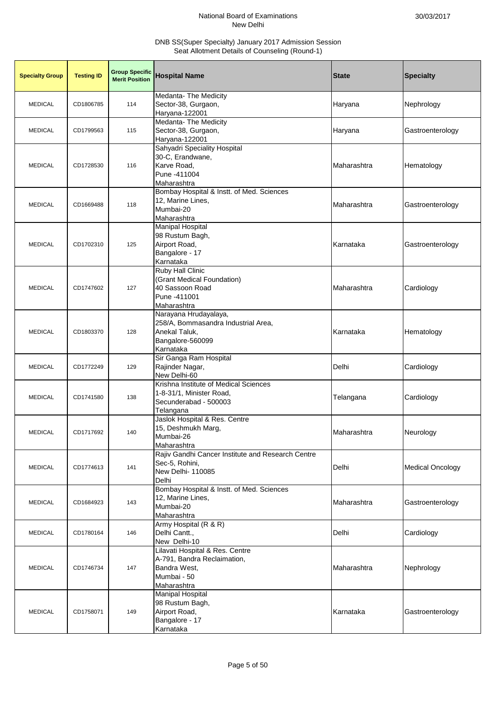| <b>Specialty Group</b> | <b>Testing ID</b> | <b>Group Specific</b><br><b>Merit Position</b> | <b>Hospital Name</b>                                                                                           | <b>State</b> | <b>Specialty</b>        |
|------------------------|-------------------|------------------------------------------------|----------------------------------------------------------------------------------------------------------------|--------------|-------------------------|
| <b>MEDICAL</b>         | CD1806785         | 114                                            | Medanta- The Medicity<br>Sector-38, Gurgaon,<br>Haryana-122001                                                 | Haryana      | Nephrology              |
| <b>MEDICAL</b>         | CD1799563         | 115                                            | Medanta-The Medicity<br>Sector-38, Gurgaon,<br>Haryana-122001                                                  | Haryana      | Gastroenterology        |
| <b>MEDICAL</b>         | CD1728530         | 116                                            | Sahyadri Speciality Hospital<br>30-C, Erandwane,<br>Karve Road,<br>Pune -411004<br>Maharashtra                 | Maharashtra  | Hematology              |
| <b>MEDICAL</b>         | CD1669488         | 118                                            | Bombay Hospital & Instt. of Med. Sciences<br>12, Marine Lines,<br>Mumbai-20<br>Maharashtra                     | Maharashtra  | Gastroenterology        |
| <b>MEDICAL</b>         | CD1702310         | 125                                            | Manipal Hospital<br>98 Rustum Bagh,<br>Airport Road,<br>Bangalore - 17<br>Karnataka                            | Karnataka    | Gastroenterology        |
| <b>MEDICAL</b>         | CD1747602         | 127                                            | <b>Ruby Hall Clinic</b><br>(Grant Medical Foundation)<br>40 Sassoon Road<br>Pune -411001<br>Maharashtra        | Maharashtra  | Cardiology              |
| <b>MEDICAL</b>         | CD1803370         | 128                                            | Narayana Hrudayalaya,<br>258/A, Bommasandra Industrial Area,<br>Anekal Taluk,<br>Bangalore-560099<br>Karnataka | Karnataka    | Hematology              |
| <b>MEDICAL</b>         | CD1772249         | 129                                            | Sir Ganga Ram Hospital<br>Rajinder Nagar,<br>New Delhi-60                                                      | Delhi        | Cardiology              |
| <b>MEDICAL</b>         | CD1741580         | 138                                            | Krishna Institute of Medical Sciences<br>1-8-31/1, Minister Road,<br>Secunderabad - 500003<br>Telangana        | Telangana    | Cardiology              |
| <b>MEDICAL</b>         | CD1717692         | 140                                            | Jaslok Hospital & Res. Centre<br>15, Deshmukh Marg,<br>Mumbai-26<br>Maharashtra                                | Maharashtra  | Neurology               |
| <b>MEDICAL</b>         | CD1774613         | 141                                            | Rajiv Gandhi Cancer Institute and Research Centre<br>Sec-5, Rohini,<br>New Delhi- 110085<br>Delhi              | Delhi        | <b>Medical Oncology</b> |
| <b>MEDICAL</b>         | CD1684923         | 143                                            | Bombay Hospital & Instt. of Med. Sciences<br>12, Marine Lines,<br>Mumbai-20<br>Maharashtra                     | Maharashtra  | Gastroenterology        |
| <b>MEDICAL</b>         | CD1780164         | 146                                            | Army Hospital (R & R)<br>Delhi Cantt.,<br>New Delhi-10                                                         | Delhi        | Cardiology              |
| <b>MEDICAL</b>         | CD1746734         | 147                                            | Lilavati Hospital & Res. Centre<br>A-791, Bandra Reclaimation,<br>Bandra West,<br>Mumbai - 50<br>Maharashtra   | Maharashtra  | Nephrology              |
| <b>MEDICAL</b>         | CD1758071         | 149                                            | <b>Manipal Hospital</b><br>98 Rustum Bagh,<br>Airport Road,<br>Bangalore - 17<br>Karnataka                     | Karnataka    | Gastroenterology        |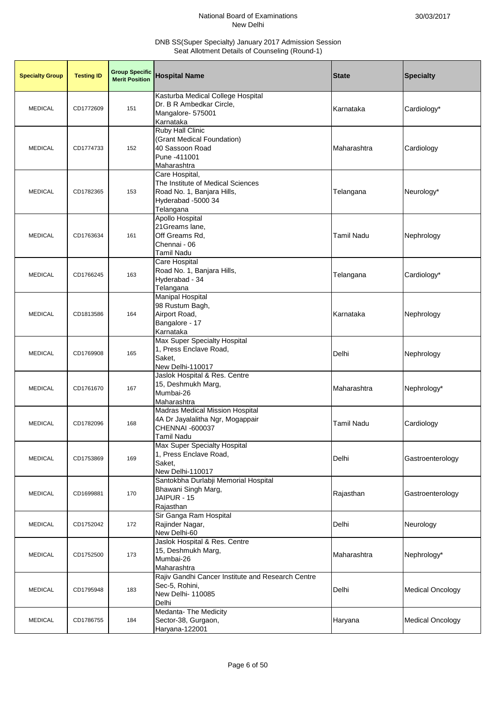| <b>Specialty Group</b> | <b>Testing ID</b> | <b>Group Specific</b><br><b>Merit Position</b> | <b>Hospital Name</b>                                                                                                      | <b>State</b>      | <b>Specialty</b>        |
|------------------------|-------------------|------------------------------------------------|---------------------------------------------------------------------------------------------------------------------------|-------------------|-------------------------|
| <b>MEDICAL</b>         | CD1772609         | 151                                            | Kasturba Medical College Hospital<br>Dr. B R Ambedkar Circle,<br>Mangalore- 575001<br>Karnataka                           | Karnataka         | Cardiology*             |
| <b>MEDICAL</b>         | CD1774733         | 152                                            | Ruby Hall Clinic<br>(Grant Medical Foundation)<br>40 Sassoon Road<br>Pune -411001<br>Maharashtra                          | Maharashtra       | Cardiology              |
| <b>MEDICAL</b>         | CD1782365         | 153                                            | Care Hospital,<br>The Institute of Medical Sciences<br>Road No. 1, Banjara Hills,<br>Hyderabad -5000 34<br>Telangana      | Telangana         | Neurology*              |
| <b>MEDICAL</b>         | CD1763634         | 161                                            | Apollo Hospital<br>21 Greams lane,<br>Off Greams Rd,<br>Chennai - 06<br><b>Tamil Nadu</b>                                 | <b>Tamil Nadu</b> | Nephrology              |
| <b>MEDICAL</b>         | CD1766245         | 163                                            | Care Hospital<br>Road No. 1, Banjara Hills,<br>Hyderabad - 34<br>Telangana                                                | Telangana         | Cardiology*             |
| <b>MEDICAL</b>         | CD1813586         | 164                                            | <b>Manipal Hospital</b><br>98 Rustum Bagh,<br>Airport Road,<br>Bangalore - 17<br>Karnataka                                | Karnataka         | Nephrology              |
| <b>MEDICAL</b>         | CD1769908         | 165                                            | Max Super Specialty Hospital<br>1, Press Enclave Road,<br>Saket,<br>New Delhi-110017                                      | Delhi             | Nephrology              |
| <b>MEDICAL</b>         | CD1761670         | 167                                            | Jaslok Hospital & Res. Centre<br>15, Deshmukh Marg,<br>Mumbai-26<br>Maharashtra                                           | Maharashtra       | Nephrology*             |
| <b>MEDICAL</b>         | CD1782096         | 168                                            | <b>Madras Medical Mission Hospital</b><br>4A Dr Jayalalitha Ngr, Mogappair<br><b>CHENNAI -600037</b><br><b>Tamil Nadu</b> | Tamil Nadu        | Cardiology              |
| <b>MEDICAL</b>         | CD1753869         | 169                                            | Max Super Specialty Hospital<br>1, Press Enclave Road,<br>Saket,<br>New Delhi-110017                                      | Delhi             | Gastroenterology        |
| <b>MEDICAL</b>         | CD1699881         | 170                                            | Santokbha Durlabji Memorial Hospital<br>Bhawani Singh Marg,<br>JAIPUR - 15<br>Rajasthan                                   | Rajasthan         | Gastroenterology        |
| <b>MEDICAL</b>         | CD1752042         | 172                                            | Sir Ganga Ram Hospital<br>Rajinder Nagar,<br>New Delhi-60                                                                 | Delhi             | Neurology               |
| <b>MEDICAL</b>         | CD1752500         | 173                                            | Jaslok Hospital & Res. Centre<br>15, Deshmukh Marg,<br>Mumbai-26<br>Maharashtra                                           | Maharashtra       | Nephrology*             |
| <b>MEDICAL</b>         | CD1795948         | 183                                            | Rajiv Gandhi Cancer Institute and Research Centre<br>Sec-5, Rohini,<br>New Delhi- 110085<br>Delhi                         | Delhi             | <b>Medical Oncology</b> |
| <b>MEDICAL</b>         | CD1786755         | 184                                            | Medanta- The Medicity<br>Sector-38, Gurgaon,<br>Haryana-122001                                                            | Haryana           | <b>Medical Oncology</b> |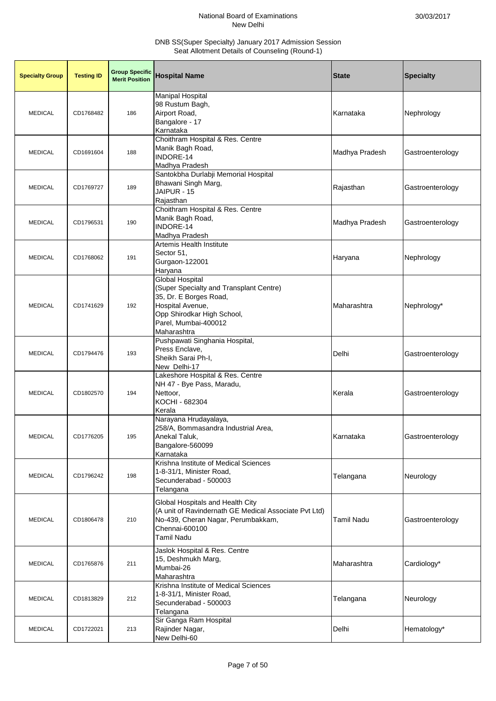| <b>Specialty Group</b> | <b>Testing ID</b> | <b>Group Specific</b><br><b>Merit Position</b> | <b>Hospital Name</b>                                                                                                                                                                 | <b>State</b>      | <b>Specialty</b> |
|------------------------|-------------------|------------------------------------------------|--------------------------------------------------------------------------------------------------------------------------------------------------------------------------------------|-------------------|------------------|
| <b>MEDICAL</b>         | CD1768482         | 186                                            | <b>Manipal Hospital</b><br>98 Rustum Bagh,<br>Airport Road,<br>Bangalore - 17<br>Karnataka                                                                                           | Karnataka         | Nephrology       |
| <b>MEDICAL</b>         | CD1691604         | 188                                            | Choithram Hospital & Res. Centre<br>Manik Bagh Road,<br>INDORE-14<br>Madhya Pradesh                                                                                                  | Madhya Pradesh    | Gastroenterology |
| <b>MEDICAL</b>         | CD1769727         | 189                                            | Santokbha Durlabji Memorial Hospital<br>Bhawani Singh Marg,<br>JAIPUR - 15<br>Rajasthan                                                                                              | Rajasthan         | Gastroenterology |
| <b>MEDICAL</b>         | CD1796531         | 190                                            | Choithram Hospital & Res. Centre<br>Manik Bagh Road,<br>INDORE-14<br>Madhya Pradesh                                                                                                  | Madhya Pradesh    | Gastroenterology |
| <b>MEDICAL</b>         | CD1768062         | 191                                            | Artemis Health Institute<br>Sector 51,<br>Gurgaon-122001<br>Haryana                                                                                                                  | Haryana           | Nephrology       |
| <b>MEDICAL</b>         | CD1741629         | 192                                            | <b>Global Hospital</b><br>(Super Specialty and Transplant Centre)<br>35, Dr. E Borges Road,<br>Hospital Avenue,<br>Opp Shirodkar High School,<br>Parel, Mumbai-400012<br>Maharashtra | Maharashtra       | Nephrology*      |
| <b>MEDICAL</b>         | CD1794476         | 193                                            | Pushpawati Singhania Hospital,<br>Press Enclave,<br>Sheikh Sarai Ph-I,<br>New Delhi-17                                                                                               | Delhi             | Gastroenterology |
| <b>MEDICAL</b>         | CD1802570         | 194                                            | Lakeshore Hospital & Res. Centre<br>NH 47 - Bye Pass, Maradu,<br>Nettoor,<br>KOCHI - 682304<br>Kerala                                                                                | Kerala            | Gastroenterology |
| <b>MEDICAL</b>         | CD1776205         | 195                                            | Narayana Hrudayalaya,<br>258/A, Bommasandra Industrial Area,<br>Anekal Taluk,<br>Bangalore-560099<br>Karnataka                                                                       | Karnataka         | Gastroenterology |
| <b>MEDICAL</b>         | CD1796242         | 198                                            | Krishna Institute of Medical Sciences<br>1-8-31/1, Minister Road,<br>Secunderabad - 500003<br>Telangana                                                                              | Telangana         | Neurology        |
| <b>MEDICAL</b>         | CD1806478         | 210                                            | Global Hospitals and Health City<br>(A unit of Ravindernath GE Medical Associate Pvt Ltd)<br>No-439, Cheran Nagar, Perumbakkam,<br>Chennai-600100<br>Tamil Nadu                      | <b>Tamil Nadu</b> | Gastroenterology |
| <b>MEDICAL</b>         | CD1765876         | 211                                            | Jaslok Hospital & Res. Centre<br>15, Deshmukh Marg,<br>Mumbai-26<br>Maharashtra                                                                                                      | Maharashtra       | Cardiology*      |
| <b>MEDICAL</b>         | CD1813829         | 212                                            | Krishna Institute of Medical Sciences<br>1-8-31/1, Minister Road,<br>Secunderabad - 500003<br>Telangana                                                                              | Telangana         | Neurology        |
| <b>MEDICAL</b>         | CD1722021         | 213                                            | Sir Ganga Ram Hospital<br>Rajinder Nagar,<br>New Delhi-60                                                                                                                            | Delhi             | Hematology*      |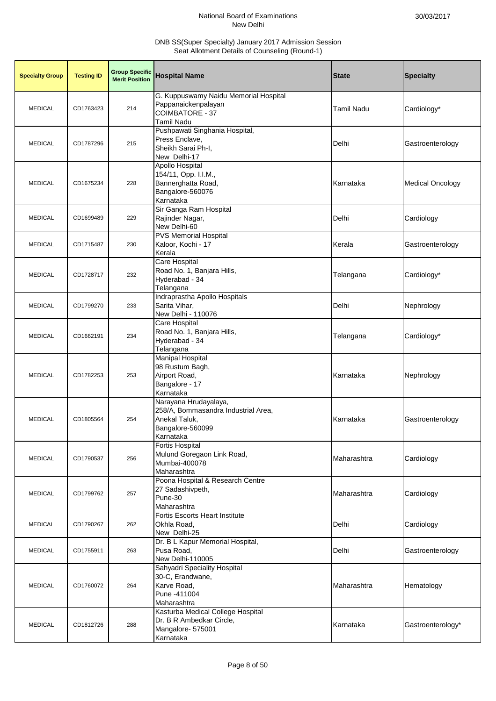| <b>Specialty Group</b> | <b>Testing ID</b> | <b>Group Specific</b><br><b>Merit Position</b> | <b>Hospital Name</b>                                                                                           | <b>State</b>      | <b>Specialty</b>        |
|------------------------|-------------------|------------------------------------------------|----------------------------------------------------------------------------------------------------------------|-------------------|-------------------------|
| <b>MEDICAL</b>         | CD1763423         | 214                                            | G. Kuppuswamy Naidu Memorial Hospital<br>Pappanaickenpalayan<br><b>COIMBATORE - 37</b><br><b>Tamil Nadu</b>    | <b>Tamil Nadu</b> | Cardiology*             |
| <b>MEDICAL</b>         | CD1787296         | 215                                            | Pushpawati Singhania Hospital,<br>Press Enclave,<br>Sheikh Sarai Ph-I,<br>New Delhi-17                         | Delhi             | Gastroenterology        |
| <b>MEDICAL</b>         | CD1675234         | 228                                            | Apollo Hospital<br>154/11, Opp. I.I.M.,<br>Bannerghatta Road,<br>Bangalore-560076<br>Karnataka                 | Karnataka         | <b>Medical Oncology</b> |
| <b>MEDICAL</b>         | CD1699489         | 229                                            | Sir Ganga Ram Hospital<br>Rajinder Nagar,<br>New Delhi-60                                                      | Delhi             | Cardiology              |
| <b>MEDICAL</b>         | CD1715487         | 230                                            | <b>PVS Memorial Hospital</b><br>Kaloor, Kochi - 17<br>Kerala                                                   | Kerala            | Gastroenterology        |
| <b>MEDICAL</b>         | CD1728717         | 232                                            | Care Hospital<br>Road No. 1, Banjara Hills,<br>Hyderabad - 34<br>Telangana                                     | Telangana         | Cardiology*             |
| <b>MEDICAL</b>         | CD1799270         | 233                                            | Indraprastha Apollo Hospitals<br>Sarita Vihar,<br>New Delhi - 110076                                           | Delhi             | Nephrology              |
| <b>MEDICAL</b>         | CD1662191         | 234                                            | Care Hospital<br>Road No. 1, Banjara Hills,<br>Hyderabad - 34<br>Telangana                                     | Telangana         | Cardiology*             |
| <b>MEDICAL</b>         | CD1782253         | 253                                            | <b>Manipal Hospital</b><br>98 Rustum Bagh,<br>Airport Road,<br>Bangalore - 17<br>Karnataka                     | Karnataka         | Nephrology              |
| <b>MEDICAL</b>         | CD1805564         | 254                                            | Narayana Hrudayalaya,<br>258/A, Bommasandra Industrial Area,<br>Anekal Taluk,<br>Bangalore-560099<br>Karnataka | Karnataka         | Gastroenterology        |
| <b>MEDICAL</b>         | CD1790537         | 256                                            | <b>Fortis Hospital</b><br>Mulund Goregaon Link Road,<br>Mumbai-400078<br>Maharashtra                           | Maharashtra       | Cardiology              |
| <b>MEDICAL</b>         | CD1799762         | 257                                            | Poona Hospital & Research Centre<br>27 Sadashivpeth,<br>Pune-30<br>Maharashtra                                 | Maharashtra       | Cardiology              |
| <b>MEDICAL</b>         | CD1790267         | 262                                            | Fortis Escorts Heart Institute<br>Okhla Road,<br>New Delhi-25                                                  | Delhi             | Cardiology              |
| <b>MEDICAL</b>         | CD1755911         | 263                                            | Dr. B L Kapur Memorial Hospital,<br>Pusa Road,<br>New Delhi-110005                                             | Delhi             | Gastroenterology        |
| <b>MEDICAL</b>         | CD1760072         | 264                                            | Sahyadri Speciality Hospital<br>30-C, Erandwane,<br>Karve Road,<br>Pune -411004<br>Maharashtra                 | Maharashtra       | Hematology              |
| <b>MEDICAL</b>         | CD1812726         | 288                                            | Kasturba Medical College Hospital<br>Dr. B R Ambedkar Circle,<br>Mangalore- 575001<br>Karnataka                | Karnataka         | Gastroenterology*       |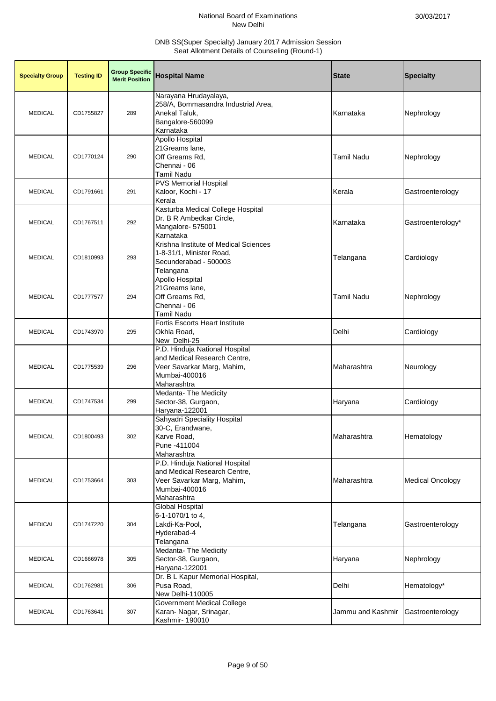| <b>Specialty Group</b> | <b>Testing ID</b> | <b>Group Specific</b><br><b>Merit Position</b> | <b>Hospital Name</b>                                                                                                         | <b>State</b>      | <b>Specialty</b>        |
|------------------------|-------------------|------------------------------------------------|------------------------------------------------------------------------------------------------------------------------------|-------------------|-------------------------|
| <b>MEDICAL</b>         | CD1755827         | 289                                            | Narayana Hrudayalaya,<br>258/A, Bommasandra Industrial Area,<br>Anekal Taluk,<br>Bangalore-560099<br>Karnataka               | Karnataka         | Nephrology              |
| <b>MEDICAL</b>         | CD1770124         | 290                                            | <b>Apollo Hospital</b><br>21Greams lane,<br>Off Greams Rd,<br>Chennai - 06<br><b>Tamil Nadu</b>                              | <b>Tamil Nadu</b> | Nephrology              |
| <b>MEDICAL</b>         | CD1791661         | 291                                            | <b>PVS Memorial Hospital</b><br>Kaloor, Kochi - 17<br>Kerala                                                                 | Kerala            | Gastroenterology        |
| <b>MEDICAL</b>         | CD1767511         | 292                                            | Kasturba Medical College Hospital<br>Dr. B R Ambedkar Circle,<br>Mangalore- 575001<br>Karnataka                              | Karnataka         | Gastroenterology*       |
| <b>MEDICAL</b>         | CD1810993         | 293                                            | Krishna Institute of Medical Sciences<br>1-8-31/1, Minister Road,<br>Secunderabad - 500003<br>Telangana                      | Telangana         | Cardiology              |
| <b>MEDICAL</b>         | CD1777577         | 294                                            | Apollo Hospital<br>21Greams lane,<br>Off Greams Rd,<br>Chennai - 06<br><b>Tamil Nadu</b>                                     | <b>Tamil Nadu</b> | Nephrology              |
| <b>MEDICAL</b>         | CD1743970         | 295                                            | <b>Fortis Escorts Heart Institute</b><br>Okhla Road,<br>New Delhi-25                                                         | Delhi             | Cardiology              |
| <b>MEDICAL</b>         | CD1775539         | 296                                            | P.D. Hinduja National Hospital<br>and Medical Research Centre,<br>Veer Savarkar Marg, Mahim,<br>Mumbai-400016<br>Maharashtra | Maharashtra       | Neurology               |
| <b>MEDICAL</b>         | CD1747534         | 299                                            | Medanta- The Medicity<br>Sector-38, Gurgaon,<br>Haryana-122001                                                               | Haryana           | Cardiology              |
| <b>MEDICAL</b>         | CD1800493         | 302                                            | Sahyadri Speciality Hospital<br>30-C, Erandwane,<br>Karve Road,<br>Pune -411004<br>Maharashtra                               | Maharashtra       | Hematology              |
| <b>MEDICAL</b>         | CD1753664         | 303                                            | P.D. Hinduja National Hospital<br>and Medical Research Centre,<br>Veer Savarkar Marg, Mahim,<br>Mumbai-400016<br>Maharashtra | Maharashtra       | <b>Medical Oncology</b> |
| <b>MEDICAL</b>         | CD1747220         | 304                                            | Global Hospital<br>6-1-1070/1 to 4,<br>Lakdi-Ka-Pool,<br>Hyderabad-4<br>Telangana                                            | Telangana         | Gastroenterology        |
| <b>MEDICAL</b>         | CD1666978         | 305                                            | Medanta- The Medicity<br>Sector-38, Gurgaon,<br>Haryana-122001                                                               | Haryana           | Nephrology              |
| <b>MEDICAL</b>         | CD1762981         | 306                                            | Dr. B L Kapur Memorial Hospital,<br>Pusa Road,<br>New Delhi-110005                                                           | Delhi             | Hematology*             |
| <b>MEDICAL</b>         | CD1763641         | 307                                            | Government Medical College<br>Karan- Nagar, Srinagar,<br>Kashmir- 190010                                                     | Jammu and Kashmir | Gastroenterology        |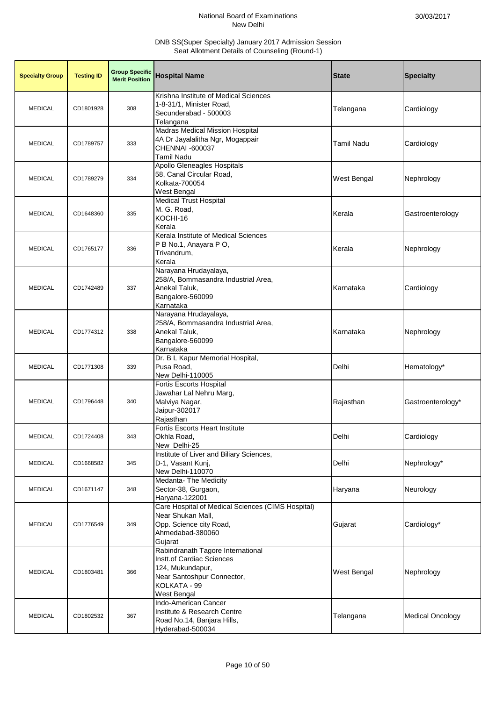| <b>Specialty Group</b> | <b>Testing ID</b> | <b>Group Specific</b><br><b>Merit Position</b> | <b>Hospital Name</b>                                                                                                                            | <b>State</b> | <b>Specialty</b>        |
|------------------------|-------------------|------------------------------------------------|-------------------------------------------------------------------------------------------------------------------------------------------------|--------------|-------------------------|
| <b>MEDICAL</b>         | CD1801928         | 308                                            | Krishna Institute of Medical Sciences<br>1-8-31/1, Minister Road,<br>Secunderabad - 500003<br>Telangana                                         | Telangana    | Cardiology              |
| <b>MEDICAL</b>         | CD1789757         | 333                                            | Madras Medical Mission Hospital<br>4A Dr Jayalalitha Ngr, Mogappair<br>CHENNAI -600037<br><b>Tamil Nadu</b>                                     | Tamil Nadu   | Cardiology              |
| <b>MEDICAL</b>         | CD1789279         | 334                                            | Apollo Gleneagles Hospitals<br>58, Canal Circular Road,<br>Kolkata-700054<br>West Bengal                                                        | West Bengal  | Nephrology              |
| <b>MEDICAL</b>         | CD1648360         | 335                                            | <b>Medical Trust Hospital</b><br>M. G. Road,<br>KOCHI-16<br>Kerala                                                                              | Kerala       | Gastroenterology        |
| <b>MEDICAL</b>         | CD1765177         | 336                                            | Kerala Institute of Medical Sciences<br>P B No.1, Anayara P O,<br>Trivandrum,<br>Kerala                                                         | Kerala       | Nephrology              |
| <b>MEDICAL</b>         | CD1742489         | 337                                            | Narayana Hrudayalaya,<br>258/A, Bommasandra Industrial Area,<br>Anekal Taluk,<br>Bangalore-560099<br>Karnataka                                  | Karnataka    | Cardiology              |
| <b>MEDICAL</b>         | CD1774312         | 338                                            | Narayana Hrudayalaya,<br>258/A, Bommasandra Industrial Area,<br>Anekal Taluk,<br>Bangalore-560099<br>Karnataka                                  | Karnataka    | Nephrology              |
| <b>MEDICAL</b>         | CD1771308         | 339                                            | Dr. B L Kapur Memorial Hospital,<br>Pusa Road,<br>New Delhi-110005                                                                              | Delhi        | Hematology*             |
| <b>MEDICAL</b>         | CD1796448         | 340                                            | Fortis Escorts Hospital<br>Jawahar Lal Nehru Marg,<br>Malviya Nagar,<br>Jaipur-302017<br>Rajasthan                                              | Rajasthan    | Gastroenterology*       |
| <b>MEDICAL</b>         | CD1724408         | 343                                            | <b>Fortis Escorts Heart Institute</b><br>Okhla Road,<br>New Delhi-25                                                                            | Delhi        | Cardiology              |
| <b>MEDICAL</b>         | CD1668582         | 345                                            | Institute of Liver and Biliary Sciences,<br>D-1, Vasant Kunj,<br>New Delhi-110070                                                               | Delhi        | Nephrology*             |
| <b>MEDICAL</b>         | CD1671147         | 348                                            | Medanta-The Medicity<br>Sector-38, Gurgaon,<br>Haryana-122001                                                                                   | Haryana      | Neurology               |
| <b>MEDICAL</b>         | CD1776549         | 349                                            | Care Hospital of Medical Sciences (CIMS Hospital)<br>Near Shukan Mall,<br>Opp. Science city Road,<br>Ahmedabad-380060<br>Gujarat                | Gujarat      | Cardiology*             |
| <b>MEDICAL</b>         | CD1803481         | 366                                            | Rabindranath Tagore International<br>Instt.of Cardiac Sciences<br>124, Mukundapur,<br>Near Santoshpur Connector,<br>KOLKATA - 99<br>West Bengal | West Bengal  | Nephrology              |
| <b>MEDICAL</b>         | CD1802532         | 367                                            | Indo-American Cancer<br>Institute & Research Centre<br>Road No.14, Banjara Hills,<br>Hyderabad-500034                                           | Telangana    | <b>Medical Oncology</b> |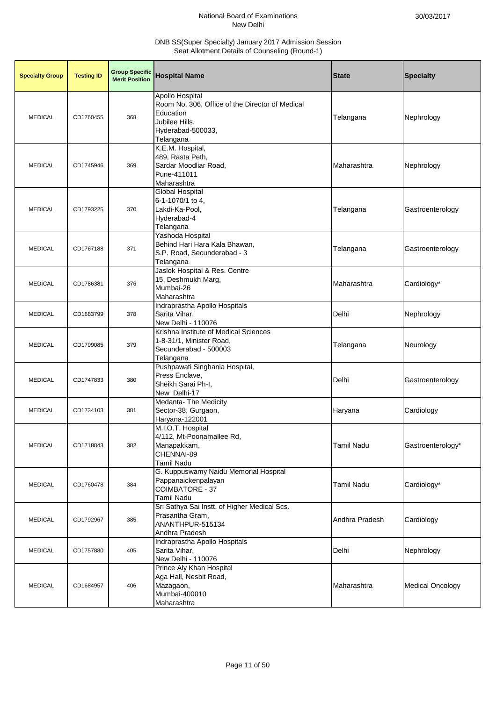| <b>Specialty Group</b> | <b>Testing ID</b> | <b>Group Specific</b><br><b>Merit Position</b> | <b>Hospital Name</b>                                                                                                                | <b>State</b>      | <b>Specialty</b>        |
|------------------------|-------------------|------------------------------------------------|-------------------------------------------------------------------------------------------------------------------------------------|-------------------|-------------------------|
| <b>MEDICAL</b>         | CD1760455         | 368                                            | Apollo Hospital<br>Room No. 306, Office of the Director of Medical<br>Education<br>Jubilee Hills.<br>Hyderabad-500033,<br>Telangana | Telangana         | Nephrology              |
| <b>MEDICAL</b>         | CD1745946         | 369                                            | K.E.M. Hospital,<br>489, Rasta Peth,<br>Sardar Moodliar Road,<br>Pune-411011<br>Maharashtra                                         | Maharashtra       | Nephrology              |
| <b>MEDICAL</b>         | CD1793225         | 370                                            | Global Hospital<br>6-1-1070/1 to 4,<br>Lakdi-Ka-Pool,<br>Hyderabad-4<br>Telangana                                                   | Telangana         | Gastroenterology        |
| <b>MEDICAL</b>         | CD1767188         | 371                                            | Yashoda Hospital<br>Behind Hari Hara Kala Bhawan,<br>S.P. Road, Secunderabad - 3<br>Telangana                                       | Telangana         | Gastroenterology        |
| <b>MEDICAL</b>         | CD1786381         | 376                                            | Jaslok Hospital & Res. Centre<br>15, Deshmukh Marg,<br>Mumbai-26<br>Maharashtra                                                     | Maharashtra       | Cardiology*             |
| <b>MEDICAL</b>         | CD1683799         | 378                                            | Indraprastha Apollo Hospitals<br>Sarita Vihar,<br>New Delhi - 110076                                                                | Delhi             | Nephrology              |
| <b>MEDICAL</b>         | CD1799085         | 379                                            | Krishna Institute of Medical Sciences<br>1-8-31/1, Minister Road,<br>Secunderabad - 500003<br>Telangana                             | Telangana         | Neurology               |
| <b>MEDICAL</b>         | CD1747833         | 380                                            | Pushpawati Singhania Hospital,<br>Press Enclave,<br>Sheikh Sarai Ph-I,<br>New Delhi-17                                              | Delhi             | Gastroenterology        |
| <b>MEDICAL</b>         | CD1734103         | 381                                            | <b>Medanta-The Medicity</b><br>Sector-38, Gurgaon,<br>Haryana-122001                                                                | Haryana           | Cardiology              |
| <b>MEDICAL</b>         | CD1718843         | 382                                            | M.I.O.T. Hospital<br>4/112, Mt-Poonamallee Rd,<br>Manapakkam,<br>CHENNAI-89<br><b>Tamil Nadu</b>                                    | <b>Tamil Nadu</b> | Gastroenterology*       |
| <b>MEDICAL</b>         | CD1760478         | 384                                            | G. Kuppuswamy Naidu Memorial Hospital<br>Pappanaickenpalayan<br><b>COIMBATORE - 37</b><br><b>Tamil Nadu</b>                         | <b>Tamil Nadu</b> | Cardiology*             |
| <b>MEDICAL</b>         | CD1792967         | 385                                            | Sri Sathya Sai Instt. of Higher Medical Scs.<br>Prasantha Gram,<br>ANANTHPUR-515134<br>Andhra Pradesh                               | Andhra Pradesh    | Cardiology              |
| <b>MEDICAL</b>         | CD1757880         | 405                                            | Indraprastha Apollo Hospitals<br>Sarita Vihar,<br>New Delhi - 110076                                                                | Delhi             | Nephrology              |
| <b>MEDICAL</b>         | CD1684957         | 406                                            | Prince Aly Khan Hospital<br>Aga Hall, Nesbit Road,<br>Mazagaon,<br>Mumbai-400010<br>Maharashtra                                     | Maharashtra       | <b>Medical Oncology</b> |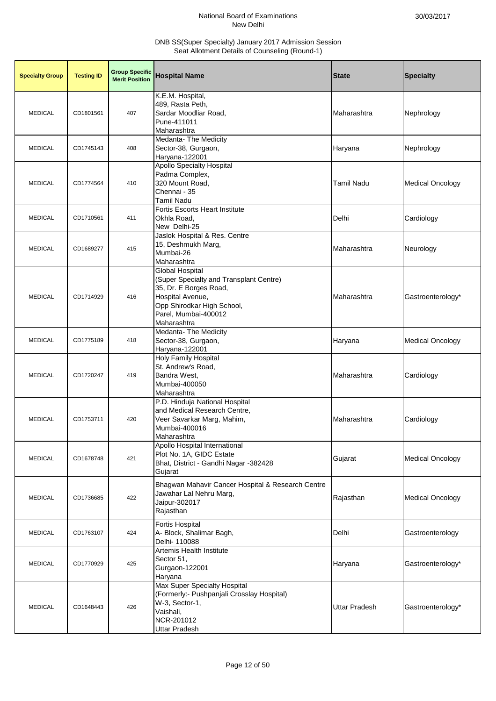| <b>Specialty Group</b> | <b>Testing ID</b> | <b>Group Specific</b><br><b>Merit Position</b> | <b>Hospital Name</b>                                                                                                                                                          | <b>State</b>         | <b>Specialty</b>        |
|------------------------|-------------------|------------------------------------------------|-------------------------------------------------------------------------------------------------------------------------------------------------------------------------------|----------------------|-------------------------|
| <b>MEDICAL</b>         | CD1801561         | 407                                            | K.E.M. Hospital,<br>489, Rasta Peth,<br>Sardar Moodliar Road,<br>Pune-411011<br>Maharashtra                                                                                   | Maharashtra          | Nephrology              |
| <b>MEDICAL</b>         | CD1745143         | 408                                            | Medanta- The Medicity<br>Sector-38, Gurgaon,<br>Haryana-122001                                                                                                                | Haryana              | Nephrology              |
| <b>MEDICAL</b>         | CD1774564         | 410                                            | <b>Apollo Specialty Hospital</b><br>Padma Complex,<br>320 Mount Road,<br>Chennai - 35<br>Tamil Nadu                                                                           | <b>Tamil Nadu</b>    | <b>Medical Oncology</b> |
| <b>MEDICAL</b>         | CD1710561         | 411                                            | <b>Fortis Escorts Heart Institute</b><br>Okhla Road,<br>New Delhi-25                                                                                                          | Delhi                | Cardiology              |
| <b>MEDICAL</b>         | CD1689277         | 415                                            | Jaslok Hospital & Res. Centre<br>15, Deshmukh Marg,<br>Mumbai-26<br>Maharashtra                                                                                               | Maharashtra          | Neurology               |
| <b>MEDICAL</b>         | CD1714929         | 416                                            | Global Hospital<br>(Super Specialty and Transplant Centre)<br>35, Dr. E Borges Road,<br>Hospital Avenue,<br>Opp Shirodkar High School,<br>Parel, Mumbai-400012<br>Maharashtra | Maharashtra          | Gastroenterology*       |
| <b>MEDICAL</b>         | CD1775189         | 418                                            | <b>Medanta-The Medicity</b><br>Sector-38, Gurgaon,<br>Haryana-122001                                                                                                          | Haryana              | <b>Medical Oncology</b> |
| <b>MEDICAL</b>         | CD1720247         | 419                                            | <b>Holy Family Hospital</b><br>St. Andrew's Road,<br>Bandra West,<br>Mumbai-400050<br>Maharashtra                                                                             | Maharashtra          | Cardiology              |
| <b>MEDICAL</b>         | CD1753711         | 420                                            | P.D. Hinduja National Hospital<br>and Medical Research Centre,<br>Veer Savarkar Marg, Mahim,<br>Mumbai-400016<br>Maharashtra                                                  | Maharashtra          | Cardiology              |
| <b>MEDICAL</b>         | CD1678748         | 421                                            | Apollo Hospital International<br>Plot No. 1A, GIDC Estate<br>Bhat, District - Gandhi Nagar -382428<br>Gujarat                                                                 | Gujarat              | <b>Medical Oncology</b> |
| <b>MEDICAL</b>         | CD1736685         | 422                                            | Bhagwan Mahavir Cancer Hospital & Research Centre<br>Jawahar Lal Nehru Marg,<br>Jaipur-302017<br>Rajasthan                                                                    | Rajasthan            | <b>Medical Oncology</b> |
| <b>MEDICAL</b>         | CD1763107         | 424                                            | <b>Fortis Hospital</b><br>A- Block, Shalimar Bagh,<br>Delhi- 110088                                                                                                           | Delhi                | Gastroenterology        |
| <b>MEDICAL</b>         | CD1770929         | 425                                            | Artemis Health Institute<br>Sector 51,<br>Gurgaon-122001<br>Haryana                                                                                                           | Haryana              | Gastroenterology*       |
| <b>MEDICAL</b>         | CD1648443         | 426                                            | Max Super Specialty Hospital<br>(Formerly:- Pushpanjali Crosslay Hospital)<br>W-3, Sector-1,<br>Vaishali,<br>NCR-201012<br>Uttar Pradesh                                      | <b>Uttar Pradesh</b> | Gastroenterology*       |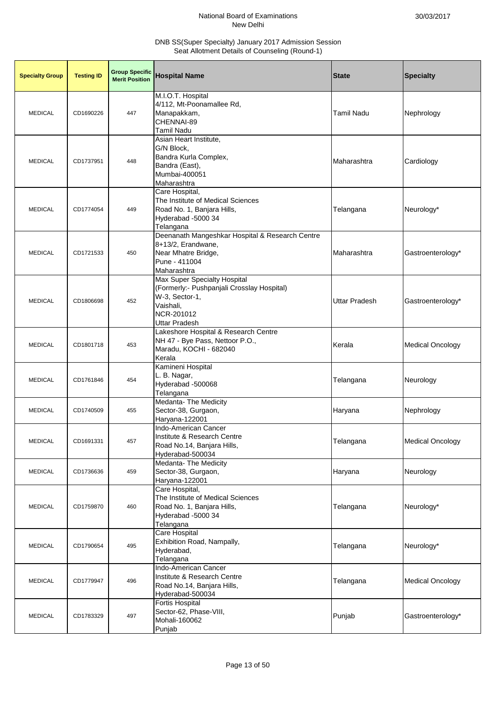| <b>Specialty Group</b> | <b>Testing ID</b> | <b>Group Specific</b><br><b>Merit Position</b> | <b>Hospital Name</b>                                                                                                                            | <b>State</b>      | <b>Specialty</b>        |
|------------------------|-------------------|------------------------------------------------|-------------------------------------------------------------------------------------------------------------------------------------------------|-------------------|-------------------------|
| <b>MEDICAL</b>         | CD1690226         | 447                                            | M.I.O.T. Hospital<br>4/112, Mt-Poonamallee Rd,<br>Manapakkam,<br>CHENNAI-89<br>Tamil Nadu                                                       | <b>Tamil Nadu</b> | Nephrology              |
| <b>MEDICAL</b>         | CD1737951         | 448                                            | Asian Heart Institute,<br>G/N Block,<br>Bandra Kurla Complex,<br>Bandra (East),<br>Mumbai-400051<br>Maharashtra                                 | Maharashtra       | Cardiology              |
| <b>MEDICAL</b>         | CD1774054         | 449                                            | Care Hospital,<br>The Institute of Medical Sciences<br>Road No. 1, Banjara Hills,<br>Hyderabad -5000 34<br>Telangana                            | Telangana         | Neurology*              |
| <b>MEDICAL</b>         | CD1721533         | 450                                            | Deenanath Mangeshkar Hospital & Research Centre<br>8+13/2, Erandwane,<br>Near Mhatre Bridge,<br>Pune - 411004<br>Maharashtra                    | Maharashtra       | Gastroenterology*       |
| <b>MEDICAL</b>         | CD1806698         | 452                                            | Max Super Specialty Hospital<br>(Formerly:- Pushpanjali Crosslay Hospital)<br>W-3, Sector-1,<br>Vaishali,<br>NCR-201012<br><b>Uttar Pradesh</b> | Uttar Pradesh     | Gastroenterology*       |
| <b>MEDICAL</b>         | CD1801718         | 453                                            | Lakeshore Hospital & Research Centre<br>NH 47 - Bye Pass, Nettoor P.O.,<br>Maradu, KOCHI - 682040<br>Kerala                                     | Kerala            | <b>Medical Oncology</b> |
| <b>MEDICAL</b>         | CD1761846         | 454                                            | Kamineni Hospital<br>L. B. Nagar,<br>Hyderabad -500068<br>Telangana                                                                             | Telangana         | Neurology               |
| <b>MEDICAL</b>         | CD1740509         | 455                                            | <b>Medanta- The Medicity</b><br>Sector-38, Gurgaon,<br>Haryana-122001                                                                           | Haryana           | Nephrology              |
| <b>MEDICAL</b>         | CD1691331         | 457                                            | Indo-American Cancer<br>Institute & Research Centre<br>Road No.14, Banjara Hills,<br>Hyderabad-500034                                           | Telangana         | <b>Medical Oncology</b> |
| <b>MEDICAL</b>         | CD1736636         | 459                                            | Medanta- The Medicity<br>Sector-38, Gurgaon,<br>Haryana-122001                                                                                  | Haryana           | Neurology               |
| <b>MEDICAL</b>         | CD1759870         | 460                                            | Care Hospital,<br>The Institute of Medical Sciences<br>Road No. 1, Banjara Hills,<br>Hyderabad -5000 34<br>Telangana                            | Telangana         | Neurology*              |
| <b>MEDICAL</b>         | CD1790654         | 495                                            | Care Hospital<br>Exhibition Road, Nampally,<br>Hyderabad,<br>Telangana                                                                          | Telangana         | Neurology*              |
| <b>MEDICAL</b>         | CD1779947         | 496                                            | Indo-American Cancer<br>Institute & Research Centre<br>Road No.14, Banjara Hills,<br>Hyderabad-500034                                           | Telangana         | <b>Medical Oncology</b> |
| <b>MEDICAL</b>         | CD1783329         | 497                                            | <b>Fortis Hospital</b><br>Sector-62, Phase-VIII,<br>Mohali-160062<br>Punjab                                                                     | Punjab            | Gastroenterology*       |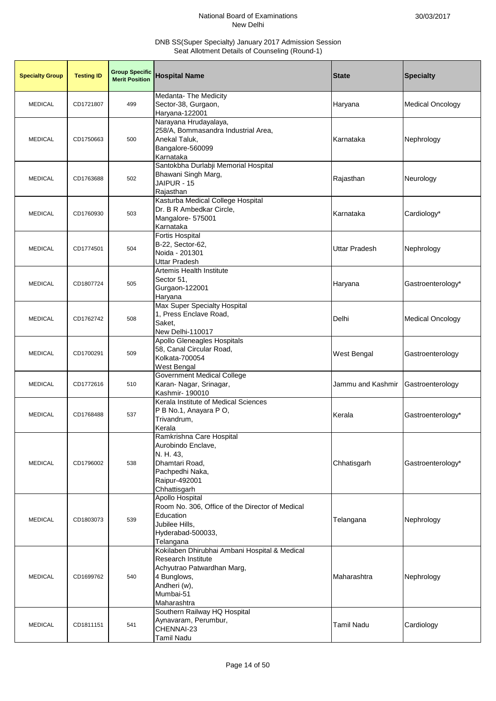| <b>Specialty Group</b> | <b>Testing ID</b> | <b>Group Specific</b><br><b>Merit Position</b> | <b>Hospital Name</b>                                                                                                                                                | <b>State</b>      | <b>Specialty</b>        |
|------------------------|-------------------|------------------------------------------------|---------------------------------------------------------------------------------------------------------------------------------------------------------------------|-------------------|-------------------------|
| <b>MEDICAL</b>         | CD1721807         | 499                                            | Medanta- The Medicity<br>Sector-38, Gurgaon,<br>Haryana-122001                                                                                                      | Haryana           | <b>Medical Oncology</b> |
| <b>MEDICAL</b>         | CD1750663         | 500                                            | Narayana Hrudayalaya,<br>258/A, Bommasandra Industrial Area,<br>Anekal Taluk,<br>Bangalore-560099<br>Karnataka                                                      | Karnataka         | Nephrology              |
| <b>MEDICAL</b>         | CD1763688         | 502                                            | Santokbha Durlabji Memorial Hospital<br>Bhawani Singh Marg,<br>JAIPUR - 15<br>Rajasthan                                                                             | Rajasthan         | Neurology               |
| <b>MEDICAL</b>         | CD1760930         | 503                                            | Kasturba Medical College Hospital<br>Dr. B R Ambedkar Circle,<br>Mangalore- 575001<br>Karnataka                                                                     | Karnataka         | Cardiology*             |
| <b>MEDICAL</b>         | CD1774501         | 504                                            | Fortis Hospital<br>B-22, Sector-62,<br>Noida - 201301<br><b>Uttar Pradesh</b>                                                                                       | Uttar Pradesh     | Nephrology              |
| <b>MEDICAL</b>         | CD1807724         | 505                                            | Artemis Health Institute<br>Sector 51,<br>Gurgaon-122001<br>Haryana                                                                                                 | Haryana           | Gastroenterology*       |
| <b>MEDICAL</b>         | CD1762742         | 508                                            | Max Super Specialty Hospital<br>1, Press Enclave Road,<br>Saket,<br>New Delhi-110017                                                                                | Delhi             | <b>Medical Oncology</b> |
| <b>MEDICAL</b>         | CD1700291         | 509                                            | Apollo Gleneagles Hospitals<br>58, Canal Circular Road,<br>Kolkata-700054<br>West Bengal                                                                            | West Bengal       | Gastroenterology        |
| <b>MEDICAL</b>         | CD1772616         | 510                                            | <b>Government Medical College</b><br>Karan- Nagar, Srinagar,<br>Kashmir- 190010                                                                                     | Jammu and Kashmir | Gastroenterology        |
| <b>MEDICAL</b>         | CD1768488         | 537                                            | Kerala Institute of Medical Sciences<br>P B No.1, Anayara P O,<br>Trivandrum,<br>Kerala                                                                             | Kerala            | Gastroenterology*       |
| <b>MEDICAL</b>         | CD1796002         | 538                                            | Ramkrishna Care Hospital<br>Aurobindo Enclave,<br>N. H. 43,<br>Dhamtari Road,<br>Pachpedhi Naka,<br>Raipur-492001<br>Chhattisgarh                                   | Chhatisgarh       | Gastroenterology*       |
| <b>MEDICAL</b>         | CD1803073         | 539                                            | Apollo Hospital<br>Room No. 306, Office of the Director of Medical<br>Education<br>Jubilee Hills,<br>Hyderabad-500033,<br>Telangana                                 | Telangana         | Nephrology              |
| <b>MEDICAL</b>         | CD1699762         | 540                                            | Kokilaben Dhirubhai Ambani Hospital & Medical<br><b>Research Institute</b><br>Achyutrao Patwardhan Marg,<br>4 Bunglows,<br>Andheri (w),<br>Mumbai-51<br>Maharashtra | Maharashtra       | Nephrology              |
| <b>MEDICAL</b>         | CD1811151         | 541                                            | Southern Railway HQ Hospital<br>Aynavaram, Perumbur,<br>CHENNAI-23<br>Tamil Nadu                                                                                    | <b>Tamil Nadu</b> | Cardiology              |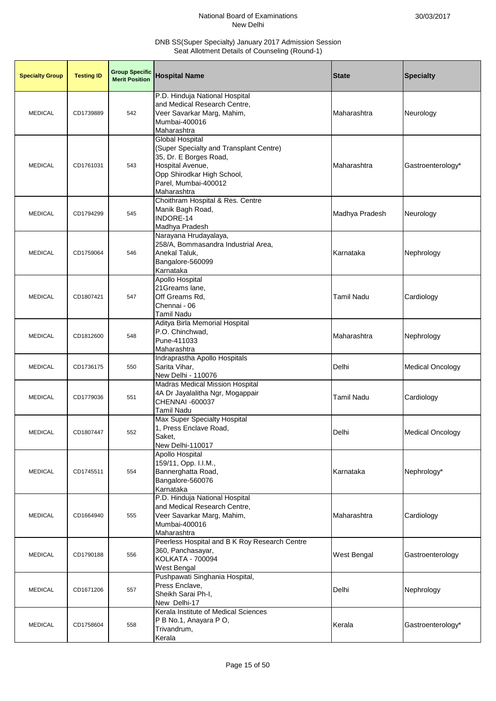| <b>Specialty Group</b> | <b>Testing ID</b> | <b>Group Specific</b><br><b>Merit Position</b> | <b>Hospital Name</b>                                                                                                                                                                 | <b>State</b>      | <b>Specialty</b>        |
|------------------------|-------------------|------------------------------------------------|--------------------------------------------------------------------------------------------------------------------------------------------------------------------------------------|-------------------|-------------------------|
| <b>MEDICAL</b>         | CD1739889         | 542                                            | P.D. Hinduja National Hospital<br>and Medical Research Centre,<br>Veer Savarkar Marg, Mahim,<br>Mumbai-400016<br>Maharashtra                                                         | Maharashtra       | Neurology               |
| <b>MEDICAL</b>         | CD1761031         | 543                                            | <b>Global Hospital</b><br>(Super Specialty and Transplant Centre)<br>35, Dr. E Borges Road,<br>Hospital Avenue,<br>Opp Shirodkar High School,<br>Parel, Mumbai-400012<br>Maharashtra | Maharashtra       | Gastroenterology*       |
| <b>MEDICAL</b>         | CD1794299         | 545                                            | Choithram Hospital & Res. Centre<br>Manik Bagh Road,<br>INDORE-14<br>Madhya Pradesh                                                                                                  | Madhya Pradesh    | Neurology               |
| <b>MEDICAL</b>         | CD1759064         | 546                                            | Narayana Hrudayalaya,<br>258/A, Bommasandra Industrial Area,<br>Anekal Taluk,<br>Bangalore-560099<br>Karnataka                                                                       | Karnataka         | Nephrology              |
| <b>MEDICAL</b>         | CD1807421         | 547                                            | <b>Apollo Hospital</b><br>21Greams lane,<br>Off Greams Rd,<br>Chennai - 06<br>Tamil Nadu                                                                                             | <b>Tamil Nadu</b> | Cardiology              |
| <b>MEDICAL</b>         | CD1812600         | 548                                            | Aditya Birla Memorial Hospital<br>P.O. Chinchwad,<br>Pune-411033<br>Maharashtra                                                                                                      | Maharashtra       | Nephrology              |
| <b>MEDICAL</b>         | CD1736175         | 550                                            | Indraprastha Apollo Hospitals<br>Sarita Vihar,<br>New Delhi - 110076                                                                                                                 | Delhi             | <b>Medical Oncology</b> |
| <b>MEDICAL</b>         | CD1779036         | 551                                            | <b>Madras Medical Mission Hospital</b><br>4A Dr Jayalalitha Ngr, Mogappair<br>CHENNAI -600037<br>Tamil Nadu                                                                          | Tamil Nadu        | Cardiology              |
| <b>MEDICAL</b>         | CD1807447         | 552                                            | Max Super Specialty Hospital<br>1, Press Enclave Road,<br>Saket,<br>New Delhi-110017                                                                                                 | Delhi             | <b>Medical Oncology</b> |
| <b>MEDICAL</b>         | CD1745511         | 554                                            | <b>Apollo Hospital</b><br>159/11, Opp. I.I.M.,<br>Bannerghatta Road,<br>Bangalore-560076<br>Karnataka                                                                                | Karnataka         | Nephrology*             |
| <b>MEDICAL</b>         | CD1664940         | 555                                            | P.D. Hinduja National Hospital<br>and Medical Research Centre,<br>Veer Savarkar Marg, Mahim,<br>Mumbai-400016<br>Maharashtra                                                         | Maharashtra       | Cardiology              |
| <b>MEDICAL</b>         | CD1790188         | 556                                            | Peerless Hospital and B K Roy Research Centre<br>360, Panchasayar,<br>KOLKATA - 700094<br>West Bengal                                                                                | West Bengal       | Gastroenterology        |
| <b>MEDICAL</b>         | CD1671206         | 557                                            | Pushpawati Singhania Hospital,<br>Press Enclave,<br>Sheikh Sarai Ph-I,<br>New Delhi-17                                                                                               | Delhi             | Nephrology              |
| <b>MEDICAL</b>         | CD1758604         | 558                                            | Kerala Institute of Medical Sciences<br>P B No.1, Anayara P O,<br>Trivandrum,<br>Kerala                                                                                              | Kerala            | Gastroenterology*       |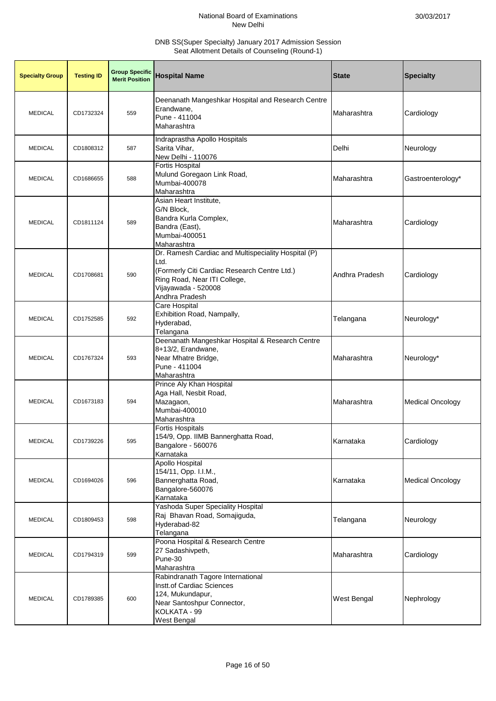| <b>Specialty Group</b> | <b>Testing ID</b> | <b>Group Specific</b><br><b>Merit Position</b> | <b>Hospital Name</b>                                                                                                                                                                 | <b>State</b>       | <b>Specialty</b>        |
|------------------------|-------------------|------------------------------------------------|--------------------------------------------------------------------------------------------------------------------------------------------------------------------------------------|--------------------|-------------------------|
| <b>MEDICAL</b>         | CD1732324         | 559                                            | Deenanath Mangeshkar Hospital and Research Centre<br>Erandwane,<br>Pune - 411004<br>Maharashtra                                                                                      | Maharashtra        | Cardiology              |
| <b>MEDICAL</b>         | CD1808312         | 587                                            | Indraprastha Apollo Hospitals<br>Sarita Vihar.<br>New Delhi - 110076                                                                                                                 | Delhi              | Neurology               |
| <b>MEDICAL</b>         | CD1686655         | 588                                            | Fortis Hospital<br>Mulund Goregaon Link Road,<br>Mumbai-400078<br>Maharashtra                                                                                                        | Maharashtra        | Gastroenterology*       |
| <b>MEDICAL</b>         | CD1811124         | 589                                            | Asian Heart Institute,<br>G/N Block,<br>Bandra Kurla Complex,<br>Bandra (East),<br>Mumbai-400051<br>Maharashtra                                                                      | Maharashtra        | Cardiology              |
| <b>MEDICAL</b>         | CD1708681         | 590                                            | Dr. Ramesh Cardiac and Multispeciality Hospital (P)<br>Ltd.<br>(Formerly Citi Cardiac Research Centre Ltd.)<br>Ring Road, Near ITI College,<br>Vijayawada - 520008<br>Andhra Pradesh | Andhra Pradesh     | Cardiology              |
| <b>MEDICAL</b>         | CD1752585         | 592                                            | Care Hospital<br>Exhibition Road, Nampally,<br>Hyderabad,<br>Telangana                                                                                                               | Telangana          | Neurology*              |
| <b>MEDICAL</b>         | CD1767324         | 593                                            | Deenanath Mangeshkar Hospital & Research Centre<br>8+13/2, Erandwane,<br>Near Mhatre Bridge,<br>Pune - 411004<br>Maharashtra                                                         | Maharashtra        | Neurology*              |
| <b>MEDICAL</b>         | CD1673183         | 594                                            | Prince Aly Khan Hospital<br>Aga Hall, Nesbit Road,<br>Mazagaon,<br>Mumbai-400010<br>Maharashtra                                                                                      | Maharashtra        | <b>Medical Oncology</b> |
| <b>MEDICAL</b>         | CD1739226         | 595                                            | <b>Fortis Hospitals</b><br>154/9, Opp. IIMB Bannerghatta Road,<br>Bangalore - 560076<br>Karnataka                                                                                    | Karnataka          | Cardiology              |
| <b>MEDICAL</b>         | CD1694026         | 596                                            | <b>Apollo Hospital</b><br>154/11, Opp. I.I.M.,<br>Bannerghatta Road,<br>Bangalore-560076<br>Karnataka                                                                                | Karnataka          | <b>Medical Oncology</b> |
| <b>MEDICAL</b>         | CD1809453         | 598                                            | Yashoda Super Speciality Hospital<br>Raj Bhavan Road, Somajiguda,<br>Hyderabad-82<br>Telangana                                                                                       | Telangana          | Neurology               |
| <b>MEDICAL</b>         | CD1794319         | 599                                            | Poona Hospital & Research Centre<br>27 Sadashivpeth,<br>Pune-30<br>Maharashtra                                                                                                       | Maharashtra        | Cardiology              |
| <b>MEDICAL</b>         | CD1789385         | 600                                            | Rabindranath Tagore International<br>Instt.of Cardiac Sciences<br>124, Mukundapur,<br>Near Santoshpur Connector,<br>KOLKATA - 99<br>West Bengal                                      | <b>West Bengal</b> | Nephrology              |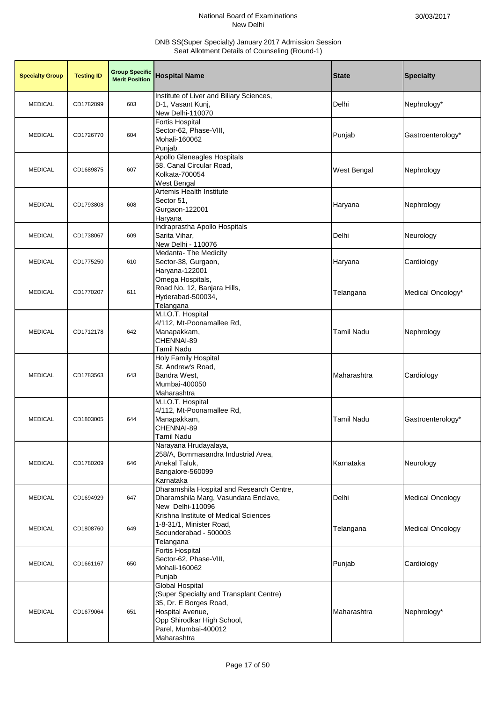| <b>Specialty Group</b> | <b>Testing ID</b> | <b>Group Specific</b><br><b>Merit Position</b> | <b>Hospital Name</b>                                                                                                                                                          | <b>State</b>       | <b>Specialty</b>        |
|------------------------|-------------------|------------------------------------------------|-------------------------------------------------------------------------------------------------------------------------------------------------------------------------------|--------------------|-------------------------|
| <b>MEDICAL</b>         | CD1782899         | 603                                            | Institute of Liver and Biliary Sciences,<br>D-1, Vasant Kunj,<br>New Delhi-110070                                                                                             | Delhi              | Nephrology*             |
| <b>MEDICAL</b>         | CD1726770         | 604                                            | <b>Fortis Hospital</b><br>Sector-62, Phase-VIII,<br>Mohali-160062<br>Punjab                                                                                                   | Punjab             | Gastroenterology*       |
| <b>MEDICAL</b>         | CD1689875         | 607                                            | Apollo Gleneagles Hospitals<br>58, Canal Circular Road,<br>Kolkata-700054<br>West Bengal                                                                                      | <b>West Bengal</b> | Nephrology              |
| <b>MEDICAL</b>         | CD1793808         | 608                                            | Artemis Health Institute<br>Sector 51,<br>Gurgaon-122001<br>Haryana                                                                                                           | Haryana            | Nephrology              |
| <b>MEDICAL</b>         | CD1738067         | 609                                            | Indraprastha Apollo Hospitals<br>Sarita Vihar,<br>New Delhi - 110076                                                                                                          | Delhi              | Neurology               |
| <b>MEDICAL</b>         | CD1775250         | 610                                            | Medanta- The Medicity<br>Sector-38, Gurgaon,<br>Haryana-122001                                                                                                                | Haryana            | Cardiology              |
| <b>MEDICAL</b>         | CD1770207         | 611                                            | Omega Hospitals,<br>Road No. 12, Banjara Hills,<br>Hyderabad-500034,<br>Telangana                                                                                             | Telangana          | Medical Oncology*       |
| <b>MEDICAL</b>         | CD1712178         | 642                                            | M.I.O.T. Hospital<br>4/112, Mt-Poonamallee Rd,<br>Manapakkam,<br>CHENNAI-89<br>Tamil Nadu                                                                                     | <b>Tamil Nadu</b>  | Nephrology              |
| <b>MEDICAL</b>         | CD1783563         | 643                                            | <b>Holy Family Hospital</b><br>St. Andrew's Road,<br>Bandra West,<br>Mumbai-400050<br>Maharashtra                                                                             | Maharashtra        | Cardiology              |
| <b>MEDICAL</b>         | CD1803005         | 644                                            | M.I.O.T. Hospital<br>4/112, Mt-Poonamallee Rd,<br>Manapakkam,<br>CHENNAI-89<br><b>Tamil Nadu</b>                                                                              | <b>Tamil Nadu</b>  | Gastroenterology*       |
| <b>MEDICAL</b>         | CD1780209         | 646                                            | Narayana Hrudayalaya,<br>258/A, Bommasandra Industrial Area,<br>Anekal Taluk,<br>Bangalore-560099<br>Karnataka                                                                | Karnataka          | Neurology               |
| <b>MEDICAL</b>         | CD1694929         | 647                                            | Dharamshila Hospital and Research Centre,<br>Dharamshila Marg, Vasundara Enclave,<br>New Delhi-110096                                                                         | Delhi              | <b>Medical Oncology</b> |
| <b>MEDICAL</b>         | CD1808760         | 649                                            | Krishna Institute of Medical Sciences<br>1-8-31/1, Minister Road,<br>Secunderabad - 500003<br>Telangana                                                                       | Telangana          | <b>Medical Oncology</b> |
| <b>MEDICAL</b>         | CD1661167         | 650                                            | Fortis Hospital<br>Sector-62, Phase-VIII,<br>Mohali-160062<br>Punjab                                                                                                          | Punjab             | Cardiology              |
| <b>MEDICAL</b>         | CD1679064         | 651                                            | Global Hospital<br>(Super Specialty and Transplant Centre)<br>35, Dr. E Borges Road,<br>Hospital Avenue,<br>Opp Shirodkar High School,<br>Parel, Mumbai-400012<br>Maharashtra | Maharashtra        | Nephrology*             |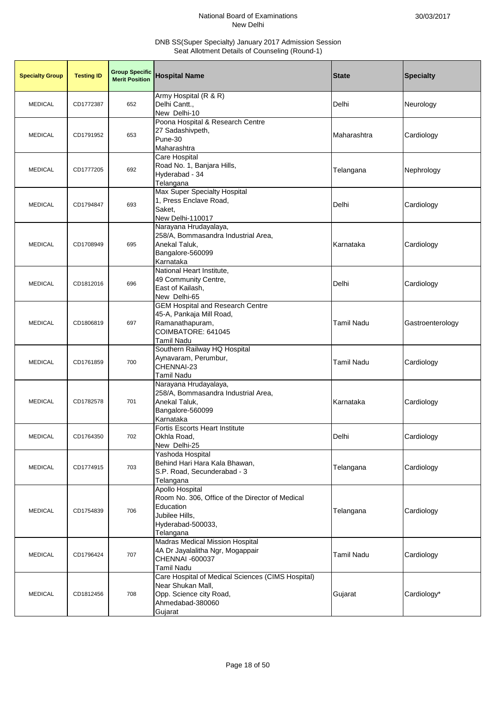| <b>Specialty Group</b> | <b>Testing ID</b> | <b>Group Specific</b><br><b>Merit Position</b> | <b>Hospital Name</b>                                                                                                                | <b>State</b>      | <b>Specialty</b> |
|------------------------|-------------------|------------------------------------------------|-------------------------------------------------------------------------------------------------------------------------------------|-------------------|------------------|
| <b>MEDICAL</b>         | CD1772387         | 652                                            | Army Hospital (R & R)<br>Delhi Cantt.,<br>New Delhi-10                                                                              | Delhi             | Neurology        |
| <b>MEDICAL</b>         | CD1791952         | 653                                            | Poona Hospital & Research Centre<br>27 Sadashivpeth,<br>Pune-30<br>Maharashtra                                                      | Maharashtra       | Cardiology       |
| <b>MEDICAL</b>         | CD1777205         | 692                                            | Care Hospital<br>Road No. 1, Banjara Hills,<br>Hyderabad - 34<br>Telangana                                                          | Telangana         | Nephrology       |
| <b>MEDICAL</b>         | CD1794847         | 693                                            | Max Super Specialty Hospital<br>1, Press Enclave Road,<br>Saket,<br>New Delhi-110017                                                | Delhi             | Cardiology       |
| <b>MEDICAL</b>         | CD1708949         | 695                                            | Narayana Hrudayalaya,<br>258/A, Bommasandra Industrial Area,<br>Anekal Taluk,<br>Bangalore-560099<br>Karnataka                      | Karnataka         | Cardiology       |
| <b>MEDICAL</b>         | CD1812016         | 696                                            | National Heart Institute,<br>49 Community Centre,<br>East of Kailash,<br>New Delhi-65                                               | Delhi             | Cardiology       |
| <b>MEDICAL</b>         | CD1806819         | 697                                            | <b>GEM Hospital and Research Centre</b><br>45-A, Pankaja Mill Road,<br>Ramanathapuram,<br>COIMBATORE: 641045<br><b>Tamil Nadu</b>   | <b>Tamil Nadu</b> | Gastroenterology |
| <b>MEDICAL</b>         | CD1761859         | 700                                            | Southern Railway HQ Hospital<br>Aynavaram, Perumbur,<br>CHENNAI-23<br>Tamil Nadu                                                    | <b>Tamil Nadu</b> | Cardiology       |
| <b>MEDICAL</b>         | CD1782578         | 701                                            | Narayana Hrudayalaya,<br>258/A, Bommasandra Industrial Area,<br>Anekal Taluk,<br>Bangalore-560099<br>Karnataka                      | Karnataka         | Cardiology       |
| <b>MEDICAL</b>         | CD1764350         | 702                                            | <b>Fortis Escorts Heart Institute</b><br>Okhla Road,<br>New Delhi-25                                                                | Delhi             | Cardiology       |
| <b>MEDICAL</b>         | CD1774915         | 703                                            | Yashoda Hospital<br>Behind Hari Hara Kala Bhawan,<br>S.P. Road, Secunderabad - 3<br>Telangana                                       | Telangana         | Cardiology       |
| <b>MEDICAL</b>         | CD1754839         | 706                                            | Apollo Hospital<br>Room No. 306, Office of the Director of Medical<br>Education<br>Jubilee Hills,<br>Hyderabad-500033,<br>Telangana | Telangana         | Cardiology       |
| <b>MEDICAL</b>         | CD1796424         | 707                                            | Madras Medical Mission Hospital<br>4A Dr Jayalalitha Ngr, Mogappair<br>CHENNAI -600037<br><b>Tamil Nadu</b>                         | <b>Tamil Nadu</b> | Cardiology       |
| <b>MEDICAL</b>         | CD1812456         | 708                                            | Care Hospital of Medical Sciences (CIMS Hospital)<br>Near Shukan Mall,<br>Opp. Science city Road,<br>Ahmedabad-380060<br>Gujarat    | Gujarat           | Cardiology*      |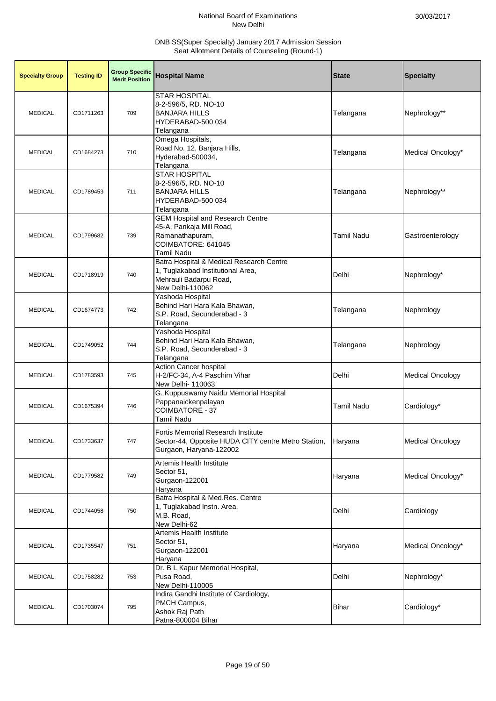| <b>Specialty Group</b> | <b>Testing ID</b> | <b>Group Specific</b><br><b>Merit Position</b> | <b>Hospital Name</b>                                                                                                        | <b>State</b>      | <b>Specialty</b>        |
|------------------------|-------------------|------------------------------------------------|-----------------------------------------------------------------------------------------------------------------------------|-------------------|-------------------------|
| <b>MEDICAL</b>         | CD1711263         | 709                                            | STAR HOSPITAL<br>8-2-596/5, RD. NO-10<br><b>BANJARA HILLS</b><br>HYDERABAD-500 034<br>Telangana                             | Telangana         | Nephrology**            |
| <b>MEDICAL</b>         | CD1684273         | 710                                            | Omega Hospitals,<br>Road No. 12, Banjara Hills,<br>Hyderabad-500034,<br>Telangana                                           | Telangana         | Medical Oncology*       |
| <b>MEDICAL</b>         | CD1789453         | 711                                            | <b>STAR HOSPITAL</b><br>8-2-596/5, RD. NO-10<br><b>BANJARA HILLS</b><br>HYDERABAD-500 034<br>Telangana                      | Telangana         | Nephrology**            |
| <b>MEDICAL</b>         | CD1799682         | 739                                            | <b>GEM Hospital and Research Centre</b><br>45-A, Pankaja Mill Road,<br>Ramanathapuram,<br>COIMBATORE: 641045<br>Tamil Nadu  | <b>Tamil Nadu</b> | Gastroenterology        |
| <b>MEDICAL</b>         | CD1718919         | 740                                            | Batra Hospital & Medical Research Centre<br>1, Tuglakabad Institutional Area,<br>Mehrauli Badarpu Road,<br>New Delhi-110062 | Delhi             | Nephrology*             |
| <b>MEDICAL</b>         | CD1674773         | 742                                            | Yashoda Hospital<br>Behind Hari Hara Kala Bhawan,<br>S.P. Road, Secunderabad - 3<br>Telangana                               | Telangana         | Nephrology              |
| <b>MEDICAL</b>         | CD1749052         | 744                                            | Yashoda Hospital<br>Behind Hari Hara Kala Bhawan,<br>S.P. Road, Secunderabad - 3<br>Telangana                               | Telangana         | Nephrology              |
| <b>MEDICAL</b>         | CD1783593         | 745                                            | <b>Action Cancer hospital</b><br>H-2/FC-34, A-4 Paschim Vihar<br>New Delhi- 110063                                          | Delhi             | <b>Medical Oncology</b> |
| <b>MEDICAL</b>         | CD1675394         | 746                                            | G. Kuppuswamy Naidu Memorial Hospital<br>Pappanaickenpalayan<br><b>COIMBATORE - 37</b><br>Tamil Nadu                        | Tamil Nadu        | Cardiology*             |
| <b>MEDICAL</b>         | CD1733637         | 747                                            | Fortis Memorial Research Institute<br>Sector-44, Opposite HUDA CITY centre Metro Station,<br>Gurgaon, Haryana-122002        | Haryana           | <b>Medical Oncology</b> |
| <b>MEDICAL</b>         | CD1779582         | 749                                            | Artemis Health Institute<br>Sector 51,<br>Gurgaon-122001<br>Haryana                                                         | Haryana           | Medical Oncology*       |
| <b>MEDICAL</b>         | CD1744058         | 750                                            | Batra Hospital & Med.Res. Centre<br>1, Tuglakabad Instn. Area,<br>M.B. Road,<br>New Delhi-62                                | Delhi             | Cardiology              |
| <b>MEDICAL</b>         | CD1735547         | 751                                            | Artemis Health Institute<br>Sector 51,<br>Gurgaon-122001<br>Haryana                                                         | Haryana           | Medical Oncology*       |
| <b>MEDICAL</b>         | CD1758282         | 753                                            | Dr. B L Kapur Memorial Hospital,<br>Pusa Road,<br>New Delhi-110005                                                          | Delhi             | Nephrology*             |
| <b>MEDICAL</b>         | CD1703074         | 795                                            | Indira Gandhi Institute of Cardiology,<br>PMCH Campus,<br>Ashok Raj Path<br>Patna-800004 Bihar                              | <b>Bihar</b>      | Cardiology*             |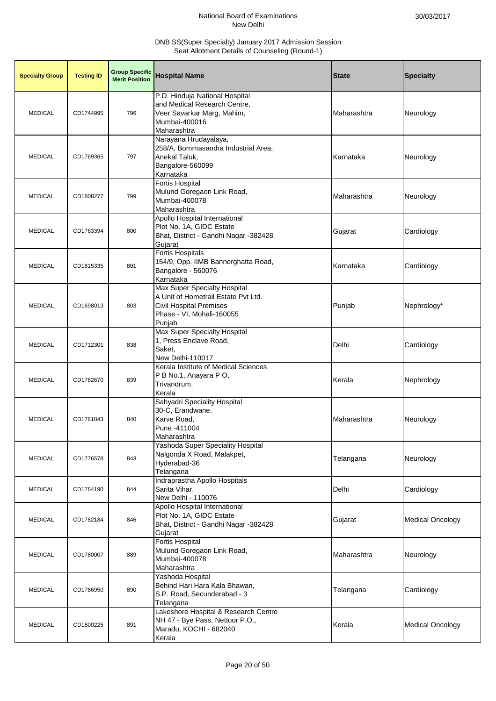| <b>Specialty Group</b> | <b>Testing ID</b> | <b>Group Specific</b><br><b>Merit Position</b> | <b>Hospital Name</b>                                                                                                                         | <b>State</b> | <b>Specialty</b>        |
|------------------------|-------------------|------------------------------------------------|----------------------------------------------------------------------------------------------------------------------------------------------|--------------|-------------------------|
| <b>MEDICAL</b>         | CD1744995         | 796                                            | P.D. Hinduja National Hospital<br>and Medical Research Centre,<br>Veer Savarkar Marg, Mahim,<br>Mumbai-400016<br>Maharashtra                 | Maharashtra  | Neurology               |
| <b>MEDICAL</b>         | CD1769365         | 797                                            | Narayana Hrudayalaya,<br>258/A, Bommasandra Industrial Area,<br>Anekal Taluk,<br>Bangalore-560099<br>Karnataka                               | Karnataka    | Neurology               |
| <b>MEDICAL</b>         | CD1808277         | 799                                            | <b>Fortis Hospital</b><br>Mulund Goregaon Link Road,<br>Mumbai-400078<br>Maharashtra                                                         | Maharashtra  | Neurology               |
| <b>MEDICAL</b>         | CD1763394         | 800                                            | Apollo Hospital International<br>Plot No. 1A, GIDC Estate<br>Bhat, District - Gandhi Nagar -382428<br>Gujarat                                | Gujarat      | Cardiology              |
| <b>MEDICAL</b>         | CD1815335         | 801                                            | <b>Fortis Hospitals</b><br>154/9, Opp. IIMB Bannerghatta Road,<br>Bangalore - 560076<br>Karnataka                                            | Karnataka    | Cardiology              |
| <b>MEDICAL</b>         | CD1698013         | 803                                            | Max Super Specialty Hospital<br>A Unit of Hometrail Estate Pvt Ltd.<br><b>Civil Hospital Premises</b><br>Phase - VI, Mohali-160055<br>Punjab | Punjab       | Nephrology*             |
| <b>MEDICAL</b>         | CD1712301         | 838                                            | Max Super Specialty Hospital<br>1, Press Enclave Road,<br>Saket,<br>New Delhi-110017                                                         | Delhi        | Cardiology              |
| <b>MEDICAL</b>         | CD1782670         | 839                                            | Kerala Institute of Medical Sciences<br>P B No.1, Anayara P O,<br>Trivandrum,<br>Kerala                                                      | Kerala       | Nephrology              |
| <b>MEDICAL</b>         | CD1761843         | 840                                            | Sahyadri Speciality Hospital<br>30-C, Erandwane,<br>Karve Road,<br>Pune -411004<br>Maharashtra                                               | Maharashtra  | Neurology               |
| <b>MEDICAL</b>         | CD1776578         | 843                                            | Yashoda Super Speciality Hospital<br>Nalgonda X Road, Malakpet,<br>Hyderabad-36<br>Telangana                                                 | Telangana    | Neurology               |
| <b>MEDICAL</b>         | CD1764190         | 844                                            | Indraprastha Apollo Hospitals<br>Sarita Vihar,<br>New Delhi - 110076                                                                         | Delhi        | Cardiology              |
| <b>MEDICAL</b>         | CD1782184         | 846                                            | Apollo Hospital International<br>Plot No. 1A, GIDC Estate<br>Bhat, District - Gandhi Nagar -382428<br>Gujarat                                | Gujarat      | <b>Medical Oncology</b> |
| <b>MEDICAL</b>         | CD1780007         | 889                                            | Fortis Hospital<br>Mulund Goregaon Link Road,<br>Mumbai-400078<br>Maharashtra                                                                | Maharashtra  | Neurology               |
| <b>MEDICAL</b>         | CD1786950         | 890                                            | Yashoda Hospital<br>Behind Hari Hara Kala Bhawan,<br>S.P. Road, Secunderabad - 3<br>Telangana                                                | Telangana    | Cardiology              |
| <b>MEDICAL</b>         | CD1800225         | 891                                            | Lakeshore Hospital & Research Centre<br>NH 47 - Bye Pass, Nettoor P.O.,<br>Maradu, KOCHI - 682040<br>Kerala                                  | Kerala       | <b>Medical Oncology</b> |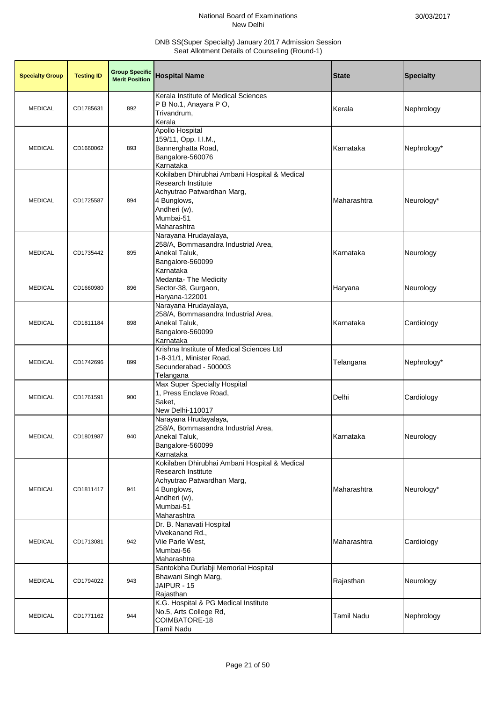| <b>Specialty Group</b> | <b>Testing ID</b> | <b>Group Specific</b><br><b>Merit Position</b> | <b>Hospital Name</b>                                                                                                                                                | <b>State</b>      | <b>Specialty</b> |
|------------------------|-------------------|------------------------------------------------|---------------------------------------------------------------------------------------------------------------------------------------------------------------------|-------------------|------------------|
| <b>MEDICAL</b>         | CD1785631         | 892                                            | Kerala Institute of Medical Sciences<br>P B No.1, Anayara P O,<br>Trivandrum,<br>Kerala                                                                             | Kerala            | Nephrology       |
| <b>MEDICAL</b>         | CD1660062         | 893                                            | Apollo Hospital<br>159/11, Opp. I.I.M.,<br>Bannerghatta Road,<br>Bangalore-560076<br>Karnataka                                                                      | Karnataka         | Nephrology*      |
| <b>MEDICAL</b>         | CD1725587         | 894                                            | Kokilaben Dhirubhai Ambani Hospital & Medical<br><b>Research Institute</b><br>Achyutrao Patwardhan Marg,<br>4 Bunglows,<br>Andheri (w),<br>Mumbai-51<br>Maharashtra | Maharashtra       | Neurology*       |
| <b>MEDICAL</b>         | CD1735442         | 895                                            | Narayana Hrudayalaya,<br>258/A, Bommasandra Industrial Area,<br>Anekal Taluk,<br>Bangalore-560099<br>Karnataka                                                      | Karnataka         | Neurology        |
| <b>MEDICAL</b>         | CD1660980         | 896                                            | Medanta- The Medicity<br>Sector-38, Gurgaon,<br>Haryana-122001                                                                                                      | Haryana           | Neurology        |
| <b>MEDICAL</b>         | CD1811184         | 898                                            | Narayana Hrudayalaya,<br>258/A, Bommasandra Industrial Area,<br>Anekal Taluk,<br>Bangalore-560099<br>Karnataka                                                      | Karnataka         | Cardiology       |
| <b>MEDICAL</b>         | CD1742696         | 899                                            | Krishna Institute of Medical Sciences Ltd<br>1-8-31/1, Minister Road,<br>Secunderabad - 500003<br>Telangana                                                         | Telangana         | Nephrology*      |
| <b>MEDICAL</b>         | CD1761591         | 900                                            | Max Super Specialty Hospital<br>1, Press Enclave Road,<br>Saket,<br>New Delhi-110017                                                                                | Delhi             | Cardiology       |
| <b>MEDICAL</b>         | CD1801987         | 940                                            | Narayana Hrudayalaya,<br>258/A, Bommasandra Industrial Area,<br>Anekal Taluk,<br>Bangalore-560099<br>Karnataka                                                      | Karnataka         | Neurology        |
| <b>MEDICAL</b>         | CD1811417         | 941                                            | Kokilaben Dhirubhai Ambani Hospital & Medical<br><b>Research Institute</b><br>Achyutrao Patwardhan Marg,<br>4 Bunglows,<br>Andheri (w),<br>Mumbai-51<br>Maharashtra | Maharashtra       | Neurology*       |
| <b>MEDICAL</b>         | CD1713081         | 942                                            | Dr. B. Nanavati Hospital<br>Vivekanand Rd.,<br>Vile Parle West,<br>Mumbai-56<br>Maharashtra                                                                         | Maharashtra       | Cardiology       |
| <b>MEDICAL</b>         | CD1794022         | 943                                            | Santokbha Durlabji Memorial Hospital<br>Bhawani Singh Marg,<br>JAIPUR - 15<br>Rajasthan                                                                             | Rajasthan         | Neurology        |
| <b>MEDICAL</b>         | CD1771162         | 944                                            | K.G. Hospital & PG Medical Institute<br>No.5, Arts College Rd,<br>COIMBATORE-18<br>Tamil Nadu                                                                       | <b>Tamil Nadu</b> | Nephrology       |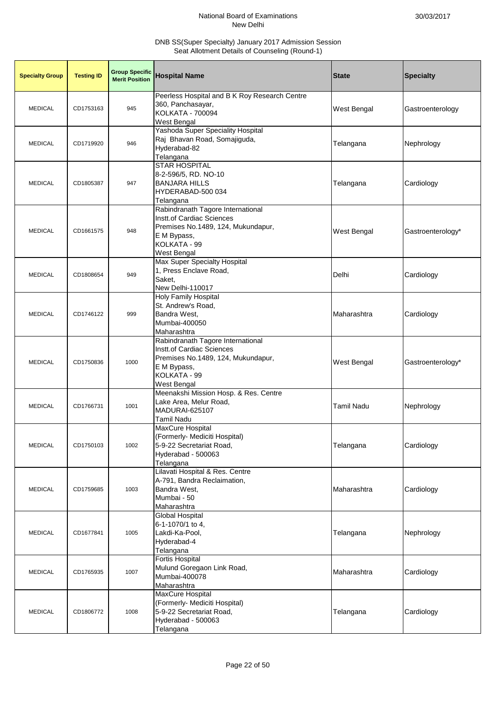| <b>Specialty Group</b> | <b>Testing ID</b> | <b>Group Specific</b><br><b>Merit Position</b> | <b>Hospital Name</b>                                                                                                                               | <b>State</b>       | <b>Specialty</b>  |
|------------------------|-------------------|------------------------------------------------|----------------------------------------------------------------------------------------------------------------------------------------------------|--------------------|-------------------|
| <b>MEDICAL</b>         | CD1753163         | 945                                            | Peerless Hospital and B K Roy Research Centre<br>360, Panchasayar,<br><b>KOLKATA - 700094</b><br>West Bengal                                       | <b>West Bengal</b> | Gastroenterology  |
| <b>MEDICAL</b>         | CD1719920         | 946                                            | Yashoda Super Speciality Hospital<br>Raj Bhavan Road, Somajiguda,<br>Hyderabad-82<br>Telangana                                                     | Telangana          | Nephrology        |
| <b>MEDICAL</b>         | CD1805387         | 947                                            | <b>STAR HOSPITAL</b><br>8-2-596/5, RD. NO-10<br><b>BANJARA HILLS</b><br>HYDERABAD-500 034<br>Telangana                                             | Telangana          | Cardiology        |
| <b>MEDICAL</b>         | CD1661575         | 948                                            | Rabindranath Tagore International<br>Instt.of Cardiac Sciences<br>Premises No.1489, 124, Mukundapur,<br>E M Bypass,<br>KOLKATA - 99<br>West Bengal | <b>West Bengal</b> | Gastroenterology* |
| <b>MEDICAL</b>         | CD1808654         | 949                                            | Max Super Specialty Hospital<br>1, Press Enclave Road,<br>Saket,<br>New Delhi-110017                                                               | Delhi              | Cardiology        |
| <b>MEDICAL</b>         | CD1746122         | 999                                            | Holy Family Hospital<br>St. Andrew's Road,<br>Bandra West,<br>Mumbai-400050<br>Maharashtra                                                         | Maharashtra        | Cardiology        |
| <b>MEDICAL</b>         | CD1750836         | 1000                                           | Rabindranath Tagore International<br>Instt.of Cardiac Sciences<br>Premises No.1489, 124, Mukundapur,<br>E M Bypass,<br>KOLKATA - 99<br>West Bengal | West Bengal        | Gastroenterology* |
| <b>MEDICAL</b>         | CD1766731         | 1001                                           | Meenakshi Mission Hosp. & Res. Centre<br>Lake Area, Melur Road,<br>MADURAI-625107<br>Tamil Nadu                                                    | <b>Tamil Nadu</b>  | Nephrology        |
| <b>MEDICAL</b>         | CD1750103         | 1002                                           | <b>MaxCure Hospital</b><br>(Formerly- Mediciti Hospital)<br>5-9-22 Secretariat Road,<br>Hyderabad - 500063<br>Telangana                            | Telangana          | Cardiology        |
| <b>MEDICAL</b>         | CD1759685         | 1003                                           | Lilavati Hospital & Res. Centre<br>A-791, Bandra Reclaimation,<br>Bandra West,<br>Mumbai - 50<br>Maharashtra                                       | Maharashtra        | Cardiology        |
| <b>MEDICAL</b>         | CD1677841         | 1005                                           | <b>Global Hospital</b><br>6-1-1070/1 to 4,<br>Lakdi-Ka-Pool,<br>Hyderabad-4<br>Telangana                                                           | Telangana          | Nephrology        |
| <b>MEDICAL</b>         | CD1765935         | 1007                                           | <b>Fortis Hospital</b><br>Mulund Goregaon Link Road,<br>Mumbai-400078<br>Maharashtra                                                               | Maharashtra        | Cardiology        |
| <b>MEDICAL</b>         | CD1806772         | 1008                                           | MaxCure Hospital<br>(Formerly- Mediciti Hospital)<br>5-9-22 Secretariat Road,<br>Hyderabad - 500063<br>Telangana                                   | Telangana          | Cardiology        |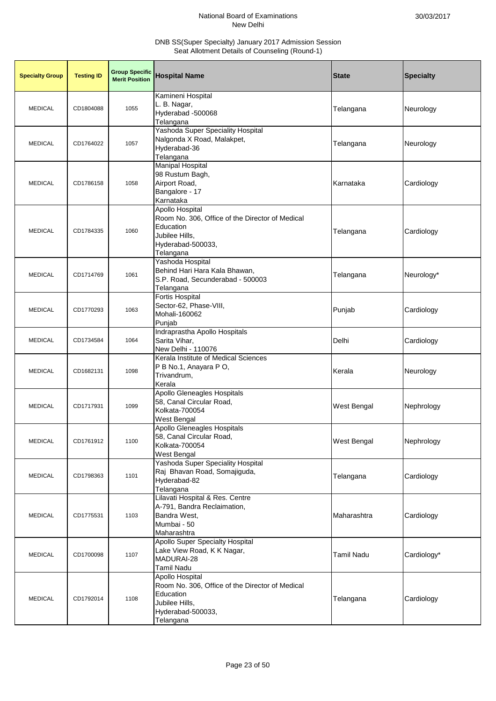| <b>Specialty Group</b> | <b>Testing ID</b> | <b>Group Specific</b><br><b>Merit Position</b> | <b>Hospital Name</b>                                                                                                                | <b>State</b>       | <b>Specialty</b> |
|------------------------|-------------------|------------------------------------------------|-------------------------------------------------------------------------------------------------------------------------------------|--------------------|------------------|
| <b>MEDICAL</b>         | CD1804088         | 1055                                           | Kamineni Hospital<br>L. B. Nagar,<br>Hyderabad -500068<br>Telangana                                                                 | Telangana          | Neurology        |
| <b>MEDICAL</b>         | CD1764022         | 1057                                           | Yashoda Super Speciality Hospital<br>Nalgonda X Road, Malakpet,<br>Hyderabad-36<br>Telangana                                        | Telangana          | Neurology        |
| <b>MEDICAL</b>         | CD1786158         | 1058                                           | Manipal Hospital<br>98 Rustum Bagh,<br>Airport Road,<br>Bangalore - 17<br>Karnataka                                                 | Karnataka          | Cardiology       |
| <b>MEDICAL</b>         | CD1784335         | 1060                                           | Apollo Hospital<br>Room No. 306, Office of the Director of Medical<br>Education<br>Jubilee Hills,<br>Hyderabad-500033,<br>Telangana | Telangana          | Cardiology       |
| <b>MEDICAL</b>         | CD1714769         | 1061                                           | Yashoda Hospital<br>Behind Hari Hara Kala Bhawan,<br>S.P. Road, Secunderabad - 500003<br>Telangana                                  | Telangana          | Neurology*       |
| <b>MEDICAL</b>         | CD1770293         | 1063                                           | <b>Fortis Hospital</b><br>Sector-62, Phase-VIII,<br>Mohali-160062<br>Punjab                                                         | Punjab             | Cardiology       |
| <b>MEDICAL</b>         | CD1734584         | 1064                                           | Indraprastha Apollo Hospitals<br>Sarita Vihar,<br>New Delhi - 110076                                                                | Delhi              | Cardiology       |
| <b>MEDICAL</b>         | CD1682131         | 1098                                           | Kerala Institute of Medical Sciences<br>P B No.1, Anayara P O,<br>Trivandrum,<br>Kerala                                             | Kerala             | Neurology        |
| <b>MEDICAL</b>         | CD1717931         | 1099                                           | <b>Apollo Gleneagles Hospitals</b><br>58, Canal Circular Road,<br>Kolkata-700054<br>West Bengal                                     | West Bengal        | Nephrology       |
| <b>MEDICAL</b>         | CD1761912         | 1100                                           | Apollo Gleneagles Hospitals<br>58, Canal Circular Road,<br>Kolkata-700054<br>West Bengal                                            | <b>West Bengal</b> | Nephrology       |
| <b>MEDICAL</b>         | CD1798363         | 1101                                           | <b>Yashoda Super Speciality Hospital</b><br>Raj Bhavan Road, Somajiguda,<br>Hyderabad-82<br>Telangana                               | Telangana          | Cardiology       |
| <b>MEDICAL</b>         | CD1775531         | 1103                                           | Lilavati Hospital & Res. Centre<br>A-791, Bandra Reclaimation,<br>Bandra West,<br>Mumbai - 50<br>Maharashtra                        | Maharashtra        | Cardiology       |
| <b>MEDICAL</b>         | CD1700098         | 1107                                           | <b>Apollo Super Specialty Hospital</b><br>Lake View Road, K K Nagar,<br>MADURAI-28<br><b>Tamil Nadu</b>                             | <b>Tamil Nadu</b>  | Cardiology*      |
| <b>MEDICAL</b>         | CD1792014         | 1108                                           | Apollo Hospital<br>Room No. 306, Office of the Director of Medical<br>Education<br>Jubilee Hills,<br>Hyderabad-500033,<br>Telangana | Telangana          | Cardiology       |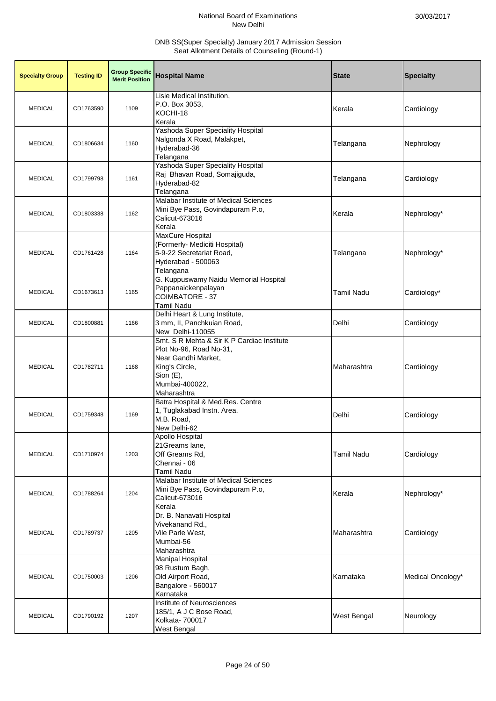| <b>Specialty Group</b> | <b>Testing ID</b> | <b>Group Specific</b><br><b>Merit Position</b> | <b>Hospital Name</b>                                                                                                                                         | <b>State</b>       | <b>Specialty</b>  |
|------------------------|-------------------|------------------------------------------------|--------------------------------------------------------------------------------------------------------------------------------------------------------------|--------------------|-------------------|
| <b>MEDICAL</b>         | CD1763590         | 1109                                           | Lisie Medical Institution,<br>P.O. Box 3053,<br>KOCHI-18<br>Kerala                                                                                           | Kerala             | Cardiology        |
| <b>MEDICAL</b>         | CD1806634         | 1160                                           | Yashoda Super Speciality Hospital<br>Nalgonda X Road, Malakpet,<br>Hyderabad-36<br>Telangana                                                                 | Telangana          | Nephrology        |
| <b>MEDICAL</b>         | CD1799798         | 1161                                           | Yashoda Super Speciality Hospital<br>Raj Bhavan Road, Somajiguda,<br>Hyderabad-82<br>Telangana                                                               | Telangana          | Cardiology        |
| <b>MEDICAL</b>         | CD1803338         | 1162                                           | Malabar Institute of Medical Sciences<br>Mini Bye Pass, Govindapuram P.o,<br>Calicut-673016<br>Kerala                                                        | Kerala             | Nephrology*       |
| <b>MEDICAL</b>         | CD1761428         | 1164                                           | <b>MaxCure Hospital</b><br>(Formerly- Mediciti Hospital)<br>5-9-22 Secretariat Road,<br>Hyderabad - 500063<br>Telangana                                      | Telangana          | Nephrology*       |
| <b>MEDICAL</b>         | CD1673613         | 1165                                           | G. Kuppuswamy Naidu Memorial Hospital<br>Pappanaickenpalayan<br>COIMBATORE - 37<br>Tamil Nadu                                                                | <b>Tamil Nadu</b>  | Cardiology*       |
| <b>MEDICAL</b>         | CD1800881         | 1166                                           | Delhi Heart & Lung Institute,<br>3 mm, II, Panchkuian Road,<br>New Delhi-110055                                                                              | Delhi              | Cardiology        |
| <b>MEDICAL</b>         | CD1782711         | 1168                                           | Smt. S R Mehta & Sir K P Cardiac Institute<br>Plot No-96, Road No-31,<br>Near Gandhi Market,<br>King's Circle,<br>Sion (E),<br>Mumbai-400022,<br>Maharashtra | Maharashtra        | Cardiology        |
| <b>MEDICAL</b>         | CD1759348         | 1169                                           | Batra Hospital & Med.Res. Centre<br>1, Tuglakabad Instn. Area,<br>M.B. Road,<br>New Delhi-62                                                                 | Delhi              | Cardiology        |
| <b>MEDICAL</b>         | CD1710974         | 1203                                           | <b>Apollo Hospital</b><br>21Greams lane,<br>Off Greams Rd,<br>Chennai - 06<br><b>Tamil Nadu</b>                                                              | <b>Tamil Nadu</b>  | Cardiology        |
| <b>MEDICAL</b>         | CD1788264         | 1204                                           | Malabar Institute of Medical Sciences<br>Mini Bye Pass, Govindapuram P.o,<br>Calicut-673016<br>Kerala                                                        | Kerala             | Nephrology*       |
| <b>MEDICAL</b>         | CD1789737         | 1205                                           | Dr. B. Nanavati Hospital<br>Vivekanand Rd.,<br>Vile Parle West,<br>Mumbai-56<br>Maharashtra                                                                  | Maharashtra        | Cardiology        |
| <b>MEDICAL</b>         | CD1750003         | 1206                                           | <b>Manipal Hospital</b><br>98 Rustum Bagh,<br>Old Airport Road,<br>Bangalore - 560017<br>Karnataka                                                           | Karnataka          | Medical Oncology* |
| <b>MEDICAL</b>         | CD1790192         | 1207                                           | Institute of Neurosciences<br>185/1, A J C Bose Road,<br>Kolkata- 700017<br>West Bengal                                                                      | <b>West Bengal</b> | Neurology         |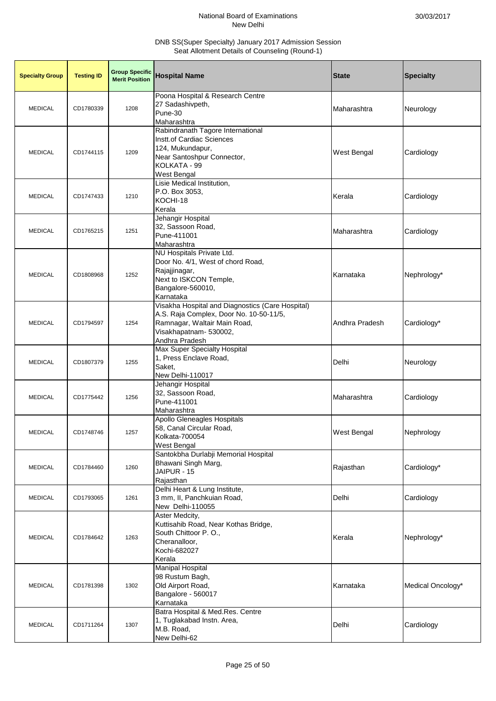| <b>Specialty Group</b> | <b>Testing ID</b> | <b>Group Specific</b><br><b>Merit Position</b> | <b>Hospital Name</b>                                                                                                                                                    | <b>State</b>       | <b>Specialty</b>  |
|------------------------|-------------------|------------------------------------------------|-------------------------------------------------------------------------------------------------------------------------------------------------------------------------|--------------------|-------------------|
| <b>MEDICAL</b>         | CD1780339         | 1208                                           | Poona Hospital & Research Centre<br>27 Sadashivpeth,<br>Pune-30<br>Maharashtra                                                                                          | Maharashtra        | Neurology         |
| <b>MEDICAL</b>         | CD1744115         | 1209                                           | Rabindranath Tagore International<br>Instt.of Cardiac Sciences<br>124, Mukundapur,<br>Near Santoshpur Connector,<br>KOLKATA - 99<br>West Bengal                         | <b>West Bengal</b> | Cardiology        |
| <b>MEDICAL</b>         | CD1747433         | 1210                                           | Lisie Medical Institution,<br>P.O. Box 3053,<br>KOCHI-18<br>Kerala                                                                                                      | Kerala             | Cardiology        |
| <b>MEDICAL</b>         | CD1765215         | 1251                                           | Jehangir Hospital<br>32, Sassoon Road,<br>Pune-411001<br>Maharashtra                                                                                                    | Maharashtra        | Cardiology        |
| <b>MEDICAL</b>         | CD1808968         | 1252                                           | NU Hospitals Private Ltd.<br>Door No. 4/1, West of chord Road,<br>Rajajjinagar,<br>Next to ISKCON Temple,<br>Bangalore-560010,<br>Karnataka                             | Karnataka          | Nephrology*       |
| <b>MEDICAL</b>         | CD1794597         | 1254                                           | Visakha Hospital and Diagnostics (Care Hospital)<br>A.S. Raja Complex, Door No. 10-50-11/5,<br>Ramnagar, Waltair Main Road,<br>Visakhapatnam- 530002,<br>Andhra Pradesh | Andhra Pradesh     | Cardiology*       |
| <b>MEDICAL</b>         | CD1807379         | 1255                                           | Max Super Specialty Hospital<br>1, Press Enclave Road,<br>Saket,<br>New Delhi-110017                                                                                    | Delhi              | Neurology         |
| <b>MEDICAL</b>         | CD1775442         | 1256                                           | Jehangir Hospital<br>32, Sassoon Road,<br>Pune-411001<br>Maharashtra                                                                                                    | Maharashtra        | Cardiology        |
| <b>MEDICAL</b>         | CD1748746         | 1257                                           | <b>Apollo Gleneagles Hospitals</b><br>58, Canal Circular Road,<br>Kolkata-700054<br>West Bengal                                                                         | <b>West Bengal</b> | Nephrology        |
| <b>MEDICAL</b>         | CD1784460         | 1260                                           | Santokbha Durlabji Memorial Hospital<br>Bhawani Singh Marg,<br>JAIPUR - 15<br>Rajasthan                                                                                 | Rajasthan          | Cardiology*       |
| <b>MEDICAL</b>         | CD1793065         | 1261                                           | Delhi Heart & Lung Institute,<br>3 mm, II, Panchkuian Road,<br>New Delhi-110055                                                                                         | Delhi              | Cardiology        |
| <b>MEDICAL</b>         | CD1784642         | 1263                                           | Aster Medcity,<br>Kuttisahib Road, Near Kothas Bridge,<br>South Chittoor P.O.,<br>Cheranalloor,<br>Kochi-682027<br>Kerala                                               | Kerala             | Nephrology*       |
| <b>MEDICAL</b>         | CD1781398         | 1302                                           | <b>Manipal Hospital</b><br>98 Rustum Bagh,<br>Old Airport Road,<br>Bangalore - 560017<br>Karnataka                                                                      | Karnataka          | Medical Oncology* |
| <b>MEDICAL</b>         | CD1711264         | 1307                                           | Batra Hospital & Med.Res. Centre<br>1, Tuglakabad Instn. Area,<br>M.B. Road,<br>New Delhi-62                                                                            | Delhi              | Cardiology        |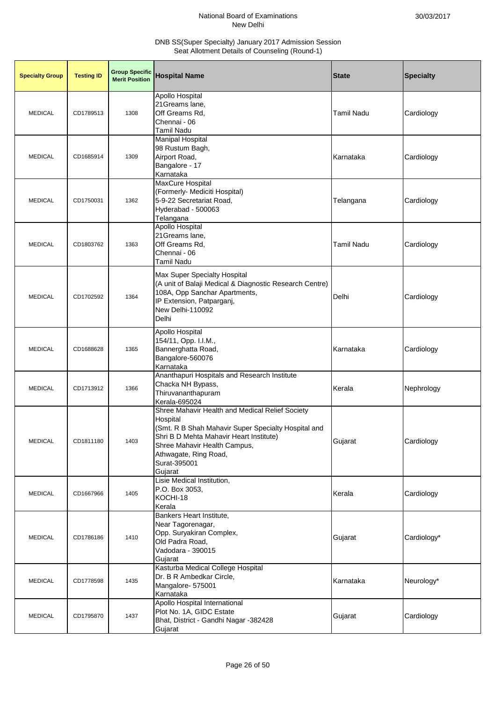| <b>Specialty Group</b> | <b>Testing ID</b> | <b>Group Specific</b><br><b>Merit Position</b> | <b>Hospital Name</b>                                                                                                                                                                                                                              | <b>State</b>      | <b>Specialty</b> |
|------------------------|-------------------|------------------------------------------------|---------------------------------------------------------------------------------------------------------------------------------------------------------------------------------------------------------------------------------------------------|-------------------|------------------|
| <b>MEDICAL</b>         | CD1789513         | 1308                                           | <b>Apollo Hospital</b><br>21Greams lane,<br>Off Greams Rd,<br>Chennai - 06<br>Tamil Nadu                                                                                                                                                          | <b>Tamil Nadu</b> | Cardiology       |
| <b>MEDICAL</b>         | CD1685914         | 1309                                           | <b>Manipal Hospital</b><br>98 Rustum Bagh,<br>Airport Road,<br>Bangalore - 17<br>Karnataka                                                                                                                                                        | Karnataka         | Cardiology       |
| <b>MEDICAL</b>         | CD1750031         | 1362                                           | MaxCure Hospital<br>(Formerly- Mediciti Hospital)<br>5-9-22 Secretariat Road,<br>Hyderabad - 500063<br>Telangana                                                                                                                                  | Telangana         | Cardiology       |
| <b>MEDICAL</b>         | CD1803762         | 1363                                           | Apollo Hospital<br>21Greams lane,<br>Off Greams Rd,<br>Chennai - 06<br>Tamil Nadu                                                                                                                                                                 | <b>Tamil Nadu</b> | Cardiology       |
| <b>MEDICAL</b>         | CD1702592         | 1364                                           | Max Super Specialty Hospital<br>(A unit of Balaji Medical & Diagnostic Research Centre)<br>108A, Opp Sanchar Apartments,<br>IP Extension, Patparganj,<br>New Delhi-110092<br>Delhi                                                                | Delhi             | Cardiology       |
| <b>MEDICAL</b>         | CD1688628         | 1365                                           | Apollo Hospital<br>154/11, Opp. I.I.M.,<br>Bannerghatta Road,<br>Bangalore-560076<br>Karnataka                                                                                                                                                    | Karnataka         | Cardiology       |
| <b>MEDICAL</b>         | CD1713912         | 1366                                           | Ananthapuri Hospitals and Research Institute<br>Chacka NH Bypass,<br>Thiruvananthapuram<br>Kerala-695024                                                                                                                                          | Kerala            | Nephrology       |
| <b>MEDICAL</b>         | CD1811180         | 1403                                           | Shree Mahavir Health and Medical Relief Society<br>Hospital<br>(Smt. R B Shah Mahavir Super Specialty Hospital and<br>Shri B D Mehta Mahavir Heart Institute)<br>Shree Mahavir Health Campus,<br>Athwagate, Ring Road,<br>Surat-395001<br>Gujarat | Gujarat           | Cardiology       |
| <b>MEDICAL</b>         | CD1667966         | 1405                                           | Lisie Medical Institution,<br>P.O. Box 3053,<br>KOCHI-18<br>Kerala                                                                                                                                                                                | Kerala            | Cardiology       |
| <b>MEDICAL</b>         | CD1786186         | 1410                                           | Bankers Heart Institute,<br>Near Tagorenagar,<br>Opp. Suryakiran Complex,<br>Old Padra Road,<br>Vadodara - 390015<br>Gujarat                                                                                                                      | Gujarat           | Cardiology*      |
| <b>MEDICAL</b>         | CD1778598         | 1435                                           | Kasturba Medical College Hospital<br>Dr. B R Ambedkar Circle,<br>Mangalore- 575001<br>Karnataka                                                                                                                                                   | Karnataka         | Neurology*       |
| <b>MEDICAL</b>         | CD1795870         | 1437                                           | Apollo Hospital International<br>Plot No. 1A, GIDC Estate<br>Bhat, District - Gandhi Nagar -382428<br>Gujarat                                                                                                                                     | Gujarat           | Cardiology       |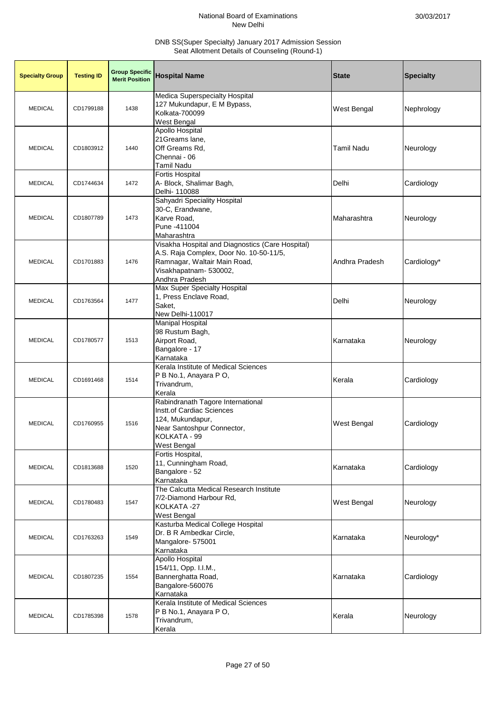| <b>Specialty Group</b> | <b>Testing ID</b> | <b>Group Specific</b><br><b>Merit Position</b> | <b>Hospital Name</b>                                                                                                                                                    | <b>State</b>      | <b>Specialty</b> |
|------------------------|-------------------|------------------------------------------------|-------------------------------------------------------------------------------------------------------------------------------------------------------------------------|-------------------|------------------|
| <b>MEDICAL</b>         | CD1799188         | 1438                                           | Medica Superspecialty Hospital<br>127 Mukundapur, E M Bypass,<br>Kolkata-700099<br>West Bengal                                                                          | West Bengal       | Nephrology       |
| <b>MEDICAL</b>         | CD1803912         | 1440                                           | Apollo Hospital<br>21Greams lane,<br>Off Greams Rd,<br>Chennai - 06<br>Tamil Nadu                                                                                       | <b>Tamil Nadu</b> | Neurology        |
| <b>MEDICAL</b>         | CD1744634         | 1472                                           | <b>Fortis Hospital</b><br>A- Block, Shalimar Bagh,<br>Delhi- 110088                                                                                                     | Delhi             | Cardiology       |
| <b>MEDICAL</b>         | CD1807789         | 1473                                           | Sahyadri Speciality Hospital<br>30-C, Erandwane,<br>Karve Road,<br>Pune -411004<br>Maharashtra                                                                          | Maharashtra       | Neurology        |
| <b>MEDICAL</b>         | CD1701883         | 1476                                           | Visakha Hospital and Diagnostics (Care Hospital)<br>A.S. Raja Complex, Door No. 10-50-11/5,<br>Ramnagar, Waltair Main Road,<br>Visakhapatnam- 530002,<br>Andhra Pradesh | Andhra Pradesh    | Cardiology*      |
| <b>MEDICAL</b>         | CD1763564         | 1477                                           | Max Super Specialty Hospital<br>1, Press Enclave Road,<br>Saket,<br>New Delhi-110017                                                                                    | Delhi             | Neurology        |
| <b>MEDICAL</b>         | CD1780577         | 1513                                           | <b>Manipal Hospital</b><br>98 Rustum Bagh,<br>Airport Road,<br>Bangalore - 17<br>Karnataka                                                                              | Karnataka         | Neurology        |
| <b>MEDICAL</b>         | CD1691468         | 1514                                           | Kerala Institute of Medical Sciences<br>P B No.1, Anayara P O,<br>Trivandrum,<br>Kerala                                                                                 | Kerala            | Cardiology       |
| <b>MEDICAL</b>         | CD1760955         | 1516                                           | Rabindranath Tagore International<br><b>Instt.of Cardiac Sciences</b><br>124, Mukundapur,<br>Near Santoshpur Connector,<br>KOLKATA - 99<br>West Bengal                  | West Bengal       | Cardiology       |
| <b>MEDICAL</b>         | CD1813688         | 1520                                           | Fortis Hospital,<br>11, Cunningham Road,<br>Bangalore - 52<br>Karnataka                                                                                                 | Karnataka         | Cardiology       |
| <b>MEDICAL</b>         | CD1780483         | 1547                                           | The Calcutta Medical Research Institute<br>7/2-Diamond Harbour Rd,<br>KOLKATA-27<br>West Bengal                                                                         | West Bengal       | Neurology        |
| <b>MEDICAL</b>         | CD1763263         | 1549                                           | Kasturba Medical College Hospital<br>Dr. B R Ambedkar Circle,<br>Mangalore- 575001<br>Karnataka                                                                         | Karnataka         | Neurology*       |
| <b>MEDICAL</b>         | CD1807235         | 1554                                           | Apollo Hospital<br>154/11, Opp. I.I.M.,<br>Bannerghatta Road,<br>Bangalore-560076<br>Karnataka                                                                          | Karnataka         | Cardiology       |
| <b>MEDICAL</b>         | CD1785398         | 1578                                           | Kerala Institute of Medical Sciences<br>P B No.1, Anayara P O,<br>Trivandrum,<br>Kerala                                                                                 | Kerala            | Neurology        |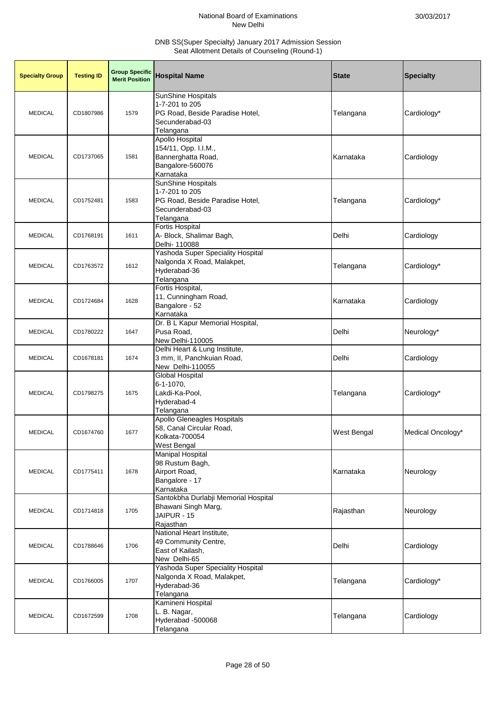| <b>Specialty Group</b> | <b>Testing ID</b> | <b>Group Specific</b><br><b>Merit Position</b> | <b>Hospital Name</b>                                                                                           | <b>State</b>       | <b>Specialty</b>  |
|------------------------|-------------------|------------------------------------------------|----------------------------------------------------------------------------------------------------------------|--------------------|-------------------|
| <b>MEDICAL</b>         | CD1807986         | 1579                                           | SunShine Hospitals<br>1-7-201 to 205<br>PG Road, Beside Paradise Hotel,<br>Secunderabad-03<br>Telangana        | Telangana          | Cardiology*       |
| <b>MEDICAL</b>         | CD1737065         | 1581                                           | <b>Apollo Hospital</b><br>154/11, Opp. I.I.M.,<br>Bannerghatta Road,<br>Bangalore-560076<br>Karnataka          | Karnataka          | Cardiology        |
| <b>MEDICAL</b>         | CD1752481         | 1583                                           | <b>SunShine Hospitals</b><br>1-7-201 to 205<br>PG Road, Beside Paradise Hotel,<br>Secunderabad-03<br>Telangana | Telangana          | Cardiology*       |
| <b>MEDICAL</b>         | CD1768191         | 1611                                           | Fortis Hospital<br>A- Block, Shalimar Bagh,<br>Delhi- 110088                                                   | Delhi              | Cardiology        |
| <b>MEDICAL</b>         | CD1763572         | 1612                                           | Yashoda Super Speciality Hospital<br>Nalgonda X Road, Malakpet,<br>Hyderabad-36<br>Telangana                   | Telangana          | Cardiology*       |
| <b>MEDICAL</b>         | CD1724684         | 1628                                           | Fortis Hospital,<br>11, Cunningham Road,<br>Bangalore - 52<br>Karnataka                                        | Karnataka          | Cardiology        |
| <b>MEDICAL</b>         | CD1780222         | 1647                                           | Dr. B L Kapur Memorial Hospital,<br>Pusa Road,<br>New Delhi-110005                                             | Delhi              | Neurology*        |
| <b>MEDICAL</b>         | CD1678181         | 1674                                           | Delhi Heart & Lung Institute,<br>3 mm, II, Panchkuian Road,<br>New Delhi-110055                                | Delhi              | Cardiology        |
| <b>MEDICAL</b>         | CD1798275         | 1675                                           | Global Hospital<br>6-1-1070,<br>Lakdi-Ka-Pool,<br>Hyderabad-4<br>Telangana                                     | Telangana          | Cardiology*       |
| <b>MEDICAL</b>         | CD1674760         | 1677                                           | <b>Apollo Gleneagles Hospitals</b><br>58, Canal Circular Road,<br>Kolkata-700054<br>West Bengal                | <b>West Bengal</b> | Medical Oncology* |
| <b>MEDICAL</b>         | CD1775411         | 1678                                           | <b>Manipal Hospital</b><br>98 Rustum Bagh,<br>Airport Road,<br>Bangalore - 17<br>Karnataka                     | Karnataka          | Neurology         |
| <b>MEDICAL</b>         | CD1714818         | 1705                                           | Santokbha Durlabji Memorial Hospital<br>Bhawani Singh Marg,<br>JAIPUR - 15<br>Rajasthan                        | Rajasthan          | Neurology         |
| <b>MEDICAL</b>         | CD1788646         | 1706                                           | National Heart Institute,<br>49 Community Centre,<br>East of Kailash,<br>New Delhi-65                          | Delhi              | Cardiology        |
| <b>MEDICAL</b>         | CD1766005         | 1707                                           | Yashoda Super Speciality Hospital<br>Nalgonda X Road, Malakpet,<br>Hyderabad-36<br>Telangana                   | Telangana          | Cardiology*       |
| <b>MEDICAL</b>         | CD1672599         | 1708                                           | Kamineni Hospital<br>L. B. Nagar,<br>Hyderabad -500068<br>Telangana                                            | Telangana          | Cardiology        |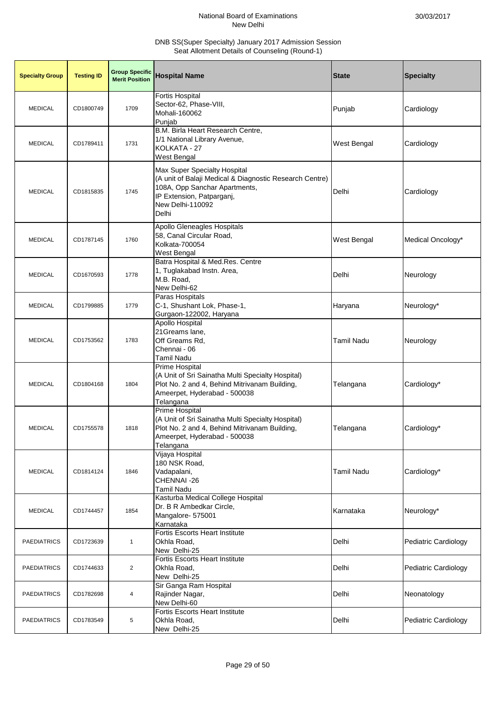| <b>Specialty Group</b> | <b>Testing ID</b> | <b>Group Specific</b><br><b>Merit Position</b> | <b>Hospital Name</b>                                                                                                                                                               | <b>State</b>       | <b>Specialty</b>     |
|------------------------|-------------------|------------------------------------------------|------------------------------------------------------------------------------------------------------------------------------------------------------------------------------------|--------------------|----------------------|
| <b>MEDICAL</b>         | CD1800749         | 1709                                           | <b>Fortis Hospital</b><br>Sector-62, Phase-VIII,<br>Mohali-160062<br>Punjab                                                                                                        | Punjab             | Cardiology           |
| <b>MEDICAL</b>         | CD1789411         | 1731                                           | B.M. Birla Heart Research Centre,<br>1/1 National Library Avenue,<br>KOLKATA - 27<br>West Bengal                                                                                   | <b>West Bengal</b> | Cardiology           |
| <b>MEDICAL</b>         | CD1815835         | 1745                                           | Max Super Specialty Hospital<br>(A unit of Balaji Medical & Diagnostic Research Centre)<br>108A, Opp Sanchar Apartments,<br>IP Extension, Patparganj,<br>New Delhi-110092<br>Delhi | Delhi              | Cardiology           |
| <b>MEDICAL</b>         | CD1787145         | 1760                                           | Apollo Gleneagles Hospitals<br>58, Canal Circular Road,<br>Kolkata-700054<br>West Bengal                                                                                           | <b>West Bengal</b> | Medical Oncology*    |
| <b>MEDICAL</b>         | CD1670593         | 1778                                           | Batra Hospital & Med.Res. Centre<br>1, Tuglakabad Instn. Area,<br>M.B. Road,<br>New Delhi-62                                                                                       | Delhi              | Neurology            |
| <b>MEDICAL</b>         | CD1799885         | 1779                                           | Paras Hospitals<br>C-1, Shushant Lok, Phase-1,<br>Gurgaon-122002, Haryana                                                                                                          | Haryana            | Neurology*           |
| <b>MEDICAL</b>         | CD1753562         | 1783                                           | <b>Apollo Hospital</b><br>21 Greams lane,<br>Off Greams Rd,<br>Chennai - 06<br>Tamil Nadu                                                                                          | <b>Tamil Nadu</b>  | Neurology            |
| <b>MEDICAL</b>         | CD1804168         | 1804                                           | Prime Hospital<br>(A Unit of Sri Sainatha Multi Specialty Hospital)<br>Plot No. 2 and 4, Behind Mitrivanam Building,<br>Ameerpet, Hyderabad - 500038<br>Telangana                  | Telangana          | Cardiology*          |
| <b>MEDICAL</b>         | CD1755578         | 1818                                           | <b>Prime Hospital</b><br>(A Unit of Sri Sainatha Multi Specialty Hospital)<br>Plot No. 2 and 4, Behind Mitrivanam Building,<br>Ameerpet, Hyderabad - 500038<br>Telangana           | Telangana          | Cardiology*          |
| <b>MEDICAL</b>         | CD1814124         | 1846                                           | Vijaya Hospital<br>180 NSK Road,<br>Vadapalani,<br>CHENNAI-26<br><b>Tamil Nadu</b>                                                                                                 | <b>Tamil Nadu</b>  | Cardiology*          |
| <b>MEDICAL</b>         | CD1744457         | 1854                                           | Kasturba Medical College Hospital<br>Dr. B R Ambedkar Circle,<br>Mangalore- 575001<br>Karnataka                                                                                    | Karnataka          | Neurology*           |
| <b>PAEDIATRICS</b>     | CD1723639         | 1                                              | Fortis Escorts Heart Institute<br>Okhla Road,<br>New Delhi-25                                                                                                                      | Delhi              | Pediatric Cardiology |
| <b>PAEDIATRICS</b>     | CD1744633         | $\overline{2}$                                 | <b>Fortis Escorts Heart Institute</b><br>Okhla Road,<br>New Delhi-25                                                                                                               | Delhi              | Pediatric Cardiology |
| <b>PAEDIATRICS</b>     | CD1782698         | 4                                              | Sir Ganga Ram Hospital<br>Rajinder Nagar,<br>New Delhi-60                                                                                                                          | Delhi              | Neonatology          |
| <b>PAEDIATRICS</b>     | CD1783549         | 5                                              | Fortis Escorts Heart Institute<br>Okhla Road,<br>New Delhi-25                                                                                                                      | Delhi              | Pediatric Cardiology |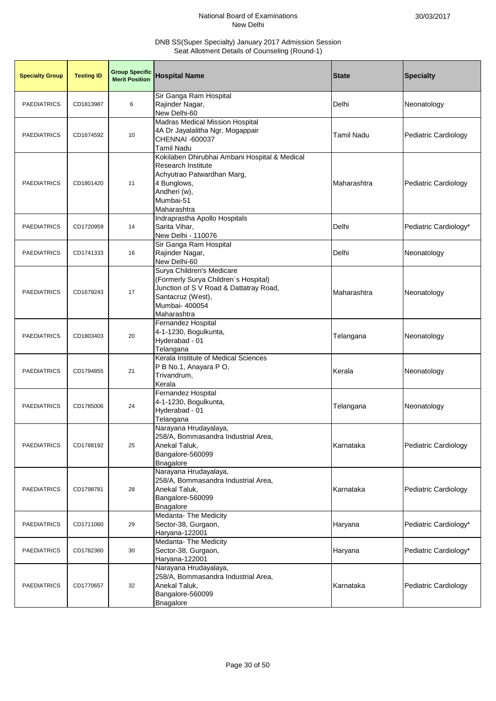| <b>Specialty Group</b> | <b>Testing ID</b> | <b>Group Specific</b><br><b>Merit Position</b> | <b>Hospital Name</b>                                                                                                                                              | <b>State</b> | <b>Specialty</b>      |
|------------------------|-------------------|------------------------------------------------|-------------------------------------------------------------------------------------------------------------------------------------------------------------------|--------------|-----------------------|
| <b>PAEDIATRICS</b>     | CD1813987         | 6                                              | Sir Ganga Ram Hospital<br>Rajinder Nagar,<br>New Delhi-60                                                                                                         | Delhi        | Neonatology           |
| <b>PAEDIATRICS</b>     | CD1674592         | 10                                             | <b>Madras Medical Mission Hospital</b><br>4A Dr Jayalalitha Ngr, Mogappair<br><b>CHENNAI -600037</b><br><b>Tamil Nadu</b>                                         | Tamil Nadu   | Pediatric Cardiology  |
| <b>PAEDIATRICS</b>     | CD1801420         | 11                                             | Kokilaben Dhirubhai Ambani Hospital & Medical<br>Research Institute<br>Achyutrao Patwardhan Marg,<br>4 Bunglows,<br>Andheri (w),<br>Mumbai-51<br>Maharashtra      | Maharashtra  | Pediatric Cardiology  |
| <b>PAEDIATRICS</b>     | CD1720959         | 14                                             | Indraprastha Apollo Hospitals<br>Sarita Vihar,<br>New Delhi - 110076                                                                                              | Delhi        | Pediatric Cardiology* |
| <b>PAEDIATRICS</b>     | CD1741333         | 16                                             | Sir Ganga Ram Hospital<br>Rajinder Nagar,<br>New Delhi-60                                                                                                         | Delhi        | Neonatology           |
| <b>PAEDIATRICS</b>     | CD1679243         | 17                                             | Surya Children's Medicare<br>(Formerly Surya Children's Hospital)<br>Junction of S V Road & Dattatray Road,<br>Santacruz (West),<br>Mumbai- 400054<br>Maharashtra | Maharashtra  | Neonatology           |
| <b>PAEDIATRICS</b>     | CD1803403         | 20                                             | Fernandez Hospital<br>4-1-1230, Bogulkunta,<br>Hyderabad - 01<br>Telangana                                                                                        | Telangana    | Neonatology           |
| <b>PAEDIATRICS</b>     | CD1794855         | 21                                             | Kerala Institute of Medical Sciences<br>P B No.1, Anayara P O,<br>Trivandrum,<br>Kerala                                                                           | Kerala       | Neonatology           |
| <b>PAEDIATRICS</b>     | CD1785006         | 24                                             | Fernandez Hospital<br>4-1-1230, Bogulkunta,<br>Hyderabad - 01<br>Telangana                                                                                        | Telangana    | Neonatology           |
| <b>PAEDIATRICS</b>     | CD1788192         | 25                                             | Narayana Hrudayalaya,<br>258/A, Bommasandra Industrial Area,<br>Anekal Taluk,<br>Bangalore-560099<br>Bnagalore                                                    | Karnataka    | Pediatric Cardiology  |
| <b>PAEDIATRICS</b>     | CD1798781         | 28                                             | Narayana Hrudayalaya,<br>258/A, Bommasandra Industrial Area,<br>Anekal Taluk,<br>Bangalore-560099<br>Bnagalore                                                    | Karnataka    | Pediatric Cardiology  |
| <b>PAEDIATRICS</b>     | CD1711060         | 29                                             | Medanta- The Medicity<br>Sector-38, Gurgaon,<br>Haryana-122001                                                                                                    | Haryana      | Pediatric Cardiology* |
| <b>PAEDIATRICS</b>     | CD1782360         | 30                                             | Medanta- The Medicity<br>Sector-38, Gurgaon,<br>Haryana-122001                                                                                                    | Haryana      | Pediatric Cardiology* |
| <b>PAEDIATRICS</b>     | CD1770657         | 32                                             | Narayana Hrudayalaya,<br>258/A, Bommasandra Industrial Area,<br>Anekal Taluk,<br>Bangalore-560099<br>Bnagalore                                                    | Karnataka    | Pediatric Cardiology  |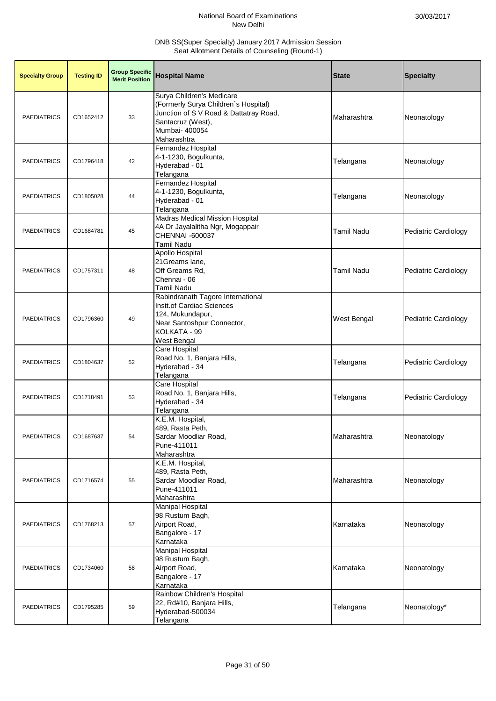| <b>Specialty Group</b> | <b>Testing ID</b> | <b>Group Specific</b><br><b>Merit Position</b> | <b>Hospital Name</b>                                                                                                                                              | <b>State</b>       | <b>Specialty</b>     |
|------------------------|-------------------|------------------------------------------------|-------------------------------------------------------------------------------------------------------------------------------------------------------------------|--------------------|----------------------|
| <b>PAEDIATRICS</b>     | CD1652412         | 33                                             | Surya Children's Medicare<br>(Formerly Surya Children's Hospital)<br>Junction of S V Road & Dattatray Road,<br>Santacruz (West),<br>Mumbai- 400054<br>Maharashtra | Maharashtra        | Neonatology          |
| <b>PAEDIATRICS</b>     | CD1796418         | 42                                             | Fernandez Hospital<br>4-1-1230, Bogulkunta,<br>Hyderabad - 01<br>Telangana                                                                                        | Telangana          | Neonatology          |
| <b>PAEDIATRICS</b>     | CD1805028         | 44                                             | Fernandez Hospital<br>4-1-1230, Bogulkunta,<br>Hyderabad - 01<br>Telangana                                                                                        | Telangana          | Neonatology          |
| <b>PAEDIATRICS</b>     | CD1684781         | 45                                             | <b>Madras Medical Mission Hospital</b><br>4A Dr Jayalalitha Ngr, Mogappair<br>CHENNAI -600037<br><b>Tamil Nadu</b>                                                | <b>Tamil Nadu</b>  | Pediatric Cardiology |
| <b>PAEDIATRICS</b>     | CD1757311         | 48                                             | Apollo Hospital<br>21 Greams lane,<br>Off Greams Rd,<br>Chennai - 06<br><b>Tamil Nadu</b>                                                                         | <b>Tamil Nadu</b>  | Pediatric Cardiology |
| <b>PAEDIATRICS</b>     | CD1796360         | 49                                             | Rabindranath Tagore International<br>Instt.of Cardiac Sciences<br>124, Mukundapur,<br>Near Santoshpur Connector,<br>KOLKATA - 99<br>West Bengal                   | <b>West Bengal</b> | Pediatric Cardiology |
| <b>PAEDIATRICS</b>     | CD1804637         | 52                                             | <b>Care Hospital</b><br>Road No. 1, Banjara Hills,<br>Hyderabad - 34<br>Telangana                                                                                 | Telangana          | Pediatric Cardiology |
| <b>PAEDIATRICS</b>     | CD1718491         | 53                                             | Care Hospital<br>Road No. 1, Banjara Hills,<br>Hyderabad - 34<br>Telangana                                                                                        | Telangana          | Pediatric Cardiology |
| <b>PAEDIATRICS</b>     | CD1687637         | 54                                             | K.E.M. Hospital,<br>489, Rasta Peth,<br>Sardar Moodliar Road,<br>Pune-411011<br>Maharashtra                                                                       | Maharashtra        | Neonatology          |
| <b>PAEDIATRICS</b>     | CD1716574         | 55                                             | K.E.M. Hospital,<br>489, Rasta Peth,<br>Sardar Moodliar Road,<br>Pune-411011<br>Maharashtra                                                                       | Maharashtra        | Neonatology          |
| <b>PAEDIATRICS</b>     | CD1768213         | 57                                             | <b>Manipal Hospital</b><br>98 Rustum Bagh,<br>Airport Road,<br>Bangalore - 17<br>Karnataka                                                                        | Karnataka          | Neonatology          |
| <b>PAEDIATRICS</b>     | CD1734060         | 58                                             | <b>Manipal Hospital</b><br>98 Rustum Bagh,<br>Airport Road,<br>Bangalore - 17<br>Karnataka                                                                        | Karnataka          | Neonatology          |
| <b>PAEDIATRICS</b>     | CD1795285         | 59                                             | Rainbow Children's Hospital<br>22, Rd#10, Banjara Hills,<br>Hyderabad-500034<br>Telangana                                                                         | Telangana          | Neonatology*         |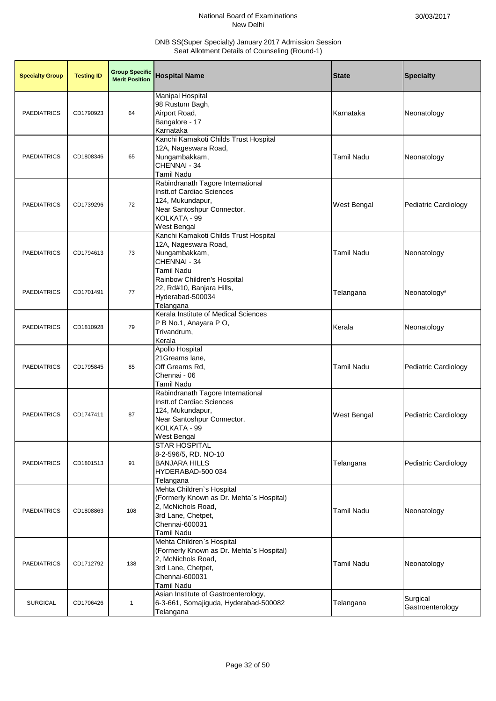| <b>Specialty Group</b> | <b>Testing ID</b> | <b>Group Specific</b><br><b>Merit Position</b> | <b>Hospital Name</b>                                                                                                                                     | <b>State</b>       | <b>Specialty</b>             |
|------------------------|-------------------|------------------------------------------------|----------------------------------------------------------------------------------------------------------------------------------------------------------|--------------------|------------------------------|
| <b>PAEDIATRICS</b>     | CD1790923         | 64                                             | <b>Manipal Hospital</b><br>98 Rustum Bagh,<br>Airport Road,<br>Bangalore - 17<br>Karnataka                                                               | Karnataka          | Neonatology                  |
| <b>PAEDIATRICS</b>     | CD1808346         | 65                                             | Kanchi Kamakoti Childs Trust Hospital<br>12A, Nageswara Road,<br>Nungambakkam,<br>CHENNAI - 34<br><b>Tamil Nadu</b>                                      | <b>Tamil Nadu</b>  | Neonatology                  |
| <b>PAEDIATRICS</b>     | CD1739296         | 72                                             | Rabindranath Tagore International<br>Instt.of Cardiac Sciences<br>124, Mukundapur,<br>Near Santoshpur Connector,<br>KOLKATA - 99<br>West Bengal          | <b>West Bengal</b> | Pediatric Cardiology         |
| <b>PAEDIATRICS</b>     | CD1794613         | 73                                             | Kanchi Kamakoti Childs Trust Hospital<br>12A, Nageswara Road,<br>Nungambakkam,<br>CHENNAI - 34<br><b>Tamil Nadu</b>                                      | <b>Tamil Nadu</b>  | Neonatology                  |
| <b>PAEDIATRICS</b>     | CD1701491         | 77                                             | Rainbow Children's Hospital<br>22, Rd#10, Banjara Hills,<br>Hyderabad-500034<br>Telangana                                                                | Telangana          | Neonatology*                 |
| <b>PAEDIATRICS</b>     | CD1810928         | 79                                             | Kerala Institute of Medical Sciences<br>P B No.1, Anayara P O,<br>Trivandrum,<br>Kerala                                                                  | Kerala             | Neonatology                  |
| <b>PAEDIATRICS</b>     | CD1795845         | 85                                             | <b>Apollo Hospital</b><br>21Greams lane,<br>Off Greams Rd,<br>Chennai - 06<br><b>Tamil Nadu</b>                                                          | <b>Tamil Nadu</b>  | Pediatric Cardiology         |
| <b>PAEDIATRICS</b>     | CD1747411         | 87                                             | Rabindranath Tagore International<br>Instt.of Cardiac Sciences<br>124, Mukundapur,<br>Near Santoshpur Connector,<br>KOLKATA - 99<br>West Bengal          | <b>West Bengal</b> | Pediatric Cardiology         |
| <b>PAEDIATRICS</b>     | CD1801513         | 91                                             | <b>STAR HOSPITAL</b><br>8-2-596/5, RD. NO-10<br><b>BANJARA HILLS</b><br>HYDERABAD-500 034<br>Telangana                                                   | Telangana          | Pediatric Cardiology         |
| <b>PAEDIATRICS</b>     | CD1808863         | 108                                            | Mehta Children's Hospital<br>(Formerly Known as Dr. Mehta's Hospital)<br>2, McNichols Road,<br>3rd Lane, Chetpet,<br>Chennai-600031<br><b>Tamil Nadu</b> | <b>Tamil Nadu</b>  | Neonatology                  |
| <b>PAEDIATRICS</b>     | CD1712792         | 138                                            | Mehta Children's Hospital<br>(Formerly Known as Dr. Mehta's Hospital)<br>2, McNichols Road,<br>3rd Lane, Chetpet,<br>Chennai-600031<br><b>Tamil Nadu</b> | <b>Tamil Nadu</b>  | Neonatology                  |
| <b>SURGICAL</b>        | CD1706426         | $\mathbf{1}$                                   | Asian Institute of Gastroenterology,<br>6-3-661, Somajiguda, Hyderabad-500082<br>Telangana                                                               | Telangana          | Surgical<br>Gastroenterology |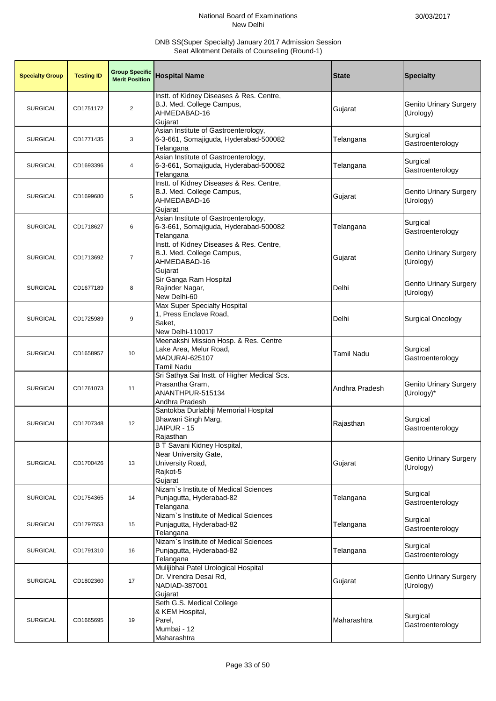| <b>Specialty Group</b> | <b>Testing ID</b> | <b>Group Specific</b><br><b>Merit Position</b> | <b>Hospital Name</b>                                                                                   | <b>State</b>      | <b>Specialty</b>                            |
|------------------------|-------------------|------------------------------------------------|--------------------------------------------------------------------------------------------------------|-------------------|---------------------------------------------|
| <b>SURGICAL</b>        | CD1751172         | $\overline{2}$                                 | Instt. of Kidney Diseases & Res. Centre,<br>B.J. Med. College Campus,<br>AHMEDABAD-16<br>Gujarat       | Gujarat           | <b>Genito Urinary Surgery</b><br>(Urology)  |
| <b>SURGICAL</b>        | CD1771435         | 3                                              | Asian Institute of Gastroenterology,<br>6-3-661, Somajiguda, Hyderabad-500082<br>Telangana             | Telangana         | Surgical<br>Gastroenterology                |
| <b>SURGICAL</b>        | CD1693396         | 4                                              | Asian Institute of Gastroenterology,<br>6-3-661, Somajiguda, Hyderabad-500082<br>Telangana             | Telangana         | Surgical<br>Gastroenterology                |
| <b>SURGICAL</b>        | CD1699680         | 5                                              | Instt. of Kidney Diseases & Res. Centre,<br>B.J. Med. College Campus,<br>AHMEDABAD-16<br>Gujarat       | Gujarat           | <b>Genito Urinary Surgery</b><br>(Urology)  |
| <b>SURGICAL</b>        | CD1718627         | 6                                              | Asian Institute of Gastroenterology,<br>6-3-661, Somajiguda, Hyderabad-500082<br>Telangana             | Telangana         | Surgical<br>Gastroenterology                |
| <b>SURGICAL</b>        | CD1713692         | $\overline{7}$                                 | Instt. of Kidney Diseases & Res. Centre,<br>B.J. Med. College Campus,<br>AHMEDABAD-16<br>Gujarat       | Gujarat           | <b>Genito Urinary Surgery</b><br>(Urology)  |
| <b>SURGICAL</b>        | CD1677189         | 8                                              | Sir Ganga Ram Hospital<br>Rajinder Nagar,<br>New Delhi-60                                              | Delhi             | <b>Genito Urinary Surgery</b><br>(Urology)  |
| <b>SURGICAL</b>        | CD1725989         | 9                                              | Max Super Specialty Hospital<br>1, Press Enclave Road,<br>Saket.<br>New Delhi-110017                   | Delhi             | <b>Surgical Oncology</b>                    |
| <b>SURGICAL</b>        | CD1658957         | 10                                             | Meenakshi Mission Hosp. & Res. Centre<br>Lake Area, Melur Road,<br>MADURAI-625107<br><b>Tamil Nadu</b> | <b>Tamil Nadu</b> | Surgical<br>Gastroenterology                |
| <b>SURGICAL</b>        | CD1761073         | 11                                             | Sri Sathya Sai Instt. of Higher Medical Scs.<br>Prasantha Gram,<br>ANANTHPUR-515134<br>Andhra Pradesh  | Andhra Pradesh    | <b>Genito Urinary Surgery</b><br>(Urology)* |
| <b>SURGICAL</b>        | CD1707348         | 12                                             | Santokba Durlabhji Memorial Hospital<br>Bhawani Singh Marg,<br>JAIPUR - 15<br>Rajasthan                | Rajasthan         | Surgical<br>Gastroenterology                |
| <b>SURGICAL</b>        | CD1700426         | 13                                             | B T Savani Kidney Hospital,<br>Near University Gate,<br>University Road,<br>Rajkot-5<br>Gujarat        | Gujarat           | <b>Genito Urinary Surgery</b><br>(Urology)  |
| <b>SURGICAL</b>        | CD1754365         | 14                                             | Nizam's Institute of Medical Sciences<br>Punjagutta, Hyderabad-82<br>Telangana                         | Telangana         | Surgical<br>Gastroenterology                |
| <b>SURGICAL</b>        | CD1797553         | 15                                             | Nizam's Institute of Medical Sciences<br>Punjagutta, Hyderabad-82<br>Telangana                         | Telangana         | Surgical<br>Gastroenterology                |
| <b>SURGICAL</b>        | CD1791310         | 16                                             | Nizam's Institute of Medical Sciences<br>Punjagutta, Hyderabad-82<br>Telangana                         | Telangana         | Surgical<br>Gastroenterology                |
| <b>SURGICAL</b>        | CD1802360         | 17                                             | Mulijibhai Patel Urological Hospital<br>Dr. Virendra Desai Rd,<br>NADIAD-387001<br>Gujarat             | Gujarat           | <b>Genito Urinary Surgery</b><br>(Urology)  |
| <b>SURGICAL</b>        | CD1665695         | 19                                             | Seth G.S. Medical College<br>& KEM Hospital,<br>Parel,<br>Mumbai - 12<br>Maharashtra                   | Maharashtra       | Surgical<br>Gastroenterology                |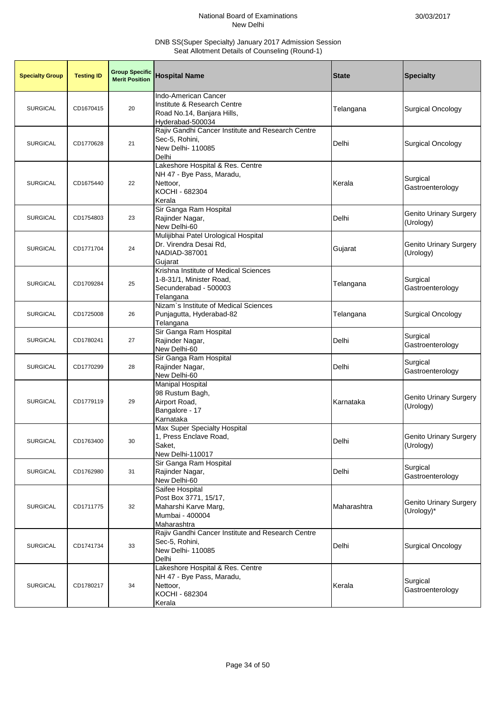| <b>Specialty Group</b> | <b>Testing ID</b> | <b>Group Specific</b><br><b>Merit Position</b> | <b>Hospital Name</b>                                                                                    | <b>State</b> | <b>Specialty</b>                           |
|------------------------|-------------------|------------------------------------------------|---------------------------------------------------------------------------------------------------------|--------------|--------------------------------------------|
| <b>SURGICAL</b>        | CD1670415         | 20                                             | Indo-American Cancer<br>Institute & Research Centre<br>Road No.14, Banjara Hills,<br>Hyderabad-500034   | Telangana    | Surgical Oncology                          |
| <b>SURGICAL</b>        | CD1770628         | 21                                             | Rajiv Gandhi Cancer Institute and Research Centre<br>Sec-5, Rohini,<br>New Delhi- 110085<br>Delhi       | Delhi        | <b>Surgical Oncology</b>                   |
| <b>SURGICAL</b>        | CD1675440         | 22                                             | Lakeshore Hospital & Res. Centre<br>NH 47 - Bye Pass, Maradu,<br>Nettoor,<br>KOCHI - 682304<br>Kerala   | Kerala       | Surgical<br>Gastroenterology               |
| <b>SURGICAL</b>        | CD1754803         | 23                                             | Sir Ganga Ram Hospital<br>Rajinder Nagar,<br>New Delhi-60                                               | Delhi        | <b>Genito Urinary Surgery</b><br>(Urology) |
| <b>SURGICAL</b>        | CD1771704         | 24                                             | Mulijibhai Patel Urological Hospital<br>Dr. Virendra Desai Rd,<br>NADIAD-387001<br>Gujarat              | Gujarat      | <b>Genito Urinary Surgery</b><br>(Urology) |
| <b>SURGICAL</b>        | CD1709284         | 25                                             | Krishna Institute of Medical Sciences<br>1-8-31/1, Minister Road,<br>Secunderabad - 500003<br>Telangana | Telangana    | Surgical<br>Gastroenterology               |
| <b>SURGICAL</b>        | CD1725008         | 26                                             | Nizam's Institute of Medical Sciences<br>Punjagutta, Hyderabad-82<br>Telangana                          | Telangana    | <b>Surgical Oncology</b>                   |
| <b>SURGICAL</b>        | CD1780241         | 27                                             | Sir Ganga Ram Hospital<br>Rajinder Nagar,<br>New Delhi-60                                               | Delhi        | Surgical<br>Gastroenterology               |
| <b>SURGICAL</b>        | CD1770299         | 28                                             | Sir Ganga Ram Hospital<br>Rajinder Nagar,<br>New Delhi-60                                               | Delhi        | Surgical<br>Gastroenterology               |
| <b>SURGICAL</b>        | CD1779119         | 29                                             | <b>Manipal Hospital</b><br>98 Rustum Bagh,<br>Airport Road,<br>Bangalore - 17<br>Karnataka              | Karnataka    | <b>Genito Urinary Surgery</b><br>(Urology) |
| <b>SURGICAL</b>        | CD1763400         | 30                                             | Max Super Specialty Hospital<br>1, Press Enclave Road,<br>Saket,<br>New Delhi-110017                    | Delhi        | Genito Urinary Surgery<br>(Urology)        |
| <b>SURGICAL</b>        | CD1762980         | 31                                             | Sir Ganga Ram Hospital<br>Rajinder Nagar,<br>New Delhi-60                                               | Delhi        | Surgical<br>Gastroenterology               |
| <b>SURGICAL</b>        | CD1711775         | 32                                             | Saifee Hospital<br>Post Box 3771, 15/17,<br>Maharshi Karve Marg,<br>Mumbai - 400004<br>Maharashtra      | Maharashtra  | Genito Urinary Surgery<br>(Urology)*       |
| <b>SURGICAL</b>        | CD1741734         | 33                                             | Rajiv Gandhi Cancer Institute and Research Centre<br>Sec-5, Rohini,<br>New Delhi- 110085<br>Delhi       | Delhi        | <b>Surgical Oncology</b>                   |
| <b>SURGICAL</b>        | CD1780217         | 34                                             | Lakeshore Hospital & Res. Centre<br>NH 47 - Bye Pass, Maradu,<br>Nettoor,<br>KOCHI - 682304<br>Kerala   | Kerala       | Surgical<br>Gastroenterology               |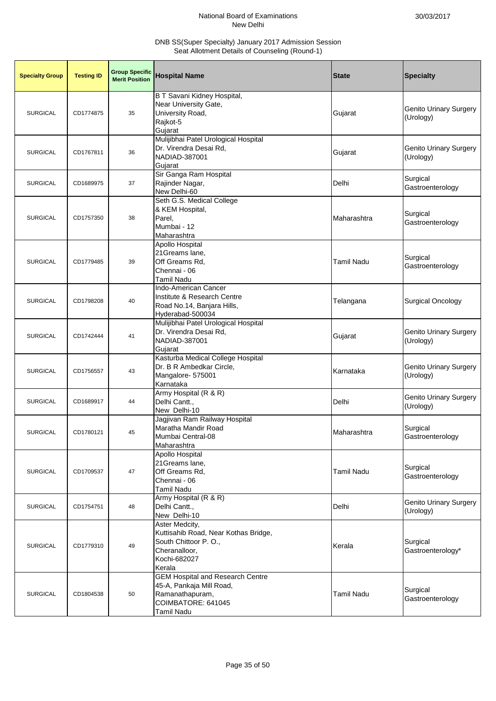| <b>Specialty Group</b> | <b>Testing ID</b> | <b>Group Specific</b><br><b>Merit Position</b> | <b>Hospital Name</b>                                                                                                       | <b>State</b>      | <b>Specialty</b>                           |
|------------------------|-------------------|------------------------------------------------|----------------------------------------------------------------------------------------------------------------------------|-------------------|--------------------------------------------|
| <b>SURGICAL</b>        | CD1774875         | 35                                             | B T Savani Kidney Hospital,<br>Near University Gate,<br>University Road,<br>Rajkot-5<br>Gujarat                            | Gujarat           | <b>Genito Urinary Surgery</b><br>(Urology) |
| <b>SURGICAL</b>        | CD1767811         | 36                                             | Mulijibhai Patel Urological Hospital<br>Dr. Virendra Desai Rd,<br>NADIAD-387001<br>Gujarat                                 | Gujarat           | <b>Genito Urinary Surgery</b><br>(Urology) |
| <b>SURGICAL</b>        | CD1689975         | 37                                             | Sir Ganga Ram Hospital<br>Rajinder Nagar,<br>New Delhi-60                                                                  | Delhi             | Surgical<br>Gastroenterology               |
| <b>SURGICAL</b>        | CD1757350         | 38                                             | Seth G.S. Medical College<br>& KEM Hospital,<br>Parel,<br>Mumbai - 12<br>Maharashtra                                       | Maharashtra       | Surgical<br>Gastroenterology               |
| <b>SURGICAL</b>        | CD1779485         | 39                                             | <b>Apollo Hospital</b><br>21Greams lane,<br>Off Greams Rd,<br>Chennai - 06<br>Tamil Nadu                                   | <b>Tamil Nadu</b> | Surgical<br>Gastroenterology               |
| <b>SURGICAL</b>        | CD1798208         | 40                                             | <b>Indo-American Cancer</b><br>Institute & Research Centre<br>Road No.14, Banjara Hills,<br>Hyderabad-500034               | Telangana         | <b>Surgical Oncology</b>                   |
| <b>SURGICAL</b>        | CD1742444         | 41                                             | Mulijibhai Patel Urological Hospital<br>Dr. Virendra Desai Rd,<br>NADIAD-387001<br>Gujarat                                 | Gujarat           | <b>Genito Urinary Surgery</b><br>(Urology) |
| <b>SURGICAL</b>        | CD1756557         | 43                                             | Kasturba Medical College Hospital<br>Dr. B R Ambedkar Circle,<br>Mangalore- 575001<br>Karnataka                            | Karnataka         | <b>Genito Urinary Surgery</b><br>(Urology) |
| <b>SURGICAL</b>        | CD1689917         | 44                                             | Army Hospital (R & R)<br>Delhi Cantt.,<br>New Delhi-10                                                                     | Delhi             | <b>Genito Urinary Surgery</b><br>(Urology) |
| <b>SURGICAL</b>        | CD1780121         | 45                                             | Jagjivan Ram Railway Hospital<br>Maratha Mandir Road<br>Mumbai Central-08<br>Maharashtra                                   | Maharashtra       | Surgical<br>Gastroenterology               |
| <b>SURGICAL</b>        | CD1709537         | 47                                             | <b>Apollo Hospital</b><br>21Greams lane,<br>Off Greams Rd,<br>Chennai - 06<br><b>Tamil Nadu</b>                            | <b>Tamil Nadu</b> | Surgical<br>Gastroenterology               |
| <b>SURGICAL</b>        | CD1754751         | 48                                             | Army Hospital (R & R)<br>Delhi Cantt.,<br>New Delhi-10                                                                     | Delhi             | <b>Genito Urinary Surgery</b><br>(Urology) |
| <b>SURGICAL</b>        | CD1779310         | 49                                             | Aster Medcity,<br>Kuttisahib Road, Near Kothas Bridge,<br>South Chittoor P.O.,<br>Cheranalloor,<br>Kochi-682027<br>Kerala  | Kerala            | Surgical<br>Gastroenterology*              |
| <b>SURGICAL</b>        | CD1804538         | 50                                             | <b>GEM Hospital and Research Centre</b><br>45-A, Pankaja Mill Road,<br>Ramanathapuram,<br>COIMBATORE: 641045<br>Tamil Nadu | <b>Tamil Nadu</b> | Surgical<br>Gastroenterology               |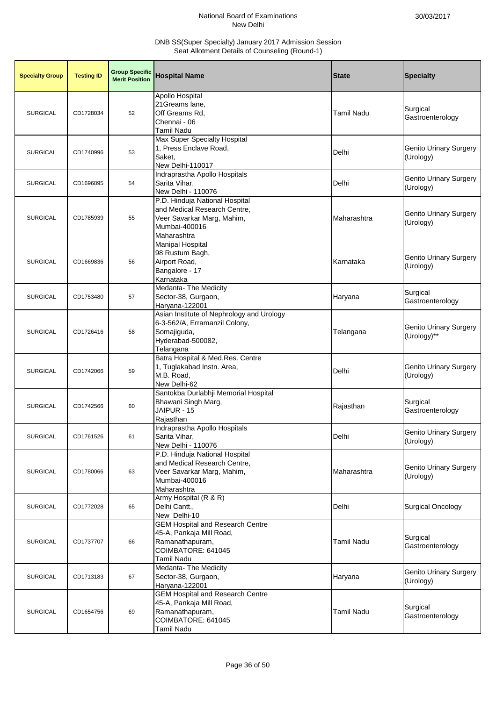| <b>Specialty Group</b> | <b>Testing ID</b> | <b>Group Specific</b><br><b>Merit Position</b> | <b>Hospital Name</b>                                                                                                         | <b>State</b>      | <b>Specialty</b>                           |
|------------------------|-------------------|------------------------------------------------|------------------------------------------------------------------------------------------------------------------------------|-------------------|--------------------------------------------|
| <b>SURGICAL</b>        | CD1728034         | 52                                             | Apollo Hospital<br>21Greams lane,<br>Off Greams Rd,<br>Chennai - 06<br>Tamil Nadu                                            | <b>Tamil Nadu</b> | Surgical<br>Gastroenterology               |
| <b>SURGICAL</b>        | CD1740996         | 53                                             | Max Super Specialty Hospital<br>1, Press Enclave Road,<br>Saket,<br>New Delhi-110017                                         | Delhi             | <b>Genito Urinary Surgery</b><br>(Urology) |
| <b>SURGICAL</b>        | CD1696895         | 54                                             | Indraprastha Apollo Hospitals<br>Sarita Vihar,<br>New Delhi - 110076                                                         | Delhi             | <b>Genito Urinary Surgery</b><br>(Urology) |
| <b>SURGICAL</b>        | CD1785939         | 55                                             | P.D. Hinduja National Hospital<br>and Medical Research Centre,<br>Veer Savarkar Marg, Mahim,<br>Mumbai-400016<br>Maharashtra | Maharashtra       | <b>Genito Urinary Surgery</b><br>(Urology) |
| <b>SURGICAL</b>        | CD1669836         | 56                                             | <b>Manipal Hospital</b><br>98 Rustum Bagh,<br>Airport Road,<br>Bangalore - 17<br>Karnataka                                   | Karnataka         | Genito Urinary Surgery<br>(Urology)        |
| <b>SURGICAL</b>        | CD1753480         | 57                                             | Medanta- The Medicity<br>Sector-38, Gurgaon,<br>Haryana-122001                                                               | Haryana           | Surgical<br>Gastroenterology               |
| <b>SURGICAL</b>        | CD1726416         | 58                                             | Asian Institute of Nephrology and Urology<br>6-3-562/A, Erramanzil Colony,<br>Somajiguda,<br>Hyderabad-500082,<br>Telangana  | Telangana         | Genito Urinary Surgery<br>(Urology)**      |
| <b>SURGICAL</b>        | CD1742066         | 59                                             | Batra Hospital & Med.Res. Centre<br>1, Tuglakabad Instn. Area,<br>M.B. Road,<br>New Delhi-62                                 | Delhi             | <b>Genito Urinary Surgery</b><br>(Urology) |
| <b>SURGICAL</b>        | CD1742566         | 60                                             | Santokba Durlabhji Memorial Hospital<br>Bhawani Singh Marg,<br>JAIPUR - 15<br>Rajasthan                                      | Rajasthan         | Surgical<br>Gastroenterology               |
| <b>SURGICAL</b>        | CD1761526         | 61                                             | Indraprastha Apollo Hospitals<br>Sarita Vihar,<br>New Delhi - 110076                                                         | Delhi             | Genito Urinary Surgery<br>(Urology)        |
| <b>SURGICAL</b>        | CD1780066         | 63                                             | P.D. Hinduja National Hospital<br>and Medical Research Centre,<br>Veer Savarkar Marg, Mahim,<br>Mumbai-400016<br>Maharashtra | Maharashtra       | <b>Genito Urinary Surgery</b><br>(Urology) |
| <b>SURGICAL</b>        | CD1772028         | 65                                             | Army Hospital (R & R)<br>Delhi Cantt.,<br>New Delhi-10                                                                       | Delhi             | <b>Surgical Oncology</b>                   |
| <b>SURGICAL</b>        | CD1737707         | 66                                             | <b>GEM Hospital and Research Centre</b><br>45-A, Pankaja Mill Road,<br>Ramanathapuram,<br>COIMBATORE: 641045<br>Tamil Nadu   | <b>Tamil Nadu</b> | Surgical<br>Gastroenterology               |
| <b>SURGICAL</b>        | CD1713183         | 67                                             | Medanta- The Medicity<br>Sector-38, Gurgaon,<br>Haryana-122001                                                               | Haryana           | <b>Genito Urinary Surgery</b><br>(Urology) |
| <b>SURGICAL</b>        | CD1654756         | 69                                             | <b>GEM Hospital and Research Centre</b><br>45-A, Pankaja Mill Road,<br>Ramanathapuram,<br>COIMBATORE: 641045<br>Tamil Nadu   | <b>Tamil Nadu</b> | Surgical<br>Gastroenterology               |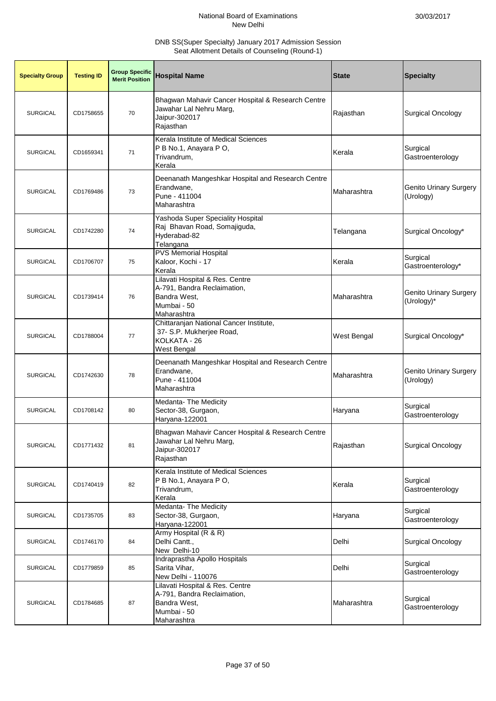| <b>Specialty Group</b> | <b>Testing ID</b> | <b>Group Specific</b><br><b>Merit Position</b> | <b>Hospital Name</b>                                                                                         | <b>State</b>       | <b>Specialty</b>                            |
|------------------------|-------------------|------------------------------------------------|--------------------------------------------------------------------------------------------------------------|--------------------|---------------------------------------------|
| <b>SURGICAL</b>        | CD1758655         | 70                                             | Bhagwan Mahavir Cancer Hospital & Research Centre<br>Jawahar Lal Nehru Marg,<br>Jaipur-302017<br>Rajasthan   | Rajasthan          | <b>Surgical Oncology</b>                    |
| <b>SURGICAL</b>        | CD1659341         | 71                                             | Kerala Institute of Medical Sciences<br>P B No.1, Anayara P O,<br>Trivandrum,<br>Kerala                      | Kerala             | Surgical<br>Gastroenterology                |
| <b>SURGICAL</b>        | CD1769486         | 73                                             | Deenanath Mangeshkar Hospital and Research Centre<br>Erandwane,<br>Pune - 411004<br>Maharashtra              | Maharashtra        | <b>Genito Urinary Surgery</b><br>(Urology)  |
| <b>SURGICAL</b>        | CD1742280         | 74                                             | Yashoda Super Speciality Hospital<br>Raj Bhavan Road, Somajiguda,<br>Hyderabad-82<br>Telangana               | Telangana          | Surgical Oncology*                          |
| <b>SURGICAL</b>        | CD1706707         | 75                                             | <b>PVS Memorial Hospital</b><br>Kaloor, Kochi - 17<br>Kerala                                                 | Kerala             | Surgical<br>Gastroenterology*               |
| <b>SURGICAL</b>        | CD1739414         | 76                                             | Lilavati Hospital & Res. Centre<br>A-791, Bandra Reclaimation,<br>Bandra West,<br>Mumbai - 50<br>Maharashtra | Maharashtra        | <b>Genito Urinary Surgery</b><br>(Urology)* |
| <b>SURGICAL</b>        | CD1788004         | 77                                             | Chittaranjan National Cancer Institute,<br>37- S.P. Mukherjee Road,<br>KOLKATA - 26<br>West Bengal           | <b>West Bengal</b> | Surgical Oncology*                          |
| <b>SURGICAL</b>        | CD1742630         | 78                                             | Deenanath Mangeshkar Hospital and Research Centre<br>Erandwane,<br>Pune - 411004<br>Maharashtra              | Maharashtra        | <b>Genito Urinary Surgery</b><br>(Urology)  |
| <b>SURGICAL</b>        | CD1708142         | 80                                             | Medanta- The Medicity<br>Sector-38, Gurgaon,<br>Haryana-122001                                               | Haryana            | Surgical<br>Gastroenterology                |
| <b>SURGICAL</b>        | CD1771432         | 81                                             | Bhagwan Mahavir Cancer Hospital & Research Centre<br>Jawahar Lal Nehru Marg,<br>Jaipur-302017<br>Rajasthan   | Rajasthan          | <b>Surgical Oncology</b>                    |
| <b>SURGICAL</b>        | CD1740419         | 82                                             | Kerala Institute of Medical Sciences<br>P B No.1, Anayara P O,<br>Trivandrum,<br>Kerala                      | Kerala             | Surgical<br>Gastroenterology                |
| <b>SURGICAL</b>        | CD1735705         | 83                                             | Medanta- The Medicity<br>Sector-38, Gurgaon,<br>Haryana-122001                                               | Haryana            | Surgical<br>Gastroenterology                |
| <b>SURGICAL</b>        | CD1746170         | 84                                             | Army Hospital (R & R)<br>Delhi Cantt.,<br>New Delhi-10                                                       | Delhi              | <b>Surgical Oncology</b>                    |
| <b>SURGICAL</b>        | CD1779859         | 85                                             | Indraprastha Apollo Hospitals<br>Sarita Vihar,<br>New Delhi - 110076                                         | Delhi              | Surgical<br>Gastroenterology                |
| <b>SURGICAL</b>        | CD1784685         | 87                                             | Lilavati Hospital & Res. Centre<br>A-791, Bandra Reclaimation,<br>Bandra West,<br>Mumbai - 50<br>Maharashtra | Maharashtra        | Surgical<br>Gastroenterology                |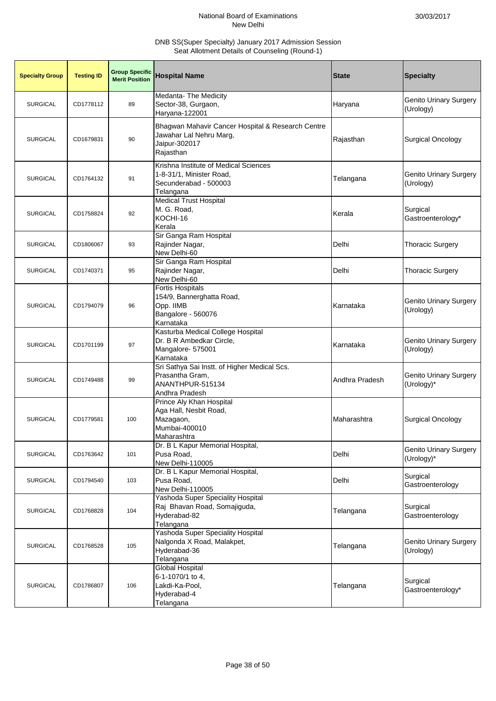| <b>Specialty Group</b> | <b>Testing ID</b> | <b>Group Specific</b><br><b>Merit Position</b> | <b>Hospital Name</b>                                                                                       | <b>State</b>   | <b>Specialty</b>                            |
|------------------------|-------------------|------------------------------------------------|------------------------------------------------------------------------------------------------------------|----------------|---------------------------------------------|
| <b>SURGICAL</b>        | CD1778112         | 89                                             | Medanta- The Medicity<br>Sector-38, Gurgaon,<br>Haryana-122001                                             | Haryana        | Genito Urinary Surgery<br>(Urology)         |
| <b>SURGICAL</b>        | CD1679831         | 90                                             | Bhagwan Mahavir Cancer Hospital & Research Centre<br>Jawahar Lal Nehru Marg,<br>Jaipur-302017<br>Rajasthan | Rajasthan      | <b>Surgical Oncology</b>                    |
| <b>SURGICAL</b>        | CD1764132         | 91                                             | Krishna Institute of Medical Sciences<br>1-8-31/1, Minister Road,<br>Secunderabad - 500003<br>Telangana    | Telangana      | <b>Genito Urinary Surgery</b><br>(Urology)  |
| <b>SURGICAL</b>        | CD1758824         | 92                                             | <b>Medical Trust Hospital</b><br>M. G. Road,<br>KOCHI-16<br>Kerala                                         | Kerala         | Surgical<br>Gastroenterology*               |
| <b>SURGICAL</b>        | CD1806067         | 93                                             | Sir Ganga Ram Hospital<br>Rajinder Nagar,<br>New Delhi-60                                                  | Delhi          | <b>Thoracic Surgery</b>                     |
| <b>SURGICAL</b>        | CD1740371         | 95                                             | Sir Ganga Ram Hospital<br>Rajinder Nagar,<br>New Delhi-60                                                  | Delhi          | <b>Thoracic Surgery</b>                     |
| <b>SURGICAL</b>        | CD1794079         | 96                                             | <b>Fortis Hospitals</b><br>154/9, Bannerghatta Road,<br>Opp. IIMB<br>Bangalore - 560076<br>Karnataka       | Karnataka      | <b>Genito Urinary Surgery</b><br>(Urology)  |
| <b>SURGICAL</b>        | CD1701199         | 97                                             | Kasturba Medical College Hospital<br>Dr. B R Ambedkar Circle,<br>Mangalore- 575001<br>Karnataka            | Karnataka      | <b>Genito Urinary Surgery</b><br>(Urology)  |
| <b>SURGICAL</b>        | CD1749488         | 99                                             | Sri Sathya Sai Instt. of Higher Medical Scs.<br>Prasantha Gram,<br>ANANTHPUR-515134<br>Andhra Pradesh      | Andhra Pradesh | <b>Genito Urinary Surgery</b><br>(Urology)* |
| <b>SURGICAL</b>        | CD1779581         | 100                                            | Prince Aly Khan Hospital<br>Aga Hall, Nesbit Road,<br>Mazagaon,<br>Mumbai-400010<br>Maharashtra            | Maharashtra    | <b>Surgical Oncology</b>                    |
| <b>SURGICAL</b>        | CD1763642         | 101                                            | Dr. B L Kapur Memorial Hospital,<br>Pusa Road.<br>New Delhi-110005                                         | Delhi          | <b>Genito Urinary Surgery</b><br>(Urology)* |
| <b>SURGICAL</b>        | CD1794540         | 103                                            | Dr. B L Kapur Memorial Hospital,<br>Pusa Road,<br>New Delhi-110005                                         | Delhi          | Surgical<br>Gastroenterology                |
| <b>SURGICAL</b>        | CD1768828         | 104                                            | Yashoda Super Speciality Hospital<br>Raj Bhavan Road, Somajiguda,<br>Hyderabad-82<br>Telangana             | Telangana      | Surgical<br>Gastroenterology                |
| <b>SURGICAL</b>        | CD1768528         | 105                                            | Yashoda Super Speciality Hospital<br>Nalgonda X Road, Malakpet,<br>Hyderabad-36<br>Telangana               | Telangana      | Genito Urinary Surgery<br>(Urology)         |
| <b>SURGICAL</b>        | CD1786807         | 106                                            | Global Hospital<br>6-1-1070/1 to 4,<br>Lakdi-Ka-Pool,<br>Hyderabad-4<br>Telangana                          | Telangana      | Surgical<br>Gastroenterology*               |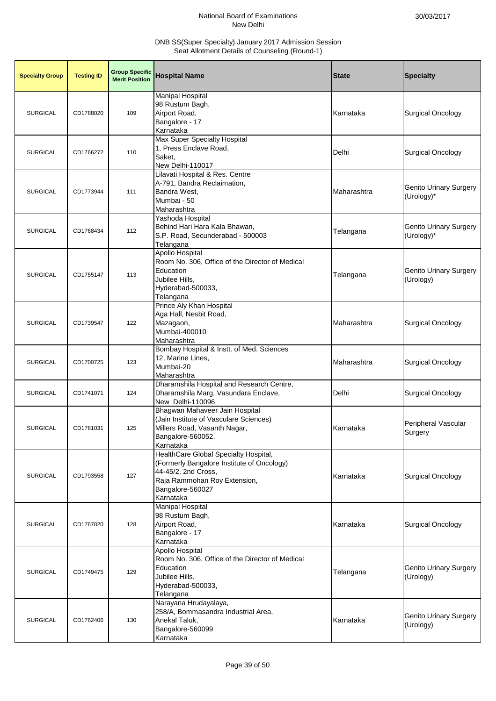| <b>Specialty Group</b> | <b>Testing ID</b> | <b>Group Specific</b><br><b>Merit Position</b> | <b>Hospital Name</b>                                                                                                                                                        | <b>State</b> | <b>Specialty</b>                            |
|------------------------|-------------------|------------------------------------------------|-----------------------------------------------------------------------------------------------------------------------------------------------------------------------------|--------------|---------------------------------------------|
| <b>SURGICAL</b>        | CD1788020         | 109                                            | <b>Manipal Hospital</b><br>98 Rustum Bagh,<br>Airport Road,<br>Bangalore - 17<br>Karnataka                                                                                  | Karnataka    | <b>Surgical Oncology</b>                    |
| <b>SURGICAL</b>        | CD1766272         | 110                                            | Max Super Specialty Hospital<br>1, Press Enclave Road,<br>Saket,<br>New Delhi-110017                                                                                        | Delhi        | <b>Surgical Oncology</b>                    |
| <b>SURGICAL</b>        | CD1773944         | 111                                            | Lilavati Hospital & Res. Centre<br>A-791, Bandra Reclaimation,<br>Bandra West,<br>Mumbai - 50<br>Maharashtra                                                                | Maharashtra  | <b>Genito Urinary Surgery</b><br>(Urology)* |
| <b>SURGICAL</b>        | CD1768434         | 112                                            | Yashoda Hospital<br>Behind Hari Hara Kala Bhawan,<br>S.P. Road, Secunderabad - 500003<br>Telangana                                                                          | Telangana    | <b>Genito Urinary Surgery</b><br>(Urology)* |
| <b>SURGICAL</b>        | CD1755147         | 113                                            | Apollo Hospital<br>Room No. 306, Office of the Director of Medical<br>Education<br>Jubilee Hills,<br>Hyderabad-500033,<br>Telangana                                         | Telangana    | <b>Genito Urinary Surgery</b><br>(Urology)  |
| <b>SURGICAL</b>        | CD1739547         | 122                                            | Prince Aly Khan Hospital<br>Aga Hall, Nesbit Road,<br>Mazagaon,<br>Mumbai-400010<br>Maharashtra                                                                             | Maharashtra  | <b>Surgical Oncology</b>                    |
| <b>SURGICAL</b>        | CD1700725         | 123                                            | Bombay Hospital & Instt. of Med. Sciences<br>12, Marine Lines,<br>Mumbai-20<br>Maharashtra                                                                                  | Maharashtra  | <b>Surgical Oncology</b>                    |
| <b>SURGICAL</b>        | CD1741071         | 124                                            | Dharamshila Hospital and Research Centre,<br>Dharamshila Marg, Vasundara Enclave,<br>New Delhi-110096                                                                       | Delhi        | <b>Surgical Oncology</b>                    |
| <b>SURGICAL</b>        | CD1781031         | 125                                            | Bhagwan Mahaveer Jain Hospital<br>(Jain Institute of Vasculare Sciences)<br>Millers Road, Vasanth Nagar,<br>Bangalore-560052.<br>Karnataka                                  | Karnataka    | Peripheral Vascular<br>Surgery              |
| <b>SURGICAL</b>        | CD1793558         | 127                                            | HealthCare Global Specialty Hospital,<br>(Formerly Bangalore Institute of Oncology)<br>44-45/2, 2nd Cross,<br>Raja Rammohan Roy Extension,<br>Bangalore-560027<br>Karnataka | Karnataka    | <b>Surgical Oncology</b>                    |
| <b>SURGICAL</b>        | CD1767820         | 128                                            | <b>Manipal Hospital</b><br>98 Rustum Bagh,<br>Airport Road,<br>Bangalore - 17<br>Karnataka                                                                                  | Karnataka    | <b>Surgical Oncology</b>                    |
| <b>SURGICAL</b>        | CD1749475         | 129                                            | Apollo Hospital<br>Room No. 306, Office of the Director of Medical<br>Education<br>Jubilee Hills,<br>Hyderabad-500033,<br>Telangana                                         | Telangana    | <b>Genito Urinary Surgery</b><br>(Urology)  |
| <b>SURGICAL</b>        | CD1762406         | 130                                            | Narayana Hrudayalaya,<br>258/A, Bommasandra Industrial Area,<br>Anekal Taluk,<br>Bangalore-560099<br>Karnataka                                                              | Karnataka    | <b>Genito Urinary Surgery</b><br>(Urology)  |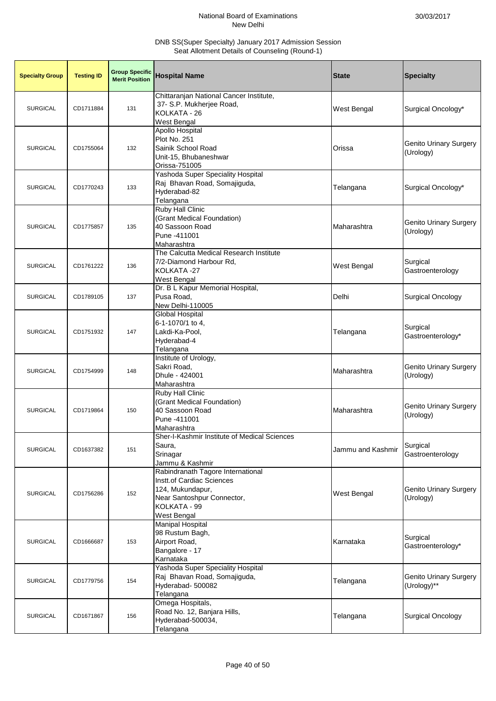| <b>Specialty Group</b> | <b>Testing ID</b> | <b>Group Specific</b><br><b>Merit Position</b> | <b>Hospital Name</b>                                                                                                                            | <b>State</b>       | <b>Specialty</b>                             |
|------------------------|-------------------|------------------------------------------------|-------------------------------------------------------------------------------------------------------------------------------------------------|--------------------|----------------------------------------------|
| <b>SURGICAL</b>        | CD1711884         | 131                                            | Chittaranjan National Cancer Institute,<br>37- S.P. Mukherjee Road,<br>KOLKATA - 26<br><b>West Bengal</b>                                       | <b>West Bengal</b> | Surgical Oncology*                           |
| <b>SURGICAL</b>        | CD1755064         | 132                                            | Apollo Hospital<br>Plot No. 251<br>Sainik School Road<br>Unit-15, Bhubaneshwar<br>Orissa-751005                                                 | Orissa             | <b>Genito Urinary Surgery</b><br>(Urology)   |
| <b>SURGICAL</b>        | CD1770243         | 133                                            | Yashoda Super Speciality Hospital<br>Raj Bhavan Road, Somajiguda,<br>Hyderabad-82<br>Telangana                                                  | Telangana          | Surgical Oncology*                           |
| <b>SURGICAL</b>        | CD1775857         | 135                                            | Ruby Hall Clinic<br>(Grant Medical Foundation)<br>40 Sassoon Road<br>Pune -411001<br>Maharashtra                                                | Maharashtra        | <b>Genito Urinary Surgery</b><br>(Urology)   |
| <b>SURGICAL</b>        | CD1761222         | 136                                            | The Calcutta Medical Research Institute<br>7/2-Diamond Harbour Rd,<br>KOLKATA-27<br>West Bengal                                                 | West Bengal        | Surgical<br>Gastroenterology                 |
| <b>SURGICAL</b>        | CD1789105         | 137                                            | Dr. B L Kapur Memorial Hospital,<br>Pusa Road,<br>New Delhi-110005                                                                              | Delhi              | <b>Surgical Oncology</b>                     |
| <b>SURGICAL</b>        | CD1751932         | 147                                            | Global Hospital<br>6-1-1070/1 to 4,<br>Lakdi-Ka-Pool,<br>Hyderabad-4<br>Telangana                                                               | Telangana          | Surgical<br>Gastroenterology*                |
| <b>SURGICAL</b>        | CD1754999         | 148                                            | Institute of Urology,<br>Sakri Road,<br>Dhule - 424001<br>Maharashtra                                                                           | Maharashtra        | <b>Genito Urinary Surgery</b><br>(Urology)   |
| <b>SURGICAL</b>        | CD1719864         | 150                                            | Ruby Hall Clinic<br>(Grant Medical Foundation)<br>40 Sassoon Road<br>Pune -411001<br>Maharashtra                                                | Maharashtra        | <b>Genito Urinary Surgery</b><br>(Urology)   |
| <b>SURGICAL</b>        | CD1637382         | 151                                            | Sher-I-Kashmir Institute of Medical Sciences<br>Saura,<br>Srinagar<br>Jammu & Kashmir                                                           | Jammu and Kashmir  | Surgical<br>Gastroenterology                 |
| <b>SURGICAL</b>        | CD1756286         | 152                                            | Rabindranath Tagore International<br>Instt.of Cardiac Sciences<br>124, Mukundapur,<br>Near Santoshpur Connector,<br>KOLKATA - 99<br>West Bengal | West Bengal        | <b>Genito Urinary Surgery</b><br>(Urology)   |
| <b>SURGICAL</b>        | CD1666687         | 153                                            | <b>Manipal Hospital</b><br>98 Rustum Bagh,<br>Airport Road,<br>Bangalore - 17<br>Karnataka                                                      | Karnataka          | Surgical<br>Gastroenterology*                |
| <b>SURGICAL</b>        | CD1779756         | 154                                            | Yashoda Super Speciality Hospital<br>Raj Bhavan Road, Somajiguda,<br>Hyderabad- 500082<br>Telangana                                             | Telangana          | <b>Genito Urinary Surgery</b><br>(Urology)** |
| <b>SURGICAL</b>        | CD1671867         | 156                                            | Omega Hospitals,<br>Road No. 12, Banjara Hills,<br>Hyderabad-500034,<br>Telangana                                                               | Telangana          | <b>Surgical Oncology</b>                     |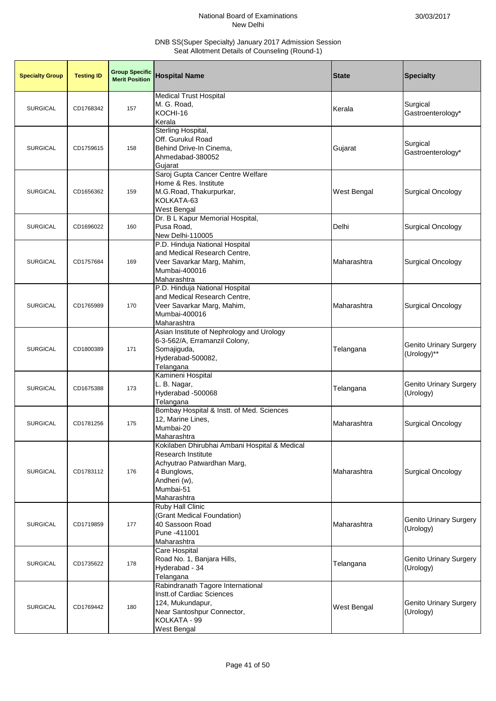| <b>Specialty Group</b> | <b>Testing ID</b> | <b>Group Specific</b><br><b>Merit Position</b> | <b>Hospital Name</b>                                                                                                                                         | <b>State</b>       | <b>Specialty</b>                           |
|------------------------|-------------------|------------------------------------------------|--------------------------------------------------------------------------------------------------------------------------------------------------------------|--------------------|--------------------------------------------|
| <b>SURGICAL</b>        | CD1768342         | 157                                            | <b>Medical Trust Hospital</b><br>M. G. Road,<br>KOCHI-16<br>Kerala                                                                                           | Kerala             | Surgical<br>Gastroenterology*              |
| <b>SURGICAL</b>        | CD1759615         | 158                                            | Sterling Hospital,<br>Off. Gurukul Road<br>Behind Drive-In Cinema,<br>Ahmedabad-380052<br>Gujarat                                                            | Gujarat            | Surgical<br>Gastroenterology*              |
| <b>SURGICAL</b>        | CD1656362         | 159                                            | Saroj Gupta Cancer Centre Welfare<br>Home & Res. Institute<br>M.G.Road, Thakurpurkar,<br>KOLKATA-63<br>West Bengal                                           | West Bengal        | <b>Surgical Oncology</b>                   |
| <b>SURGICAL</b>        | CD1696022         | 160                                            | Dr. B L Kapur Memorial Hospital,<br>Pusa Road,<br>New Delhi-110005                                                                                           | Delhi              | <b>Surgical Oncology</b>                   |
| <b>SURGICAL</b>        | CD1757684         | 169                                            | P.D. Hinduja National Hospital<br>and Medical Research Centre,<br>Veer Savarkar Marg, Mahim,<br>Mumbai-400016<br>Maharashtra                                 | Maharashtra        | <b>Surgical Oncology</b>                   |
| <b>SURGICAL</b>        | CD1765989         | 170                                            | P.D. Hinduja National Hospital<br>and Medical Research Centre,<br>Veer Savarkar Marg, Mahim,<br>Mumbai-400016<br>Maharashtra                                 | Maharashtra        | <b>Surgical Oncology</b>                   |
| <b>SURGICAL</b>        | CD1800389         | 171                                            | Asian Institute of Nephrology and Urology<br>6-3-562/A, Erramanzil Colony,<br>Somajiguda,<br>Hyderabad-500082,<br>Telangana                                  | Telangana          | Genito Urinary Surgery<br>(Urology)**      |
| <b>SURGICAL</b>        | CD1675388         | 173                                            | Kamineni Hospital<br>L. B. Nagar,<br>Hyderabad -500068<br>Telangana                                                                                          | Telangana          | <b>Genito Urinary Surgery</b><br>(Urology) |
| <b>SURGICAL</b>        | CD1781256         | 175                                            | Bombay Hospital & Instt. of Med. Sciences<br>12, Marine Lines,<br>Mumbai-20<br>Maharashtra                                                                   | Maharashtra        | <b>Surgical Oncology</b>                   |
| <b>SURGICAL</b>        | CD1783112         | 176                                            | Kokilaben Dhirubhai Ambani Hospital & Medical<br>Research Institute<br>Achyutrao Patwardhan Marg,<br>4 Bunglows,<br>Andheri (w),<br>Mumbai-51<br>Maharashtra | Maharashtra        | <b>Surgical Oncology</b>                   |
| <b>SURGICAL</b>        | CD1719859         | 177                                            | <b>Ruby Hall Clinic</b><br>(Grant Medical Foundation)<br>40 Sassoon Road<br>Pune -411001<br>Maharashtra                                                      | Maharashtra        | <b>Genito Urinary Surgery</b><br>(Urology) |
| <b>SURGICAL</b>        | CD1735622         | 178                                            | Care Hospital<br>Road No. 1, Banjara Hills,<br>Hyderabad - 34<br>Telangana                                                                                   | Telangana          | <b>Genito Urinary Surgery</b><br>(Urology) |
| <b>SURGICAL</b>        | CD1769442         | 180                                            | Rabindranath Tagore International<br>Instt.of Cardiac Sciences<br>124, Mukundapur,<br>Near Santoshpur Connector,<br>KOLKATA - 99<br>West Bengal              | <b>West Bengal</b> | <b>Genito Urinary Surgery</b><br>(Urology) |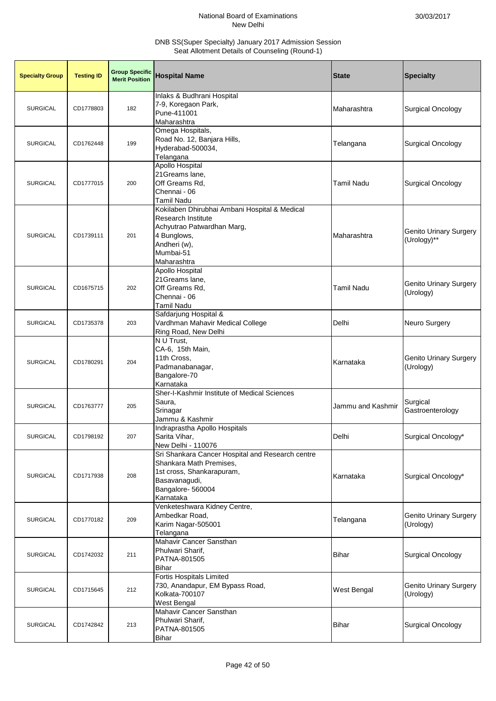| <b>Specialty Group</b> | <b>Testing ID</b> | <b>Group Specific</b><br><b>Merit Position</b> | <b>Hospital Name</b>                                                                                                                                                | <b>State</b>      | <b>Specialty</b>                             |
|------------------------|-------------------|------------------------------------------------|---------------------------------------------------------------------------------------------------------------------------------------------------------------------|-------------------|----------------------------------------------|
| <b>SURGICAL</b>        | CD1778803         | 182                                            | Inlaks & Budhrani Hospital<br>7-9, Koregaon Park,<br>Pune-411001<br>Maharashtra                                                                                     | Maharashtra       | <b>Surgical Oncology</b>                     |
| <b>SURGICAL</b>        | CD1762448         | 199                                            | Omega Hospitals,<br>Road No. 12, Banjara Hills,<br>Hyderabad-500034,<br>Telangana                                                                                   | Telangana         | <b>Surgical Oncology</b>                     |
| <b>SURGICAL</b>        | CD1777015         | 200                                            | Apollo Hospital<br>21 Greams lane,<br>Off Greams Rd,<br>Chennai - 06<br><b>Tamil Nadu</b>                                                                           | <b>Tamil Nadu</b> | <b>Surgical Oncology</b>                     |
| <b>SURGICAL</b>        | CD1739111         | 201                                            | Kokilaben Dhirubhai Ambani Hospital & Medical<br><b>Research Institute</b><br>Achyutrao Patwardhan Marg,<br>4 Bunglows,<br>Andheri (w),<br>Mumbai-51<br>Maharashtra | Maharashtra       | <b>Genito Urinary Surgery</b><br>(Urology)** |
| <b>SURGICAL</b>        | CD1675715         | 202                                            | Apollo Hospital<br>21 Greams lane,<br>Off Greams Rd,<br>Chennai - 06<br><b>Tamil Nadu</b>                                                                           | <b>Tamil Nadu</b> | <b>Genito Urinary Surgery</b><br>(Urology)   |
| <b>SURGICAL</b>        | CD1735378         | 203                                            | Safdarjung Hospital &<br>Vardhman Mahavir Medical College<br>Ring Road, New Delhi                                                                                   | Delhi             | Neuro Surgery                                |
| <b>SURGICAL</b>        | CD1780291         | 204                                            | N U Trust,<br>CA-6, 15th Main,<br>11th Cross,<br>Padmanabanagar,<br>Bangalore-70<br>Karnataka                                                                       | Karnataka         | <b>Genito Urinary Surgery</b><br>(Urology)   |
| <b>SURGICAL</b>        | CD1763777         | 205                                            | Sher-I-Kashmir Institute of Medical Sciences<br>Saura,<br>Srinagar<br>Jammu & Kashmir                                                                               | Jammu and Kashmir | Surgical<br>Gastroenterology                 |
| <b>SURGICAL</b>        | CD1798192         | 207                                            | Indraprastha Apollo Hospitals<br>Sarita Vihar,<br>New Delhi - 110076                                                                                                | Delhi             | Surgical Oncology*                           |
| <b>SURGICAL</b>        | CD1717938         | 208                                            | Sri Shankara Cancer Hospital and Research centre<br>Shankara Math Premises,<br>1st cross, Shankarapuram,<br>Basavanagudi,<br>Bangalore- 560004<br>Karnataka         | Karnataka         | Surgical Oncology*                           |
| <b>SURGICAL</b>        | CD1770182         | 209                                            | Venketeshwara Kidney Centre,<br>Ambedkar Road,<br>Karim Nagar-505001<br>Telangana                                                                                   | Telangana         | Genito Urinary Surgery<br>(Urology)          |
| <b>SURGICAL</b>        | CD1742032         | 211                                            | Mahavir Cancer Sansthan<br>Phulwari Sharif,<br>PATNA-801505<br><b>Bihar</b>                                                                                         | Bihar             | <b>Surgical Oncology</b>                     |
| <b>SURGICAL</b>        | CD1715645         | 212                                            | Fortis Hospitals Limited<br>730, Anandapur, EM Bypass Road,<br>Kolkata-700107<br>West Bengal                                                                        | West Bengal       | <b>Genito Urinary Surgery</b><br>(Urology)   |
| <b>SURGICAL</b>        | CD1742842         | 213                                            | Mahavir Cancer Sansthan<br>Phulwari Sharif,<br>PATNA-801505<br><b>Bihar</b>                                                                                         | Bihar             | <b>Surgical Oncology</b>                     |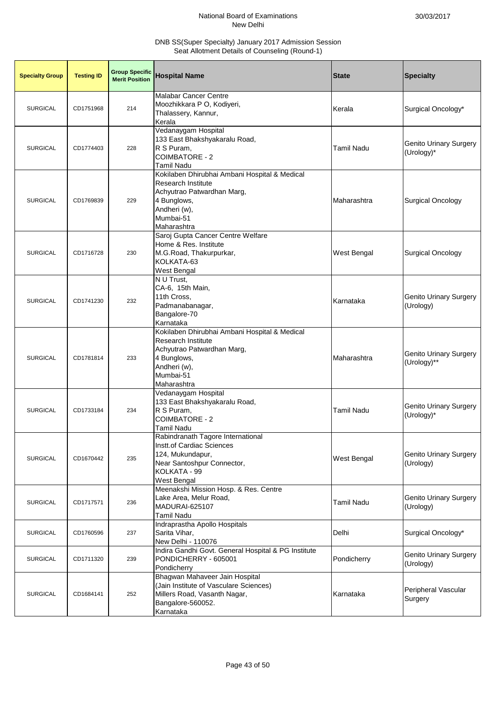| <b>Specialty Group</b> | <b>Testing ID</b> | <b>Group Specific</b><br><b>Merit Position</b> | <b>Hospital Name</b>                                                                                                                                                | <b>State</b>       | <b>Specialty</b>                             |
|------------------------|-------------------|------------------------------------------------|---------------------------------------------------------------------------------------------------------------------------------------------------------------------|--------------------|----------------------------------------------|
| <b>SURGICAL</b>        | CD1751968         | 214                                            | <b>Malabar Cancer Centre</b><br>Moozhikkara P O, Kodiyeri,<br>Thalassery, Kannur,<br>Kerala                                                                         | Kerala             | Surgical Oncology*                           |
| <b>SURGICAL</b>        | CD1774403         | 228                                            | Vedanaygam Hospital<br>133 East Bhakshyakaralu Road,<br>R S Puram,<br>COIMBATORE - 2<br>Tamil Nadu                                                                  | <b>Tamil Nadu</b>  | <b>Genito Urinary Surgery</b><br>(Urology)*  |
| <b>SURGICAL</b>        | CD1769839         | 229                                            | Kokilaben Dhirubhai Ambani Hospital & Medical<br><b>Research Institute</b><br>Achyutrao Patwardhan Marg,<br>4 Bunglows,<br>Andheri (w),<br>Mumbai-51<br>Maharashtra | Maharashtra        | <b>Surgical Oncology</b>                     |
| <b>SURGICAL</b>        | CD1716728         | 230                                            | Saroj Gupta Cancer Centre Welfare<br>Home & Res. Institute<br>M.G.Road, Thakurpurkar,<br>KOLKATA-63<br><b>West Bengal</b>                                           | <b>West Bengal</b> | Surgical Oncology                            |
| <b>SURGICAL</b>        | CD1741230         | 232                                            | N U Trust,<br>CA-6, 15th Main,<br>11th Cross,<br>Padmanabanagar,<br>Bangalore-70<br>Karnataka                                                                       | Karnataka          | <b>Genito Urinary Surgery</b><br>(Urology)   |
| <b>SURGICAL</b>        | CD1781814         | 233                                            | Kokilaben Dhirubhai Ambani Hospital & Medical<br><b>Research Institute</b><br>Achyutrao Patwardhan Marg,<br>4 Bunglows,<br>Andheri (w),<br>Mumbai-51<br>Maharashtra | Maharashtra        | <b>Genito Urinary Surgery</b><br>(Urology)** |
| <b>SURGICAL</b>        | CD1733184         | 234                                            | Vedanaygam Hospital<br>133 East Bhakshyakaralu Road,<br>R S Puram,<br><b>COIMBATORE - 2</b><br><b>Tamil Nadu</b>                                                    | <b>Tamil Nadu</b>  | <b>Genito Urinary Surgery</b><br>(Urology)*  |
| <b>SURGICAL</b>        | CD1670442         | 235                                            | Rabindranath Tagore International<br><b>Instt.of Cardiac Sciences</b><br>124, Mukundapur,<br>Near Santoshpur Connector,<br>KOLKATA - 99<br>West Bengal              | <b>West Bengal</b> | Genito Urinary Surgery<br>(Urology)          |
| <b>SURGICAL</b>        | CD1717571         | 236                                            | Meenakshi Mission Hosp. & Res. Centre<br>Lake Area, Melur Road,<br><b>MADURAI-625107</b><br>Tamil Nadu                                                              | <b>Tamil Nadu</b>  | <b>Genito Urinary Surgery</b><br>(Urology)   |
| <b>SURGICAL</b>        | CD1760596         | 237                                            | Indraprastha Apollo Hospitals<br>Sarita Vihar,<br>New Delhi - 110076                                                                                                | Delhi              | Surgical Oncology*                           |
| <b>SURGICAL</b>        | CD1711320         | 239                                            | Indira Gandhi Govt. General Hospital & PG Institute<br>PONDICHERRY - 605001<br>Pondicherry                                                                          | Pondicherry        | <b>Genito Urinary Surgery</b><br>(Urology)   |
| <b>SURGICAL</b>        | CD1684141         | 252                                            | Bhagwan Mahaveer Jain Hospital<br>(Jain Institute of Vasculare Sciences)<br>Millers Road, Vasanth Nagar,<br>Bangalore-560052.<br>Karnataka                          | Karnataka          | Peripheral Vascular<br>Surgery               |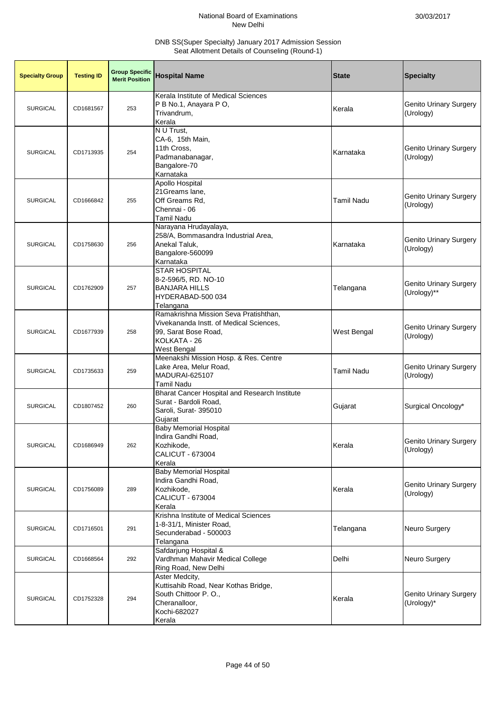| <b>Specialty Group</b> | <b>Testing ID</b> | <b>Group Specific</b><br><b>Merit Position</b> | <b>Hospital Name</b>                                                                                                                    | <b>State</b>      | <b>Specialty</b>                             |
|------------------------|-------------------|------------------------------------------------|-----------------------------------------------------------------------------------------------------------------------------------------|-------------------|----------------------------------------------|
| <b>SURGICAL</b>        | CD1681567         | 253                                            | Kerala Institute of Medical Sciences<br>P B No.1, Anayara P O,<br>Trivandrum,<br>Kerala                                                 | Kerala            | <b>Genito Urinary Surgery</b><br>(Urology)   |
| <b>SURGICAL</b>        | CD1713935         | 254                                            | N U Trust,<br>CA-6, 15th Main,<br>11th Cross,<br>Padmanabanagar,<br>Bangalore-70<br>Karnataka                                           | Karnataka         | <b>Genito Urinary Surgery</b><br>(Urology)   |
| <b>SURGICAL</b>        | CD1666842         | 255                                            | Apollo Hospital<br>21Greams lane,<br>Off Greams Rd,<br>Chennai - 06<br><b>Tamil Nadu</b>                                                | <b>Tamil Nadu</b> | <b>Genito Urinary Surgery</b><br>(Urology)   |
| <b>SURGICAL</b>        | CD1758630         | 256                                            | Narayana Hrudayalaya,<br>258/A, Bommasandra Industrial Area,<br>Anekal Taluk,<br>Bangalore-560099<br>Karnataka                          | Karnataka         | <b>Genito Urinary Surgery</b><br>(Urology)   |
| <b>SURGICAL</b>        | CD1762909         | 257                                            | <b>STAR HOSPITAL</b><br>8-2-596/5, RD. NO-10<br><b>BANJARA HILLS</b><br>HYDERABAD-500 034<br>Telangana                                  | Telangana         | <b>Genito Urinary Surgery</b><br>(Urology)** |
| <b>SURGICAL</b>        | CD1677939         | 258                                            | Ramakrishna Mission Seva Pratishthan,<br>Vivekananda Instt. of Medical Sciences,<br>99, Sarat Bose Road,<br>KOLKATA - 26<br>West Bengal | West Bengal       | <b>Genito Urinary Surgery</b><br>(Urology)   |
| <b>SURGICAL</b>        | CD1735633         | 259                                            | Meenakshi Mission Hosp. & Res. Centre<br>Lake Area, Melur Road,<br>MADURAI-625107<br><b>Tamil Nadu</b>                                  | Tamil Nadu        | <b>Genito Urinary Surgery</b><br>(Urology)   |
| <b>SURGICAL</b>        | CD1807452         | 260                                            | Bharat Cancer Hospital and Research Institute<br>Surat - Bardoli Road,<br>Saroli, Surat- 395010<br>Gujarat                              | Gujarat           | Surgical Oncology*                           |
| <b>SURGICAL</b>        | CD1686949         | 262                                            | <b>Baby Memorial Hospital</b><br>Indira Gandhi Road,<br>Kozhikode,<br>CALICUT - 673004<br>Kerala                                        | Kerala            | <b>Genito Urinary Surgery</b><br>(Urology)   |
| <b>SURGICAL</b>        | CD1756089         | 289                                            | <b>Baby Memorial Hospital</b><br>Indira Gandhi Road,<br>Kozhikode,<br>CALICUT - 673004<br>Kerala                                        | Kerala            | <b>Genito Urinary Surgery</b><br>(Urology)   |
| <b>SURGICAL</b>        | CD1716501         | 291                                            | Krishna Institute of Medical Sciences<br>1-8-31/1, Minister Road,<br>Secunderabad - 500003<br>Telangana                                 | Telangana         | Neuro Surgery                                |
| <b>SURGICAL</b>        | CD1668564         | 292                                            | Safdarjung Hospital &<br>Vardhman Mahavir Medical College<br>Ring Road, New Delhi                                                       | Delhi             | Neuro Surgery                                |
| <b>SURGICAL</b>        | CD1752328         | 294                                            | Aster Medcity,<br>Kuttisahib Road, Near Kothas Bridge,<br>South Chittoor P.O.,<br>Cheranalloor,<br>Kochi-682027<br>Kerala               | Kerala            | <b>Genito Urinary Surgery</b><br>(Urology)*  |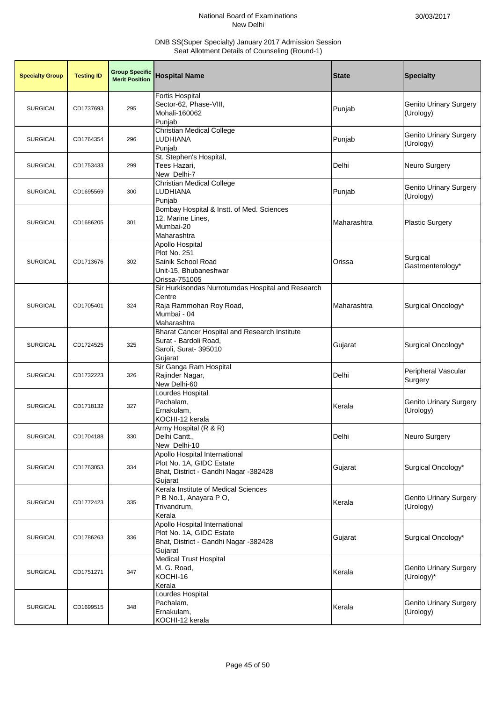| <b>Specialty Group</b> | <b>Testing ID</b> | <b>Group Specific</b><br><b>Merit Position</b> | <b>Hospital Name</b>                                                                                                 | <b>State</b> | <b>Specialty</b>                            |
|------------------------|-------------------|------------------------------------------------|----------------------------------------------------------------------------------------------------------------------|--------------|---------------------------------------------|
| <b>SURGICAL</b>        | CD1737693         | 295                                            | <b>Fortis Hospital</b><br>Sector-62, Phase-VIII,<br>Mohali-160062<br>Puniab                                          | Punjab       | <b>Genito Urinary Surgery</b><br>(Urology)  |
| <b>SURGICAL</b>        | CD1764354         | 296                                            | Christian Medical College<br>LUDHIANA<br>Punjab                                                                      | Punjab       | <b>Genito Urinary Surgery</b><br>(Urology)  |
| <b>SURGICAL</b>        | CD1753433         | 299                                            | St. Stephen's Hospital,<br>Tees Hazari,<br>New Delhi-7                                                               | Delhi        | Neuro Surgery                               |
| <b>SURGICAL</b>        | CD1695569         | 300                                            | <b>Christian Medical College</b><br>LUDHIANA<br>Punjab                                                               | Punjab       | <b>Genito Urinary Surgery</b><br>(Urology)  |
| <b>SURGICAL</b>        | CD1686205         | 301                                            | Bombay Hospital & Instt. of Med. Sciences<br>12, Marine Lines,<br>Mumbai-20<br>Maharashtra                           | Maharashtra  | <b>Plastic Surgery</b>                      |
| <b>SURGICAL</b>        | CD1713676         | 302                                            | Apollo Hospital<br>Plot No. 251<br>Sainik School Road<br>Unit-15, Bhubaneshwar<br>Orissa-751005                      | Orissa       | Surgical<br>Gastroenterology*               |
| <b>SURGICAL</b>        | CD1705401         | 324                                            | Sir Hurkisondas Nurrotumdas Hospital and Research<br>Centre<br>Raja Rammohan Roy Road,<br>Mumbai - 04<br>Maharashtra | Maharashtra  | Surgical Oncology*                          |
| <b>SURGICAL</b>        | CD1724525         | 325                                            | Bharat Cancer Hospital and Research Institute<br>Surat - Bardoli Road,<br>Saroli, Surat- 395010<br>Gujarat           | Gujarat      | Surgical Oncology*                          |
| <b>SURGICAL</b>        | CD1732223         | 326                                            | Sir Ganga Ram Hospital<br>Rajinder Nagar,<br>New Delhi-60                                                            | Delhi        | Peripheral Vascular<br>Surgery              |
| <b>SURGICAL</b>        | CD1718132         | 327                                            | Lourdes Hospital<br>Pachalam,<br>Ernakulam,<br>KOCHI-12 kerala                                                       | Kerala       | <b>Genito Urinary Surgery</b><br>(Urology)  |
| <b>SURGICAL</b>        | CD1704188         | 330                                            | Army Hospital (R & R)<br>Delhi Cantt.,<br>New Delhi-10                                                               | Delhi        | Neuro Surgery                               |
| <b>SURGICAL</b>        | CD1763053         | 334                                            | Apollo Hospital International<br>Plot No. 1A, GIDC Estate<br>Bhat, District - Gandhi Nagar -382428<br>Gujarat        | Gujarat      | Surgical Oncology*                          |
| <b>SURGICAL</b>        | CD1772423         | 335                                            | Kerala Institute of Medical Sciences<br>P B No.1, Anayara P O,<br>Trivandrum,<br>Kerala                              | Kerala       | <b>Genito Urinary Surgery</b><br>(Urology)  |
| <b>SURGICAL</b>        | CD1786263         | 336                                            | Apollo Hospital International<br>Plot No. 1A, GIDC Estate<br>Bhat, District - Gandhi Nagar -382428<br>Gujarat        | Gujarat      | Surgical Oncology*                          |
| <b>SURGICAL</b>        | CD1751271         | 347                                            | <b>Medical Trust Hospital</b><br>M. G. Road,<br>KOCHI-16<br>Kerala                                                   | Kerala       | <b>Genito Urinary Surgery</b><br>(Urology)* |
| <b>SURGICAL</b>        | CD1699515         | 348                                            | Lourdes Hospital<br>Pachalam,<br>Ernakulam,<br>KOCHI-12 kerala                                                       | Kerala       | <b>Genito Urinary Surgery</b><br>(Urology)  |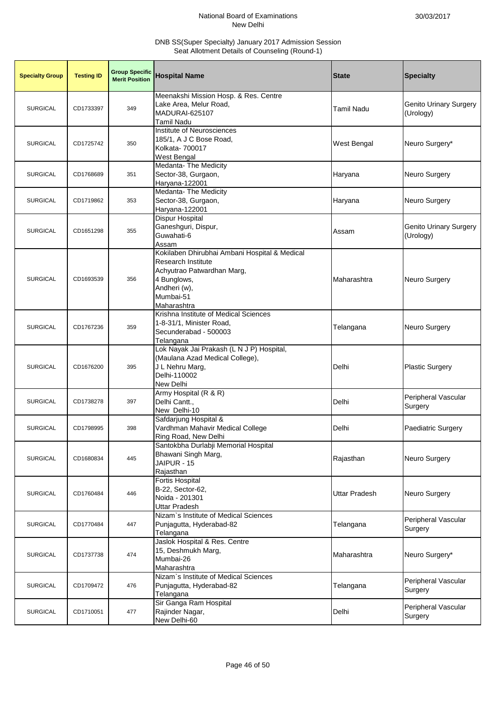| <b>Specialty Group</b> | <b>Testing ID</b> | <b>Group Specific</b><br><b>Merit Position</b> | <b>Hospital Name</b>                                                                                                                                                | <b>State</b>         | <b>Specialty</b>                           |
|------------------------|-------------------|------------------------------------------------|---------------------------------------------------------------------------------------------------------------------------------------------------------------------|----------------------|--------------------------------------------|
| <b>SURGICAL</b>        | CD1733397         | 349                                            | Meenakshi Mission Hosp. & Res. Centre<br>Lake Area, Melur Road,<br>MADURAI-625107<br>Tamil Nadu                                                                     | Tamil Nadu           | <b>Genito Urinary Surgery</b><br>(Urology) |
| <b>SURGICAL</b>        | CD1725742         | 350                                            | Institute of Neurosciences<br>185/1, A J C Bose Road,<br>Kolkata- 700017<br>West Bengal                                                                             | West Bengal          | Neuro Surgery*                             |
| <b>SURGICAL</b>        | CD1768689         | 351                                            | Medanta- The Medicity<br>Sector-38, Gurgaon,<br>Haryana-122001                                                                                                      | Haryana              | <b>Neuro Surgery</b>                       |
| <b>SURGICAL</b>        | CD1719862         | 353                                            | Medanta- The Medicity<br>Sector-38, Gurgaon,<br>Haryana-122001                                                                                                      | Haryana              | Neuro Surgery                              |
| <b>SURGICAL</b>        | CD1651298         | 355                                            | <b>Dispur Hospital</b><br>Ganeshguri, Dispur,<br>Guwahati-6<br>Assam                                                                                                | Assam                | <b>Genito Urinary Surgery</b><br>(Urology) |
| <b>SURGICAL</b>        | CD1693539         | 356                                            | Kokilaben Dhirubhai Ambani Hospital & Medical<br><b>Research Institute</b><br>Achyutrao Patwardhan Marg,<br>4 Bunglows,<br>Andheri (w),<br>Mumbai-51<br>Maharashtra | Maharashtra          | Neuro Surgery                              |
| <b>SURGICAL</b>        | CD1767236         | 359                                            | Krishna Institute of Medical Sciences<br>1-8-31/1, Minister Road,<br>Secunderabad - 500003<br>Telangana                                                             | Telangana            | <b>Neuro Surgery</b>                       |
| <b>SURGICAL</b>        | CD1676200         | 395                                            | Lok Nayak Jai Prakash (L N J P) Hospital,<br>(Maulana Azad Medical College),<br>J L Nehru Marg,<br>Delhi-110002<br>New Delhi                                        | Delhi                | <b>Plastic Surgery</b>                     |
| <b>SURGICAL</b>        | CD1738278         | 397                                            | Army Hospital (R & R)<br>Delhi Cantt.,<br>New Delhi-10                                                                                                              | Delhi                | Peripheral Vascular<br>Surgery             |
| <b>SURGICAL</b>        | CD1798995         | 398                                            | Safdarjung Hospital &<br>Vardhman Mahavir Medical College<br>Ring Road, New Delhi                                                                                   | Delhi                | <b>Paediatric Surgery</b>                  |
| <b>SURGICAL</b>        | CD1680834         | 445                                            | Santokbha Durlabji Memorial Hospital<br>Bhawani Singh Marg,<br>JAIPUR - 15<br>Rajasthan                                                                             | Rajasthan            | Neuro Surgery                              |
| <b>SURGICAL</b>        | CD1760484         | 446                                            | <b>Fortis Hospital</b><br>B-22, Sector-62,<br>Noida - 201301<br><b>Uttar Pradesh</b>                                                                                | <b>Uttar Pradesh</b> | Neuro Surgery                              |
| <b>SURGICAL</b>        | CD1770484         | 447                                            | Nizam's Institute of Medical Sciences<br>Punjagutta, Hyderabad-82<br>Telangana                                                                                      | Telangana            | Peripheral Vascular<br>Surgery             |
| <b>SURGICAL</b>        | CD1737738         | 474                                            | Jaslok Hospital & Res. Centre<br>15, Deshmukh Marg,<br>Mumbai-26<br>Maharashtra                                                                                     | Maharashtra          | Neuro Surgery*                             |
| <b>SURGICAL</b>        | CD1709472         | 476                                            | Nizam's Institute of Medical Sciences<br>Punjagutta, Hyderabad-82<br>Telangana                                                                                      | Telangana            | Peripheral Vascular<br>Surgery             |
| <b>SURGICAL</b>        | CD1710051         | 477                                            | Sir Ganga Ram Hospital<br>Rajinder Nagar,<br>New Delhi-60                                                                                                           | Delhi                | Peripheral Vascular<br>Surgery             |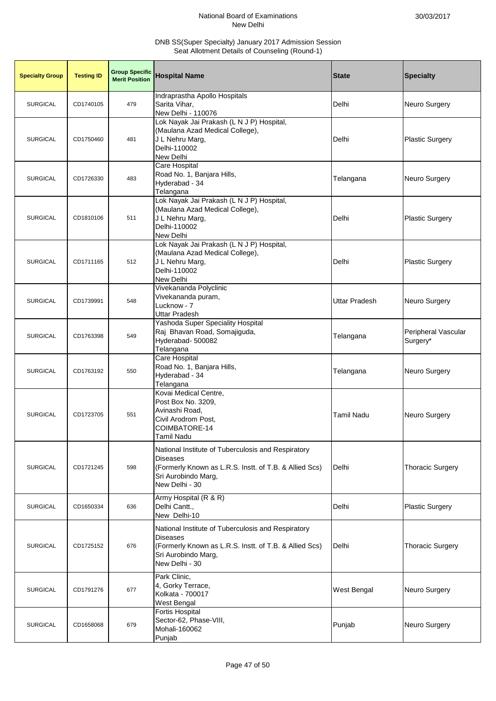| <b>Specialty Group</b> | <b>Testing ID</b> | <b>Group Specific</b><br><b>Merit Position</b> | <b>Hospital Name</b>                                                                                                                                                     | <b>State</b>         | <b>Specialty</b>                |
|------------------------|-------------------|------------------------------------------------|--------------------------------------------------------------------------------------------------------------------------------------------------------------------------|----------------------|---------------------------------|
| <b>SURGICAL</b>        | CD1740105         | 479                                            | Indraprastha Apollo Hospitals<br>Sarita Vihar,<br>New Delhi - 110076                                                                                                     | Delhi                | Neuro Surgery                   |
| <b>SURGICAL</b>        | CD1750460         | 481                                            | Lok Nayak Jai Prakash (L N J P) Hospital,<br>(Maulana Azad Medical College),<br>J L Nehru Marg,<br>Delhi-110002<br>New Delhi                                             | Delhi                | <b>Plastic Surgery</b>          |
| <b>SURGICAL</b>        | CD1726330         | 483                                            | Care Hospital<br>Road No. 1, Banjara Hills,<br>Hyderabad - 34<br>Telangana                                                                                               | Telangana            | <b>Neuro Surgery</b>            |
| <b>SURGICAL</b>        | CD1810106         | 511                                            | Lok Nayak Jai Prakash (L N J P) Hospital,<br>(Maulana Azad Medical College),<br>J L Nehru Marg,<br>Delhi-110002<br>New Delhi                                             | Delhi                | <b>Plastic Surgery</b>          |
| <b>SURGICAL</b>        | CD1711165         | 512                                            | Lok Nayak Jai Prakash (L N J P) Hospital,<br>(Maulana Azad Medical College),<br>J L Nehru Marg,<br>Delhi-110002<br>New Delhi                                             | Delhi                | <b>Plastic Surgery</b>          |
| <b>SURGICAL</b>        | CD1739991         | 548                                            | Vivekananda Polyclinic<br>Vivekananda puram,<br>Lucknow - 7<br>Uttar Pradesh                                                                                             | <b>Uttar Pradesh</b> | Neuro Surgery                   |
| <b>SURGICAL</b>        | CD1763398         | 549                                            | Yashoda Super Speciality Hospital<br>Raj Bhavan Road, Somajiguda,<br>Hyderabad- 500082<br>Telangana                                                                      | Telangana            | Peripheral Vascular<br>Surgery* |
| <b>SURGICAL</b>        | CD1763192         | 550                                            | Care Hospital<br>Road No. 1, Banjara Hills,<br>Hyderabad - 34<br>Telangana                                                                                               | Telangana            | Neuro Surgery                   |
| <b>SURGICAL</b>        | CD1723705         | 551                                            | Kovai Medical Centre,<br>Post Box No. 3209,<br>Avinashi Road.<br>Civil Arodrom Post,<br>COIMBATORE-14<br><b>Tamil Nadu</b>                                               | <b>Tamil Nadu</b>    | Neuro Surgery                   |
| <b>SURGICAL</b>        | CD1721245         | 598                                            | National Institute of Tuberculosis and Respiratory<br><b>Diseases</b><br>(Formerly Known as L.R.S. Instt. of T.B. & Allied Scs)<br>Sri Aurobindo Marg,<br>New Delhi - 30 | Delhi                | <b>Thoracic Surgery</b>         |
| <b>SURGICAL</b>        | CD1650334         | 636                                            | Army Hospital (R & R)<br>Delhi Cantt.,<br>New Delhi-10                                                                                                                   | Delhi                | <b>Plastic Surgery</b>          |
| <b>SURGICAL</b>        | CD1725152         | 676                                            | National Institute of Tuberculosis and Respiratory<br><b>Diseases</b><br>(Formerly Known as L.R.S. Instt. of T.B. & Allied Scs)<br>Sri Aurobindo Marg,<br>New Delhi - 30 | Delhi                | <b>Thoracic Surgery</b>         |
| <b>SURGICAL</b>        | CD1791276         | 677                                            | Park Clinic,<br>4, Gorky Terrace,<br>Kolkata - 700017<br>West Bengal                                                                                                     | West Bengal          | Neuro Surgery                   |
| <b>SURGICAL</b>        | CD1658068         | 679                                            | Fortis Hospital<br>Sector-62, Phase-VIII,<br>Mohali-160062<br>Punjab                                                                                                     | Punjab               | Neuro Surgery                   |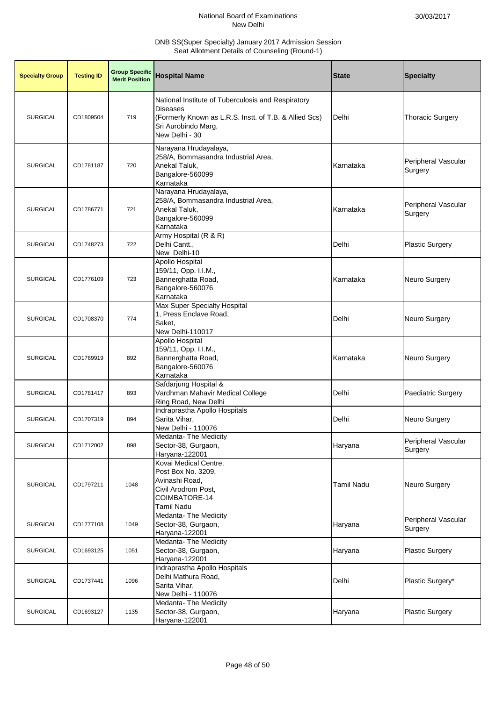| <b>Specialty Group</b> | <b>Testing ID</b> | <b>Group Specific</b><br><b>Merit Position</b> | <b>Hospital Name</b>                                                                                                                                                     | <b>State</b>      | <b>Specialty</b>               |
|------------------------|-------------------|------------------------------------------------|--------------------------------------------------------------------------------------------------------------------------------------------------------------------------|-------------------|--------------------------------|
| <b>SURGICAL</b>        | CD1809504         | 719                                            | National Institute of Tuberculosis and Respiratory<br><b>Diseases</b><br>(Formerly Known as L.R.S. Instt. of T.B. & Allied Scs)<br>Sri Aurobindo Marg,<br>New Delhi - 30 | Delhi             | <b>Thoracic Surgery</b>        |
| <b>SURGICAL</b>        | CD1781187         | 720                                            | Narayana Hrudayalaya,<br>258/A, Bommasandra Industrial Area,<br>Anekal Taluk,<br>Bangalore-560099<br>Karnataka                                                           | Karnataka         | Peripheral Vascular<br>Surgery |
| <b>SURGICAL</b>        | CD1786771         | 721                                            | Narayana Hrudayalaya,<br>258/A, Bommasandra Industrial Area,<br>Anekal Taluk,<br>Bangalore-560099<br>Karnataka                                                           | Karnataka         | Peripheral Vascular<br>Surgery |
| <b>SURGICAL</b>        | CD1748273         | 722                                            | Army Hospital (R & R)<br>Delhi Cantt.,<br>New Delhi-10                                                                                                                   | Delhi             | <b>Plastic Surgery</b>         |
| <b>SURGICAL</b>        | CD1776109         | 723                                            | Apollo Hospital<br>159/11, Opp. I.I.M.,<br>Bannerghatta Road,<br>Bangalore-560076<br>Karnataka                                                                           | Karnataka         | Neuro Surgery                  |
| <b>SURGICAL</b>        | CD1708370         | 774                                            | Max Super Specialty Hospital<br>1, Press Enclave Road,<br>Saket,<br>New Delhi-110017                                                                                     | Delhi             | Neuro Surgery                  |
| <b>SURGICAL</b>        | CD1769919         | 892                                            | Apollo Hospital<br>159/11, Opp. I.I.M.,<br>Bannerghatta Road,<br>Bangalore-560076<br>Karnataka                                                                           | Karnataka         | Neuro Surgery                  |
| <b>SURGICAL</b>        | CD1781417         | 893                                            | Safdarjung Hospital &<br>Vardhman Mahavir Medical College<br>Ring Road, New Delhi                                                                                        | Delhi             | Paediatric Surgery             |
| <b>SURGICAL</b>        | CD1707319         | 894                                            | Indraprastha Apollo Hospitals<br>Sarita Vihar,<br>New Delhi - 110076                                                                                                     | Delhi             | Neuro Surgery                  |
| SURGICAL               | CD1712002         | 898                                            | Medanta- The Medicity<br>Sector-38, Gurgaon,<br>Haryana-122001                                                                                                           | Haryana           | Peripheral Vascular<br>Surgery |
| <b>SURGICAL</b>        | CD1797211         | 1048                                           | Kovai Medical Centre,<br>Post Box No. 3209,<br>Avinashi Road,<br>Civil Arodrom Post.<br>COIMBATORE-14<br><b>Tamil Nadu</b>                                               | <b>Tamil Nadu</b> | Neuro Surgery                  |
| <b>SURGICAL</b>        | CD1777108         | 1049                                           | <b>Medanta- The Medicity</b><br>Sector-38, Gurgaon,<br>Haryana-122001                                                                                                    | Haryana           | Peripheral Vascular<br>Surgery |
| <b>SURGICAL</b>        | CD1693125         | 1051                                           | Medanta- The Medicity<br>Sector-38, Gurgaon,<br>Haryana-122001                                                                                                           | Haryana           | <b>Plastic Surgery</b>         |
| <b>SURGICAL</b>        | CD1737441         | 1096                                           | Indraprastha Apollo Hospitals<br>Delhi Mathura Road,<br>Sarita Vihar,<br>New Delhi - 110076                                                                              | Delhi             | Plastic Surgery*               |
| <b>SURGICAL</b>        | CD1693127         | 1135                                           | Medanta- The Medicity<br>Sector-38, Gurgaon,<br>Haryana-122001                                                                                                           | Haryana           | <b>Plastic Surgery</b>         |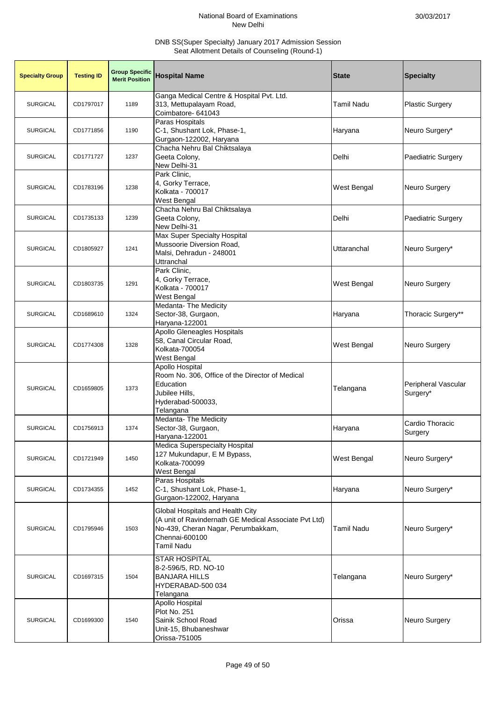| <b>Specialty Group</b> | <b>Testing ID</b> | <b>Group Specific</b><br><b>Merit Position</b> | <b>Hospital Name</b>                                                                                                                                                   | <b>State</b>      | <b>Specialty</b>                |
|------------------------|-------------------|------------------------------------------------|------------------------------------------------------------------------------------------------------------------------------------------------------------------------|-------------------|---------------------------------|
| <b>SURGICAL</b>        | CD1797017         | 1189                                           | Ganga Medical Centre & Hospital Pvt. Ltd.<br>313, Mettupalayam Road,<br>Coimbatore- 641043                                                                             | Tamil Nadu        | <b>Plastic Surgery</b>          |
| <b>SURGICAL</b>        | CD1771856         | 1190                                           | Paras Hospitals<br>C-1, Shushant Lok, Phase-1,<br>Gurgaon-122002, Haryana                                                                                              | Haryana           | Neuro Surgery*                  |
| <b>SURGICAL</b>        | CD1771727         | 1237                                           | Chacha Nehru Bal Chiktsalaya<br>Geeta Colony,<br>New Delhi-31                                                                                                          | Delhi             | Paediatric Surgery              |
| <b>SURGICAL</b>        | CD1783196         | 1238                                           | Park Clinic,<br>4, Gorky Terrace,<br>Kolkata - 700017<br>West Bengal                                                                                                   | West Bengal       | Neuro Surgery                   |
| <b>SURGICAL</b>        | CD1735133         | 1239                                           | Chacha Nehru Bal Chiktsalaya<br>Geeta Colony,<br>New Delhi-31                                                                                                          | Delhi             | Paediatric Surgery              |
| <b>SURGICAL</b>        | CD1805927         | 1241                                           | Max Super Specialty Hospital<br>Mussoorie Diversion Road,<br>Malsi, Dehradun - 248001<br>Uttranchal                                                                    | Uttaranchal       | Neuro Surgery*                  |
| <b>SURGICAL</b>        | CD1803735         | 1291                                           | Park Clinic,<br>4, Gorky Terrace,<br>Kolkata - 700017<br>West Bengal                                                                                                   | West Bengal       | <b>Neuro Surgery</b>            |
| <b>SURGICAL</b>        | CD1689610         | 1324                                           | <b>Medanta- The Medicity</b><br>Sector-38, Gurgaon,<br>Haryana-122001                                                                                                  | Haryana           | Thoracic Surgery**              |
| <b>SURGICAL</b>        | CD1774308         | 1328                                           | <b>Apollo Gleneagles Hospitals</b><br>58, Canal Circular Road,<br>Kolkata-700054<br>West Bengal                                                                        | West Bengal       | Neuro Surgery                   |
| <b>SURGICAL</b>        | CD1659805         | 1373                                           | Apollo Hospital<br>Room No. 306, Office of the Director of Medical<br>Education<br>Jubilee Hills,<br>Hyderabad-500033,<br>Telangana                                    | Telangana         | Peripheral Vascular<br>Surgery* |
| <b>SURGICAL</b>        | CD1756913         | 1374                                           | <b>Medanta- The Medicity</b><br>Sector-38, Gurgaon,<br>Haryana-122001                                                                                                  | Haryana           | Cardio Thoracic<br>Surgery      |
| <b>SURGICAL</b>        | CD1721949         | 1450                                           | Medica Superspecialty Hospital<br>127 Mukundapur, E M Bypass,<br>Kolkata-700099<br>West Bengal                                                                         | West Bengal       | Neuro Surgery*                  |
| <b>SURGICAL</b>        | CD1734355         | 1452                                           | Paras Hospitals<br>C-1, Shushant Lok, Phase-1,<br>Gurgaon-122002, Haryana                                                                                              | Haryana           | Neuro Surgery*                  |
| <b>SURGICAL</b>        | CD1795946         | 1503                                           | Global Hospitals and Health City<br>(A unit of Ravindernath GE Medical Associate Pvt Ltd)<br>No-439, Cheran Nagar, Perumbakkam,<br>Chennai-600100<br><b>Tamil Nadu</b> | <b>Tamil Nadu</b> | Neuro Surgery*                  |
| <b>SURGICAL</b>        | CD1697315         | 1504                                           | STAR HOSPITAL<br>8-2-596/5, RD. NO-10<br><b>BANJARA HILLS</b><br>HYDERABAD-500 034<br><b>Telangana</b>                                                                 | Telangana         | Neuro Surgery*                  |
| <b>SURGICAL</b>        | CD1699300         | 1540                                           | Apollo Hospital<br>Plot No. 251<br>Sainik School Road<br>Unit-15, Bhubaneshwar<br>Orissa-751005                                                                        | Orissa            | Neuro Surgery                   |